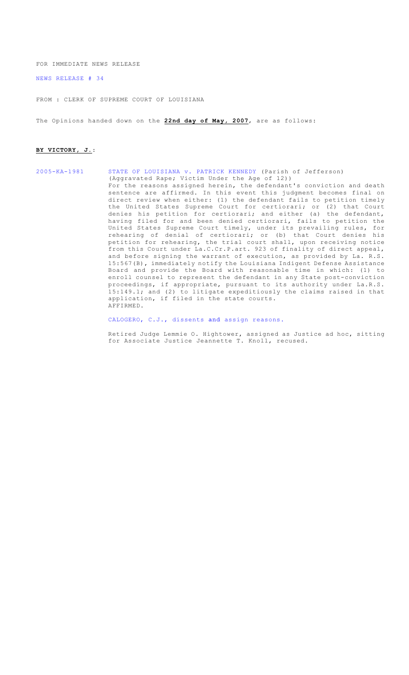FOR IMMEDIATE NEWS RELEASE

[NEWS RELEASE # 34](http://www.lasc.org/Opinions?p=2007-034)

FROM : CLERK OF SUPREME COURT OF LOUISIANA

The Opinions handed down on the **22nd day of May, 2007**, are as follows:

#### **BY VICTORY, J.**:

#### [2005-KA-1981 STATE OF LOUISIANA v. PATRICK KENNEDY](#page-1-0) (Parish of Jefferson) (Aggravated Rape; Victim Under the Age of 12)) For the reasons assigned herein, the defendant's conviction and death sentence are affirmed. In this event this judgment becomes final on direct review when either: (1) the defendant fails to petition timely the United States Supreme Court for certiorari; or (2) that Court denies his petition for certiorari; and either (a) the defendant, having filed for and been denied certiorari, fails to petition the United States Supreme Court timely, under its prevailing rules, for rehearing of denial of certiorari; or (b) that Court denies his petition for rehearing, the trial court shall, upon receiving notice from this Court under La.C.Cr.P.art. 923 of finality of direct appeal, and before signing the warrant of execution, as provided by La. R.S. 15:567(B), immediately notify the Louisiana Indigent Defense Assistance Board and provide the Board with reasonable time in which: (1) to enroll counsel to represent the defendant in any State post-conviction proceedings, if appropriate, pursuant to its authority under La.R.S. 15:149.1; and (2) to litigate expeditiously the claims raised in that application, if filed in the state courts. AFFIRMED.

[CALOGERO, C.J., dissents](#page-126-0) and assign reasons.

Retired Judge Lemmie O. Hightower, assigned as Justice ad hoc, sitting for Associate Justice Jeannette T. Knoll, recused.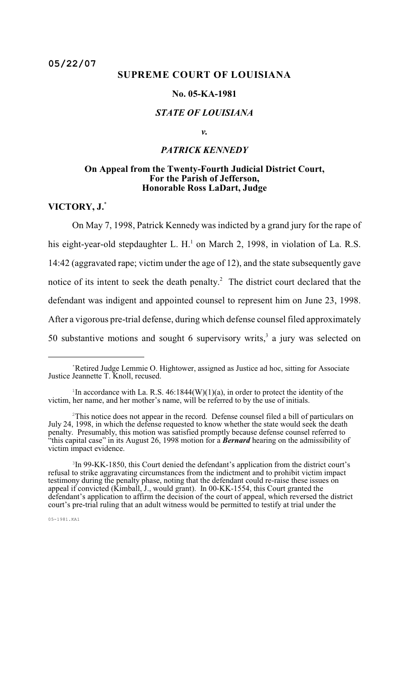## <span id="page-1-0"></span>**SUPREME COURT OF LOUISIANA**

### **No. 05-KA-1981**

### *STATE OF LOUISIANA*

### *v.*

# *PATRICK KENNEDY*

### **On Appeal from the Twenty-Fourth Judicial District Court, For the Parish of Jefferson, Honorable Ross LaDart, Judge**

**VICTORY, J.**\*

On May 7, 1998, Patrick Kennedy was indicted by a grand jury for the rape of his eight-year-old stepdaughter L. H.<sup>1</sup> on March 2, 1998, in violation of La. R.S. 14:42 (aggravated rape; victim under the age of 12), and the state subsequently gave notice of its intent to seek the death penalty.<sup>2</sup> The district court declared that the defendant was indigent and appointed counsel to represent him on June 23, 1998. After a vigorous pre-trial defense, during which defense counsel filed approximately 50 substantive motions and sought 6 supervisory writs,  $3$  a jury was selected on

Retired Judge Lemmie O. Hightower, assigned as Justice ad hoc, sitting for Associate \* Justice Jeannette T. Knoll, recused.

<sup>&</sup>lt;sup>1</sup>In accordance with La. R.S.  $46:1844(W)(1)(a)$ , in order to protect the identity of the victim, her name, and her mother's name, will be referred to by the use of initials.

 $2$ This notice does not appear in the record. Defense counsel filed a bill of particulars on July 24, 1998, in which the defense requested to know whether the state would seek the death penalty. Presumably, this motion was satisfied promptly because defense counsel referred to "this capital case" in its August 26, 1998 motion for a *Bernard* hearing on the admissibility of victim impact evidence.

<sup>&</sup>lt;sup>3</sup>In 99-KK-1850, this Court denied the defendant's application from the district court's refusal to strike aggravating circumstances from the indictment and to prohibit victim impact testimony during the penalty phase, noting that the defendant could re-raise these issues on appeal if convicted (Kimball, J., would grant). In 00-KK-1554, this Court granted the defendant's application to affirm the decision of the court of appeal, which reversed the district court's pre-trial ruling that an adult witness would be permitted to testify at trial under the

<sup>05-1981.</sup>KA1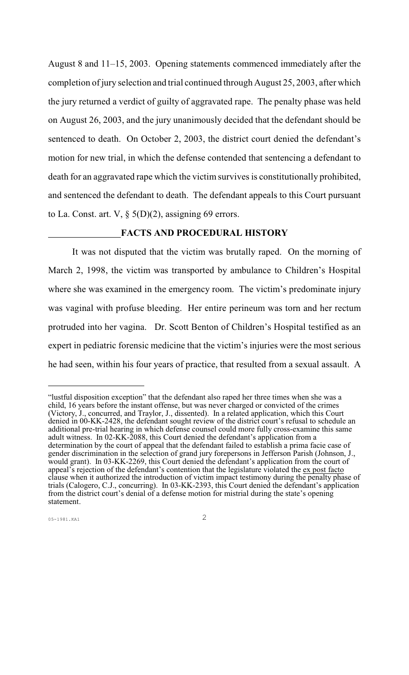August 8 and 11–15, 2003. Opening statements commenced immediately after the completion of jury selection and trial continued through August 25, 2003, after which the jury returned a verdict of guilty of aggravated rape. The penalty phase was held on August 26, 2003, and the jury unanimously decided that the defendant should be sentenced to death. On October 2, 2003, the district court denied the defendant's motion for new trial, in which the defense contended that sentencing a defendant to death for an aggravated rape which the victim survives is constitutionally prohibited, and sentenced the defendant to death. The defendant appeals to this Court pursuant to La. Const. art. V,  $\S$  5(D)(2), assigning 69 errors.

# **FACTS AND PROCEDURAL HISTORY**

It was not disputed that the victim was brutally raped. On the morning of March 2, 1998, the victim was transported by ambulance to Children's Hospital where she was examined in the emergency room. The victim's predominate injury was vaginal with profuse bleeding. Her entire perineum was torn and her rectum protruded into her vagina. Dr. Scott Benton of Children's Hospital testified as an expert in pediatric forensic medicine that the victim's injuries were the most serious he had seen, within his four years of practice, that resulted from a sexual assault. A

<sup>&</sup>quot;lustful disposition exception" that the defendant also raped her three times when she was a child, 16 years before the instant offense, but was never charged or convicted of the crimes (Victory, J., concurred, and Traylor, J., dissented). In a related application, which this Court denied in 00-KK-2428, the defendant sought review of the district court's refusal to schedule an additional pre-trial hearing in which defense counsel could more fully cross-examine this same adult witness. In 02-KK-2088, this Court denied the defendant's application from a determination by the court of appeal that the defendant failed to establish a prima facie case of gender discrimination in the selection of grand jury forepersons in Jefferson Parish (Johnson, J., would grant). In 03-KK-2269, this Court denied the defendant's application from the court of appeal's rejection of the defendant's contention that the legislature violated the ex post facto clause when it authorized the introduction of victim impact testimony during the penalty phase of trials (Calogero, C.J., concurring). In 03-KK-2393, this Court denied the defendant's application from the district court's denial of a defense motion for mistrial during the state's opening statement.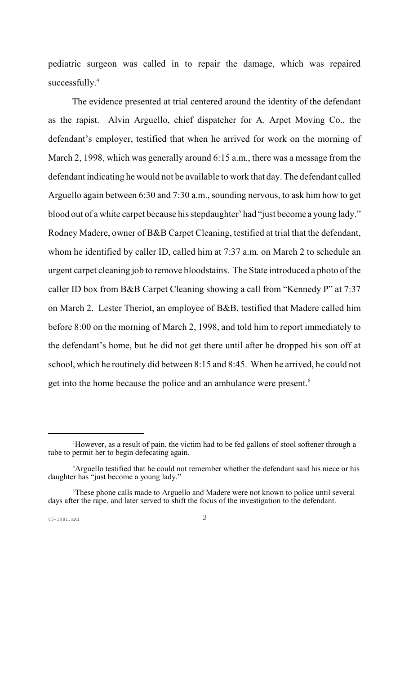pediatric surgeon was called in to repair the damage, which was repaired successfully.<sup>4</sup>

The evidence presented at trial centered around the identity of the defendant as the rapist. Alvin Arguello, chief dispatcher for A. Arpet Moving Co., the defendant's employer, testified that when he arrived for work on the morning of March 2, 1998, which was generally around 6:15 a.m., there was a message from the defendant indicating he would not be available to work that day. The defendant called Arguello again between 6:30 and 7:30 a.m., sounding nervous, to ask him how to get blood out of a white carpet because his stepdaughter<sup>5</sup> had "just become a young lady." Rodney Madere, owner of B&B Carpet Cleaning, testified at trial that the defendant, whom he identified by caller ID, called him at 7:37 a.m. on March 2 to schedule an urgent carpet cleaning job to remove bloodstains. The State introduced a photo of the caller ID box from B&B Carpet Cleaning showing a call from "Kennedy P" at 7:37 on March 2. Lester Theriot, an employee of B&B, testified that Madere called him before 8:00 on the morning of March 2, 1998, and told him to report immediately to the defendant's home, but he did not get there until after he dropped his son off at school, which he routinely did between 8:15 and 8:45. When he arrived, he could not get into the home because the police and an ambulance were present.<sup>6</sup>

<sup>&</sup>lt;sup>4</sup>However, as a result of pain, the victim had to be fed gallons of stool softener through a tube to permit her to begin defecating again.

<sup>&</sup>lt;sup>5</sup>Arguello testified that he could not remember whether the defendant said his niece or his daughter has "just become a young lady."

<sup>&</sup>lt;sup>6</sup>These phone calls made to Arguello and Madere were not known to police until several days after the rape, and later served to shift the focus of the investigation to the defendant.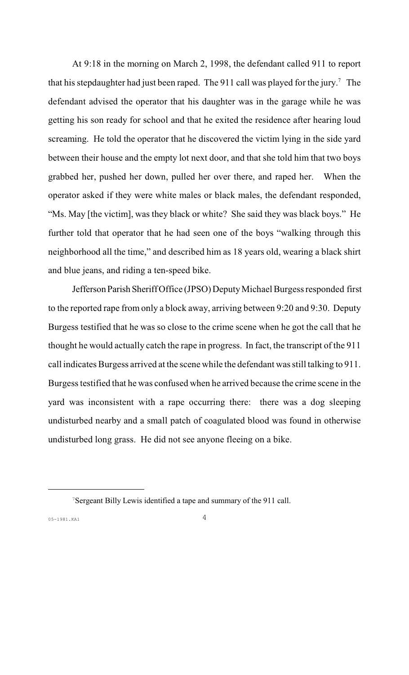At 9:18 in the morning on March 2, 1998, the defendant called 911 to report that his stepdaughter had just been raped. The 911 call was played for the jury.<sup>7</sup> The defendant advised the operator that his daughter was in the garage while he was getting his son ready for school and that he exited the residence after hearing loud screaming. He told the operator that he discovered the victim lying in the side yard between their house and the empty lot next door, and that she told him that two boys grabbed her, pushed her down, pulled her over there, and raped her. When the operator asked if they were white males or black males, the defendant responded, "Ms. May [the victim], was they black or white? She said they was black boys." He further told that operator that he had seen one of the boys "walking through this neighborhood all the time," and described him as 18 years old, wearing a black shirt and blue jeans, and riding a ten-speed bike.

Jefferson Parish Sheriff Office (JPSO) Deputy Michael Burgess responded first to the reported rape from only a block away, arriving between 9:20 and 9:30. Deputy Burgess testified that he was so close to the crime scene when he got the call that he thought he would actually catch the rape in progress. In fact, the transcript of the 911 call indicates Burgess arrived at the scene while the defendant was still talking to 911. Burgess testified that he was confused when he arrived because the crime scene in the yard was inconsistent with a rape occurring there: there was a dog sleeping undisturbed nearby and a small patch of coagulated blood was found in otherwise undisturbed long grass. He did not see anyone fleeing on a bike.

<sup>&</sup>lt;sup>7</sup>Sergeant Billy Lewis identified a tape and summary of the 911 call.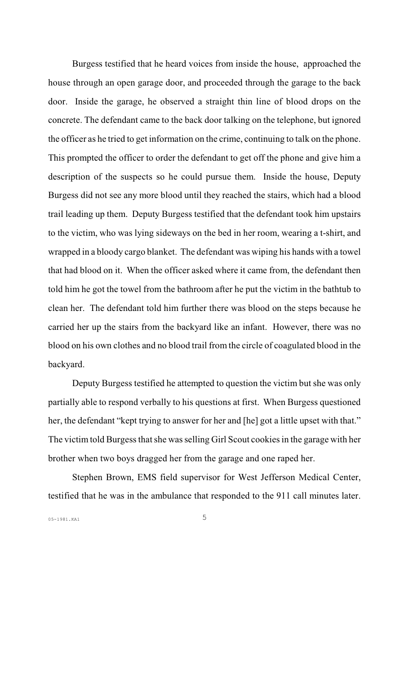Burgess testified that he heard voices from inside the house, approached the house through an open garage door, and proceeded through the garage to the back door. Inside the garage, he observed a straight thin line of blood drops on the concrete. The defendant came to the back door talking on the telephone, but ignored the officer as he tried to get information on the crime, continuing to talk on the phone. This prompted the officer to order the defendant to get off the phone and give him a description of the suspects so he could pursue them. Inside the house, Deputy Burgess did not see any more blood until they reached the stairs, which had a blood trail leading up them. Deputy Burgess testified that the defendant took him upstairs to the victim, who was lying sideways on the bed in her room, wearing a t-shirt, and wrapped in a bloody cargo blanket. The defendant was wiping his hands with a towel that had blood on it. When the officer asked where it came from, the defendant then told him he got the towel from the bathroom after he put the victim in the bathtub to clean her. The defendant told him further there was blood on the steps because he carried her up the stairs from the backyard like an infant. However, there was no blood on his own clothes and no blood trail from the circle of coagulated blood in the backyard.

Deputy Burgess testified he attempted to question the victim but she was only partially able to respond verbally to his questions at first. When Burgess questioned her, the defendant "kept trying to answer for her and [he] got a little upset with that." The victim told Burgess that she was selling Girl Scout cookies in the garage with her brother when two boys dragged her from the garage and one raped her.

Stephen Brown, EMS field supervisor for West Jefferson Medical Center, testified that he was in the ambulance that responded to the 911 call minutes later.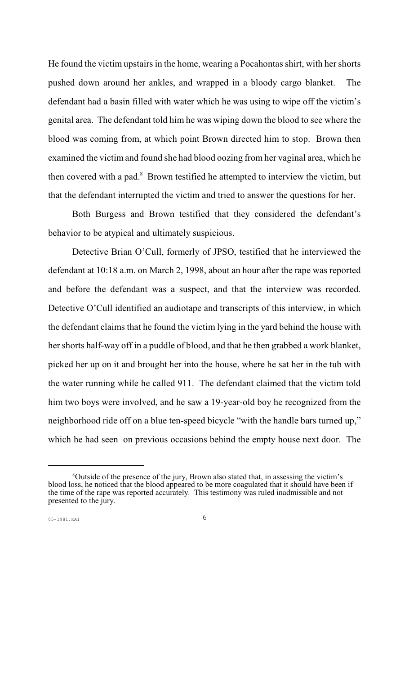He found the victim upstairs in the home, wearing a Pocahontas shirt, with her shorts pushed down around her ankles, and wrapped in a bloody cargo blanket. The defendant had a basin filled with water which he was using to wipe off the victim's genital area. The defendant told him he was wiping down the blood to see where the blood was coming from, at which point Brown directed him to stop. Brown then examined the victim and found she had blood oozing from her vaginal area, which he then covered with a pad. $8$  Brown testified he attempted to interview the victim, but that the defendant interrupted the victim and tried to answer the questions for her.

Both Burgess and Brown testified that they considered the defendant's behavior to be atypical and ultimately suspicious.

Detective Brian O'Cull, formerly of JPSO, testified that he interviewed the defendant at 10:18 a.m. on March 2, 1998, about an hour after the rape was reported and before the defendant was a suspect, and that the interview was recorded. Detective O'Cull identified an audiotape and transcripts of this interview, in which the defendant claims that he found the victim lying in the yard behind the house with her shorts half-way off in a puddle of blood, and that he then grabbed a work blanket, picked her up on it and brought her into the house, where he sat her in the tub with the water running while he called 911. The defendant claimed that the victim told him two boys were involved, and he saw a 19-year-old boy he recognized from the neighborhood ride off on a blue ten-speed bicycle "with the handle bars turned up," which he had seen on previous occasions behind the empty house next door. The

<sup>&</sup>lt;sup>8</sup>Outside of the presence of the jury, Brown also stated that, in assessing the victim's blood loss, he noticed that the blood appeared to be more coagulated that it should have been if the time of the rape was reported accurately. This testimony was ruled inadmissible and not presented to the jury.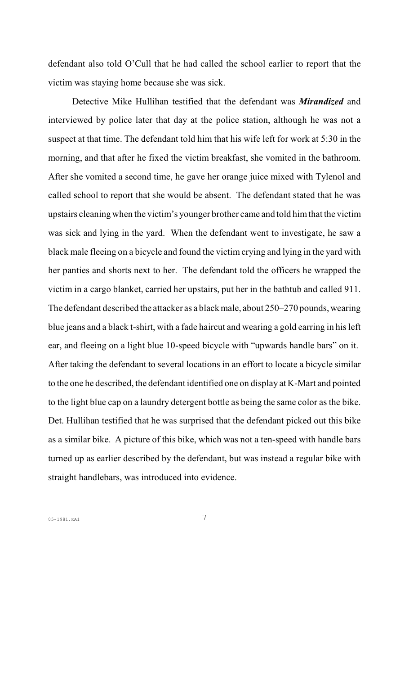defendant also told O'Cull that he had called the school earlier to report that the victim was staying home because she was sick.

Detective Mike Hullihan testified that the defendant was *Mirandized* and interviewed by police later that day at the police station, although he was not a suspect at that time. The defendant told him that his wife left for work at 5:30 in the morning, and that after he fixed the victim breakfast, she vomited in the bathroom. After she vomited a second time, he gave her orange juice mixed with Tylenol and called school to report that she would be absent. The defendant stated that he was upstairs cleaning when the victim's younger brother came and told him that the victim was sick and lying in the yard. When the defendant went to investigate, he saw a black male fleeing on a bicycle and found the victim crying and lying in the yard with her panties and shorts next to her. The defendant told the officers he wrapped the victim in a cargo blanket, carried her upstairs, put her in the bathtub and called 911. The defendant described the attacker as a black male, about 250–270 pounds, wearing blue jeans and a black t-shirt, with a fade haircut and wearing a gold earring in his left ear, and fleeing on a light blue 10-speed bicycle with "upwards handle bars" on it. After taking the defendant to several locations in an effort to locate a bicycle similar to the one he described, the defendant identified one on display at K-Mart and pointed to the light blue cap on a laundry detergent bottle as being the same color as the bike. Det. Hullihan testified that he was surprised that the defendant picked out this bike as a similar bike. A picture of this bike, which was not a ten-speed with handle bars turned up as earlier described by the defendant, but was instead a regular bike with straight handlebars, was introduced into evidence.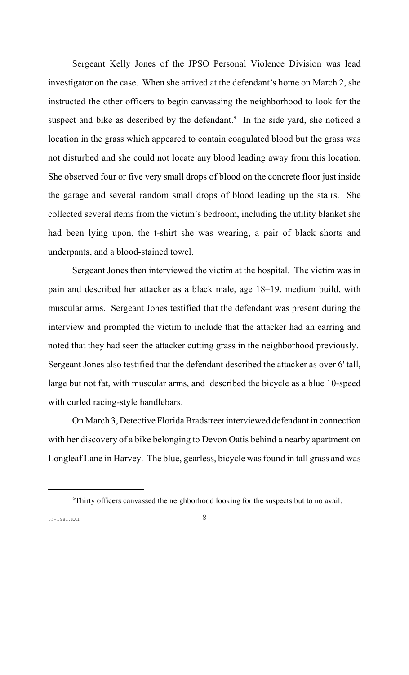Sergeant Kelly Jones of the JPSO Personal Violence Division was lead investigator on the case. When she arrived at the defendant's home on March 2, she instructed the other officers to begin canvassing the neighborhood to look for the suspect and bike as described by the defendant.<sup>9</sup> In the side yard, she noticed a location in the grass which appeared to contain coagulated blood but the grass was not disturbed and she could not locate any blood leading away from this location. She observed four or five very small drops of blood on the concrete floor just inside the garage and several random small drops of blood leading up the stairs. She collected several items from the victim's bedroom, including the utility blanket she had been lying upon, the t-shirt she was wearing, a pair of black shorts and underpants, and a blood-stained towel.

Sergeant Jones then interviewed the victim at the hospital. The victim was in pain and described her attacker as a black male, age 18–19, medium build, with muscular arms. Sergeant Jones testified that the defendant was present during the interview and prompted the victim to include that the attacker had an earring and noted that they had seen the attacker cutting grass in the neighborhood previously. Sergeant Jones also testified that the defendant described the attacker as over 6' tall, large but not fat, with muscular arms, and described the bicycle as a blue 10-speed with curled racing-style handlebars.

On March 3, Detective Florida Bradstreet interviewed defendant in connection with her discovery of a bike belonging to Devon Oatis behind a nearby apartment on Longleaf Lane in Harvey. The blue, gearless, bicycle was found in tall grass and was

<sup>&</sup>lt;sup>9</sup>Thirty officers canvassed the neighborhood looking for the suspects but to no avail.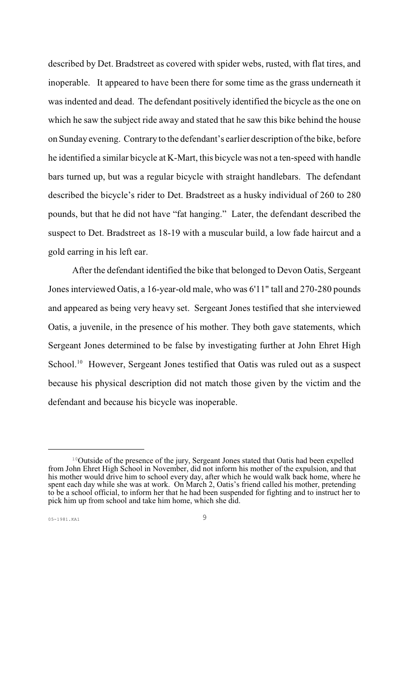described by Det. Bradstreet as covered with spider webs, rusted, with flat tires, and inoperable. It appeared to have been there for some time as the grass underneath it was indented and dead. The defendant positively identified the bicycle as the one on which he saw the subject ride away and stated that he saw this bike behind the house on Sunday evening. Contrary to the defendant's earlier description of the bike, before he identified a similar bicycle at K-Mart, this bicycle was not a ten-speed with handle bars turned up, but was a regular bicycle with straight handlebars. The defendant described the bicycle's rider to Det. Bradstreet as a husky individual of 260 to 280 pounds, but that he did not have "fat hanging." Later, the defendant described the suspect to Det. Bradstreet as 18-19 with a muscular build, a low fade haircut and a gold earring in his left ear.

After the defendant identified the bike that belonged to Devon Oatis, Sergeant Jones interviewed Oatis, a 16-year-old male, who was 6'11" tall and 270-280 pounds and appeared as being very heavy set. Sergeant Jones testified that she interviewed Oatis, a juvenile, in the presence of his mother. They both gave statements, which Sergeant Jones determined to be false by investigating further at John Ehret High School.<sup>10</sup> However, Sergeant Jones testified that Oatis was ruled out as a suspect because his physical description did not match those given by the victim and the defendant and because his bicycle was inoperable.

<sup>&</sup>lt;sup>10</sup>Outside of the presence of the jury, Sergeant Jones stated that Oatis had been expelled from John Ehret High School in November, did not inform his mother of the expulsion, and that his mother would drive him to school every day, after which he would walk back home, where he spent each day while she was at work. On March 2, Oatis's friend called his mother, pretending to be a school official, to inform her that he had been suspended for fighting and to instruct her to pick him up from school and take him home, which she did.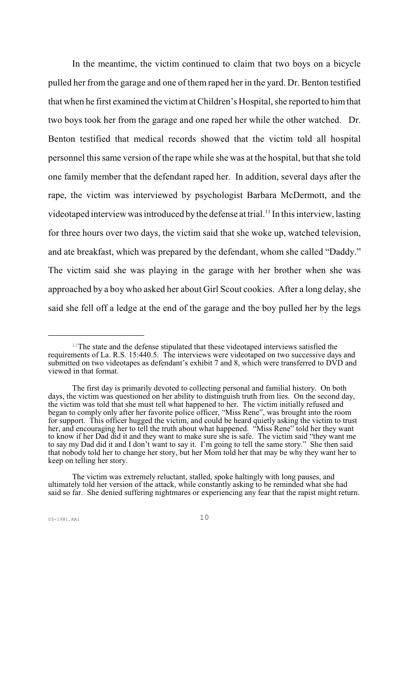In the meantime, the victim continued to claim that two boys on a bicycle pulled her from the garage and one of them raped her in the yard. Dr. Benton testified that when he first examined the victimat Children's Hospital, she reported to him that two boys took her from the garage and one raped her while the other watched. Dr. Benton testified that medical records showed that the victim told all hospital personnel this same version of the rape while she was at the hospital, but that she told one family member that the defendant raped her. In addition, several days after the rape, the victim was interviewed by psychologist Barbara McDermott, and the videotaped interview was introduced by the defense at trial.<sup>11</sup> In this interview, lasting for three hours over two days, the victim said that she woke up, watched television, and ate breakfast, which was prepared by the defendant, whom she called "Daddy." The victim said she was playing in the garage with her brother when she was approached by a boy who asked her about Girl Scout cookies. After a long delay, she said she fell off a ledge at the end of the garage and the boy pulled her by the legs

 $11$ <sup>The</sup> state and the defense stipulated that these videotaped interviews satisfied the requirements of La. R.S. 15:440.5. The interviews were videotaped on two successive days and submitted on two videotapes as defendant's exhibit 7 and 8, which were transferred to DVD and viewed in that format.

The first day is primarily devoted to collecting personal and familial history. On both days, the victim was questioned on her ability to distinguish truth from lies. On the second day, the victim was told that she must tell what happened to her. The victim initially refused and began to comply only after her favorite police officer, "Miss Rene", was brought into the room for support. This officer hugged the victim, and could be heard quietly asking the victim to trust her, and encouraging her to tell the truth about what happened. "Miss Rene" told her they want to know if her Dad did it and they want to make sure she is safe. The victim said "they want me to say my Dad did it and I don't want to say it. I'm going to tell the same story." She then said that nobody told her to change her story, but her Mom told her that may be why they want her to keep on telling her story.

The victim was extremely reluctant, stalled, spoke haltingly with long pauses, and ultimately told her version of the attack, while constantly asking to be reminded what she had said so far. She denied suffering nightmares or experiencing any fear that the rapist might return.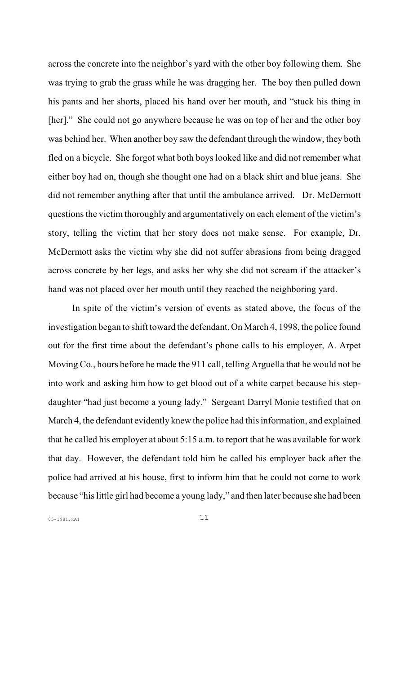across the concrete into the neighbor's yard with the other boy following them. She was trying to grab the grass while he was dragging her. The boy then pulled down his pants and her shorts, placed his hand over her mouth, and "stuck his thing in [her]." She could not go anywhere because he was on top of her and the other boy was behind her. When another boy saw the defendant through the window, they both fled on a bicycle. She forgot what both boys looked like and did not remember what either boy had on, though she thought one had on a black shirt and blue jeans. She did not remember anything after that until the ambulance arrived. Dr. McDermott questions the victim thoroughly and argumentatively on each element of the victim's story, telling the victim that her story does not make sense. For example, Dr. McDermott asks the victim why she did not suffer abrasions from being dragged across concrete by her legs, and asks her why she did not scream if the attacker's hand was not placed over her mouth until they reached the neighboring yard.

In spite of the victim's version of events as stated above, the focus of the investigation began to shift toward the defendant. On March 4, 1998, the police found out for the first time about the defendant's phone calls to his employer, A. Arpet Moving Co., hours before he made the 911 call, telling Arguella that he would not be into work and asking him how to get blood out of a white carpet because his stepdaughter "had just become a young lady." Sergeant Darryl Monie testified that on March 4, the defendant evidently knew the police had this information, and explained that he called his employer at about 5:15 a.m. to report that he was available for work that day. However, the defendant told him he called his employer back after the police had arrived at his house, first to inform him that he could not come to work because "his little girl had become a young lady," and then later because she had been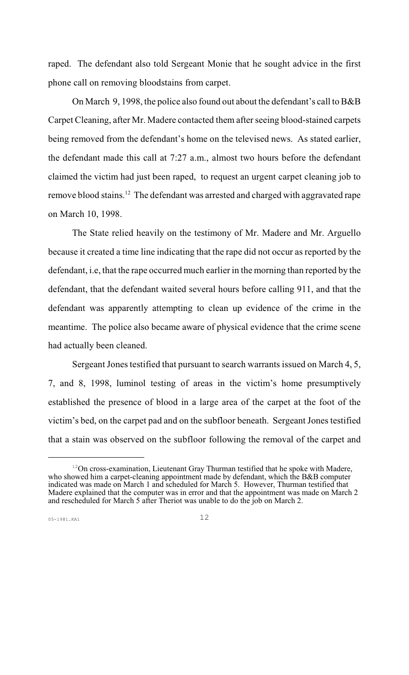raped. The defendant also told Sergeant Monie that he sought advice in the first phone call on removing bloodstains from carpet.

On March 9, 1998, the police also found out about the defendant's call to B&B Carpet Cleaning, after Mr. Madere contacted them after seeing blood-stained carpets being removed from the defendant's home on the televised news. As stated earlier, the defendant made this call at 7:27 a.m., almost two hours before the defendant claimed the victim had just been raped, to request an urgent carpet cleaning job to remove blood stains.<sup>12</sup> The defendant was arrested and charged with aggravated rape on March 10, 1998.

The State relied heavily on the testimony of Mr. Madere and Mr. Arguello because it created a time line indicating that the rape did not occur as reported by the defendant, i.e, that the rape occurred much earlier in the morning than reported by the defendant, that the defendant waited several hours before calling 911, and that the defendant was apparently attempting to clean up evidence of the crime in the meantime. The police also became aware of physical evidence that the crime scene had actually been cleaned.

Sergeant Jones testified that pursuant to search warrants issued on March 4, 5, 7, and 8, 1998, luminol testing of areas in the victim's home presumptively established the presence of blood in a large area of the carpet at the foot of the victim's bed, on the carpet pad and on the subfloor beneath. Sergeant Jones testified that a stain was observed on the subfloor following the removal of the carpet and

 $12$ On cross-examination, Lieutenant Gray Thurman testified that he spoke with Madere, who showed him a carpet-cleaning appointment made by defendant, which the B&B computer indicated was made on March 1 and scheduled for March 5. However, Thurman testified that Madere explained that the computer was in error and that the appointment was made on March 2 and rescheduled for March 5 after Theriot was unable to do the job on March 2.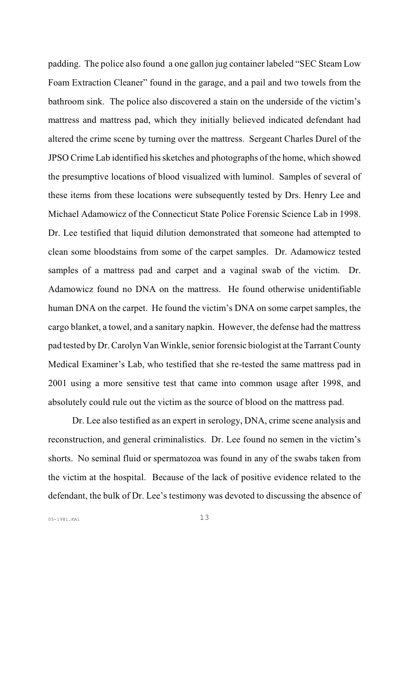padding. The police also found a one gallon jug container labeled "SEC Steam Low Foam Extraction Cleaner" found in the garage, and a pail and two towels from the bathroom sink. The police also discovered a stain on the underside of the victim's mattress and mattress pad, which they initially believed indicated defendant had altered the crime scene by turning over the mattress. Sergeant Charles Durel of the JPSO Crime Lab identified his sketches and photographs of the home, which showed the presumptive locations of blood visualized with luminol. Samples of several of these items from these locations were subsequently tested by Drs. Henry Lee and Michael Adamowicz of the Connecticut State Police Forensic Science Lab in 1998. Dr. Lee testified that liquid dilution demonstrated that someone had attempted to clean some bloodstains from some of the carpet samples. Dr. Adamowicz tested samples of a mattress pad and carpet and a vaginal swab of the victim. Dr. Adamowicz found no DNA on the mattress. He found otherwise unidentifiable human DNA on the carpet. He found the victim's DNA on some carpet samples, the cargo blanket, a towel, and a sanitary napkin. However, the defense had the mattress pad tested by Dr. Carolyn Van Winkle, senior forensic biologist at the Tarrant County Medical Examiner's Lab, who testified that she re-tested the same mattress pad in 2001 using a more sensitive test that came into common usage after 1998, and absolutely could rule out the victim as the source of blood on the mattress pad.

Dr. Lee also testified as an expert in serology, DNA, crime scene analysis and reconstruction, and general criminalistics. Dr. Lee found no semen in the victim's shorts. No seminal fluid or spermatozoa was found in any of the swabs taken from the victim at the hospital. Because of the lack of positive evidence related to the defendant, the bulk of Dr. Lee's testimony was devoted to discussing the absence of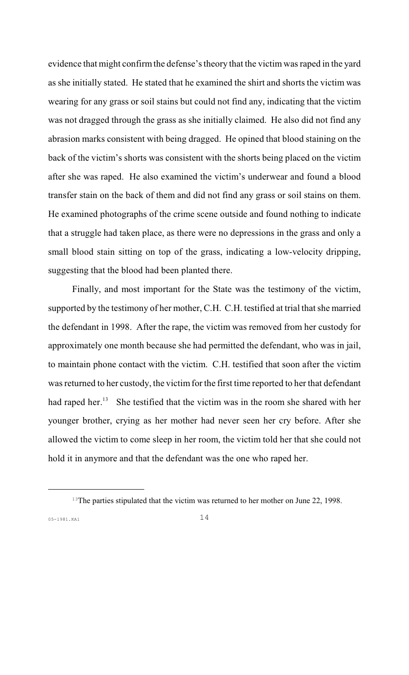evidence that might confirm the defense's theory that the victim was raped in the yard as she initially stated. He stated that he examined the shirt and shorts the victim was wearing for any grass or soil stains but could not find any, indicating that the victim was not dragged through the grass as she initially claimed. He also did not find any abrasion marks consistent with being dragged. He opined that blood staining on the back of the victim's shorts was consistent with the shorts being placed on the victim after she was raped. He also examined the victim's underwear and found a blood transfer stain on the back of them and did not find any grass or soil stains on them. He examined photographs of the crime scene outside and found nothing to indicate that a struggle had taken place, as there were no depressions in the grass and only a small blood stain sitting on top of the grass, indicating a low-velocity dripping, suggesting that the blood had been planted there.

Finally, and most important for the State was the testimony of the victim, supported by the testimony of her mother, C.H. C.H. testified at trial that she married the defendant in 1998. After the rape, the victim was removed from her custody for approximately one month because she had permitted the defendant, who was in jail, to maintain phone contact with the victim. C.H. testified that soon after the victim was returned to her custody, the victim for the first time reported to her that defendant had raped her.<sup>13</sup> She testified that the victim was in the room she shared with her younger brother, crying as her mother had never seen her cry before. After she allowed the victim to come sleep in her room, the victim told her that she could not hold it in anymore and that the defendant was the one who raped her.

 $13$ The parties stipulated that the victim was returned to her mother on June 22, 1998.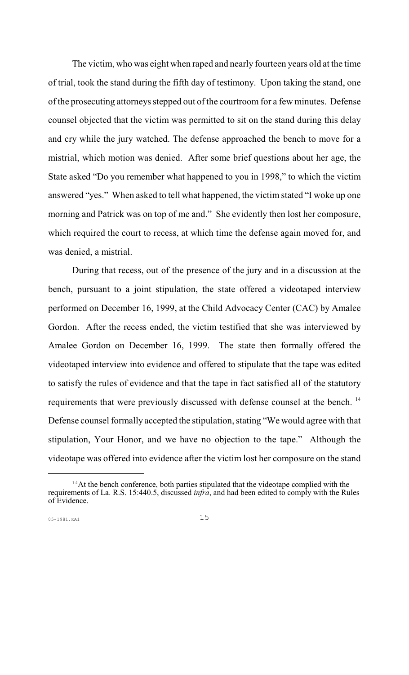The victim, who was eight when raped and nearly fourteen years old at the time of trial, took the stand during the fifth day of testimony. Upon taking the stand, one of the prosecuting attorneys stepped out of the courtroom for a few minutes. Defense counsel objected that the victim was permitted to sit on the stand during this delay and cry while the jury watched. The defense approached the bench to move for a mistrial, which motion was denied. After some brief questions about her age, the State asked "Do you remember what happened to you in 1998," to which the victim answered "yes." When asked to tell what happened, the victim stated "I woke up one morning and Patrick was on top of me and." She evidently then lost her composure, which required the court to recess, at which time the defense again moved for, and was denied, a mistrial.

During that recess, out of the presence of the jury and in a discussion at the bench, pursuant to a joint stipulation, the state offered a videotaped interview performed on December 16, 1999, at the Child Advocacy Center (CAC) by Amalee Gordon. After the recess ended, the victim testified that she was interviewed by Amalee Gordon on December 16, 1999. The state then formally offered the videotaped interview into evidence and offered to stipulate that the tape was edited to satisfy the rules of evidence and that the tape in fact satisfied all of the statutory requirements that were previously discussed with defense counsel at the bench.<sup>14</sup> Defense counsel formally accepted the stipulation, stating "We would agree with that stipulation, Your Honor, and we have no objection to the tape." Although the videotape was offered into evidence after the victim lost her composure on the stand

 $14$ At the bench conference, both parties stipulated that the videotape complied with the requirements of La. R.S. 15:440.5, discussed *infra*, and had been edited to comply with the Rules of Evidence.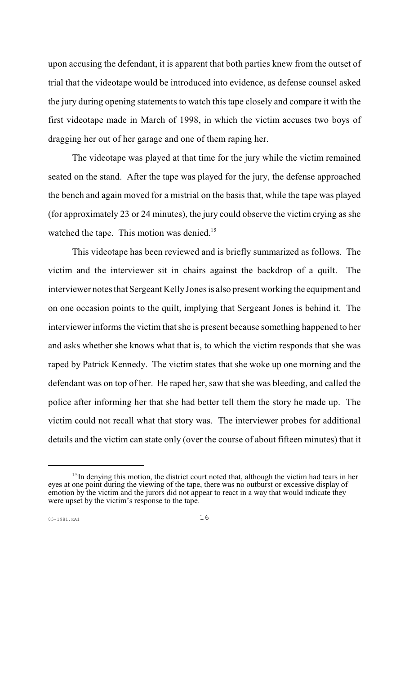upon accusing the defendant, it is apparent that both parties knew from the outset of trial that the videotape would be introduced into evidence, as defense counsel asked the jury during opening statements to watch this tape closely and compare it with the first videotape made in March of 1998, in which the victim accuses two boys of dragging her out of her garage and one of them raping her.

The videotape was played at that time for the jury while the victim remained seated on the stand. After the tape was played for the jury, the defense approached the bench and again moved for a mistrial on the basis that, while the tape was played (for approximately 23 or 24 minutes), the jury could observe the victim crying as she watched the tape. This motion was denied.<sup>15</sup>

This videotape has been reviewed and is briefly summarized as follows. The victim and the interviewer sit in chairs against the backdrop of a quilt. The interviewer notes that Sergeant Kelly Jones is also present working the equipment and on one occasion points to the quilt, implying that Sergeant Jones is behind it. The interviewer informs the victim that she is present because something happened to her and asks whether she knows what that is, to which the victim responds that she was raped by Patrick Kennedy. The victim states that she woke up one morning and the defendant was on top of her. He raped her, saw that she was bleeding, and called the police after informing her that she had better tell them the story he made up. The victim could not recall what that story was. The interviewer probes for additional details and the victim can state only (over the course of about fifteen minutes) that it

 $15$ In denying this motion, the district court noted that, although the victim had tears in her eyes at one point during the viewing of the tape, there was no outburst or excessive display of emotion by the victim and the jurors did not appear to react in a way that would indicate they were upset by the victim's response to the tape.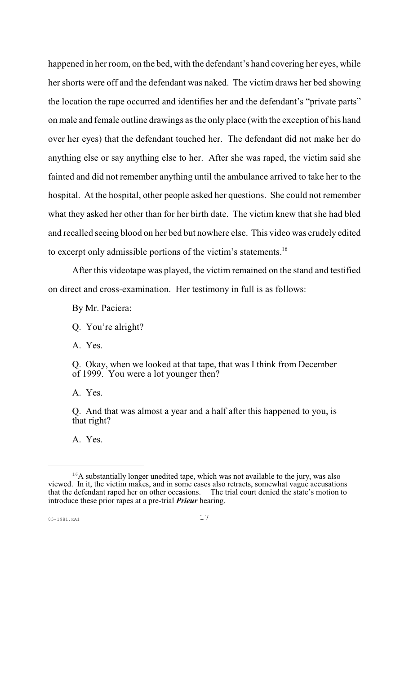happened in her room, on the bed, with the defendant's hand covering her eyes, while her shorts were off and the defendant was naked. The victim draws her bed showing the location the rape occurred and identifies her and the defendant's "private parts" on male and female outline drawings as the only place (with the exception of his hand over her eyes) that the defendant touched her. The defendant did not make her do anything else or say anything else to her. After she was raped, the victim said she fainted and did not remember anything until the ambulance arrived to take her to the hospital. At the hospital, other people asked her questions. She could not remember what they asked her other than for her birth date. The victim knew that she had bled and recalled seeing blood on her bed but nowhere else. This video was crudely edited to excerpt only admissible portions of the victim's statements.<sup>16</sup>

After this videotape was played, the victim remained on the stand and testified on direct and cross-examination. Her testimony in full is as follows:

By Mr. Paciera:

Q. You're alright?

A. Yes.

Q. Okay, when we looked at that tape, that was I think from December of 1999. You were a lot younger then?

A. Yes.

Q. And that was almost a year and a half after this happened to you, is that right?

A. Yes.

 $16A$  substantially longer unedited tape, which was not available to the jury, was also viewed. In it, the victim makes, and in some cases also retracts, somewhat vague accusations that the defendant raped her on other occasions. introduce these prior rapes at a pre-trial *Prieur* hearing.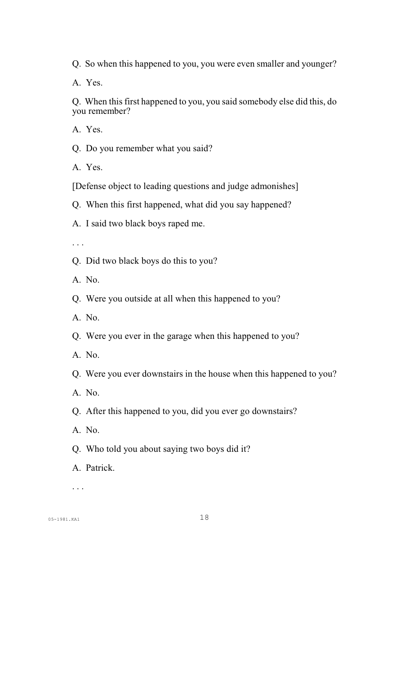Q. So when this happened to you, you were even smaller and younger?

A. Yes.

Q. When this first happened to you, you said somebody else did this, do you remember?

A. Yes.

Q. Do you remember what you said?

A. Yes.

[Defense object to leading questions and judge admonishes]

Q. When this first happened, what did you say happened?

A. I said two black boys raped me.

. . .

Q. Did two black boys do this to you?

A. No.

Q. Were you outside at all when this happened to you?

A. No.

Q. Were you ever in the garage when this happened to you?

A. No.

Q. Were you ever downstairs in the house when this happened to you?

A. No.

Q. After this happened to you, did you ever go downstairs?

A. No.

Q. Who told you about saying two boys did it?

A. Patrick.

. . .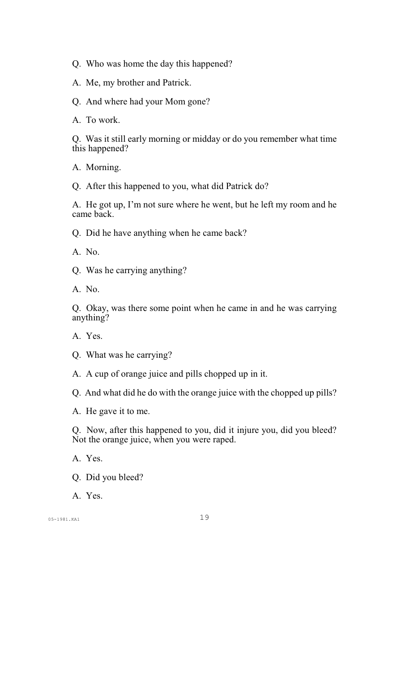Q. Who was home the day this happened?

A. Me, my brother and Patrick.

Q. And where had your Mom gone?

A. To work.

Q. Was it still early morning or midday or do you remember what time this happened?

A. Morning.

Q. After this happened to you, what did Patrick do?

A. He got up, I'm not sure where he went, but he left my room and he came back.

Q. Did he have anything when he came back?

A. No.

Q. Was he carrying anything?

A. No.

Q. Okay, was there some point when he came in and he was carrying anything?

A. Yes.

Q. What was he carrying?

A. A cup of orange juice and pills chopped up in it.

Q. And what did he do with the orange juice with the chopped up pills?

A. He gave it to me.

Q. Now, after this happened to you, did it injure you, did you bleed? Not the orange juice, when you were raped.

A. Yes.

Q. Did you bleed?

A. Yes.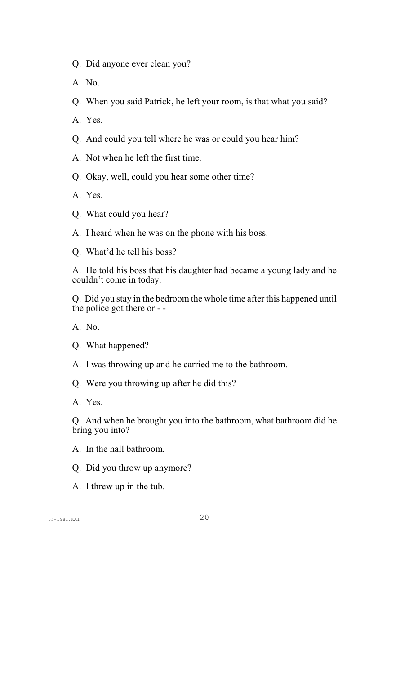- Q. Did anyone ever clean you?
- A. No.
- Q. When you said Patrick, he left your room, is that what you said?
- A. Yes.
- Q. And could you tell where he was or could you hear him?
- A. Not when he left the first time.
- Q. Okay, well, could you hear some other time?
- A. Yes.
- Q. What could you hear?
- A. I heard when he was on the phone with his boss.
- Q. What'd he tell his boss?

A. He told his boss that his daughter had became a young lady and he couldn't come in today.

Q. Did you stay in the bedroom the whole time after this happened until the police got there or - -

A. No.

- Q. What happened?
- A. I was throwing up and he carried me to the bathroom.
- Q. Were you throwing up after he did this?
- A. Yes.

Q. And when he brought you into the bathroom, what bathroom did he bring you into?

- A. In the hall bathroom.
- Q. Did you throw up anymore?
- A. I threw up in the tub.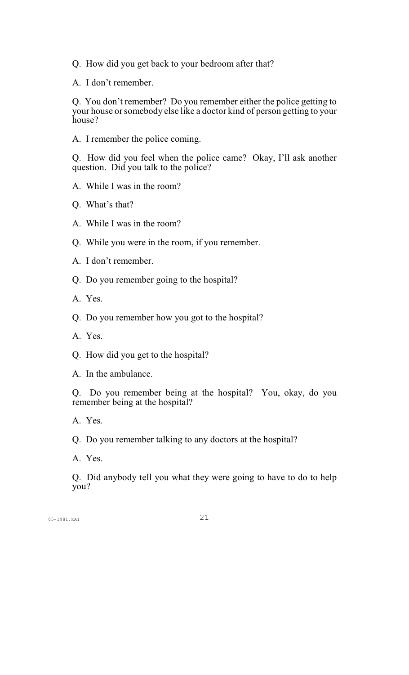- Q. How did you get back to your bedroom after that?
- A. I don't remember.

Q. You don't remember? Do you remember either the police getting to your house or somebody else like a doctor kind of person getting to your house?

A. I remember the police coming.

Q. How did you feel when the police came? Okay, I'll ask another question. Did you talk to the police?

- A. While I was in the room?
- Q. What's that?
- A. While I was in the room?
- Q. While you were in the room, if you remember.
- A. I don't remember.
- Q. Do you remember going to the hospital?
- A. Yes.
- Q. Do you remember how you got to the hospital?
- A. Yes.
- Q. How did you get to the hospital?
- A. In the ambulance.

Q. Do you remember being at the hospital? You, okay, do you remember being at the hospital?

A. Yes.

Q. Do you remember talking to any doctors at the hospital?

A. Yes.

Q. Did anybody tell you what they were going to have to do to help you?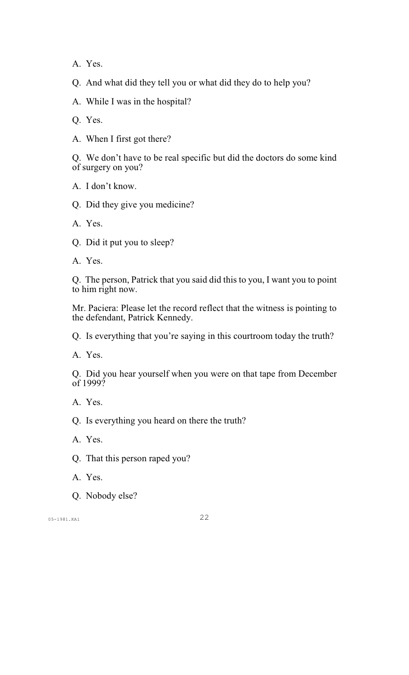A. Yes.

Q. And what did they tell you or what did they do to help you?

A. While I was in the hospital?

Q. Yes.

A. When I first got there?

Q. We don't have to be real specific but did the doctors do some kind of surgery on you?

A. I don't know.

Q. Did they give you medicine?

A. Yes.

Q. Did it put you to sleep?

A. Yes.

Q. The person, Patrick that you said did this to you, I want you to point to him right now.

Mr. Paciera: Please let the record reflect that the witness is pointing to the defendant, Patrick Kennedy.

Q. Is everything that you're saying in this courtroom today the truth?

A. Yes.

Q. Did you hear yourself when you were on that tape from December of 1999?

A. Yes.

Q. Is everything you heard on there the truth?

A. Yes.

Q. That this person raped you?

A. Yes.

Q. Nobody else?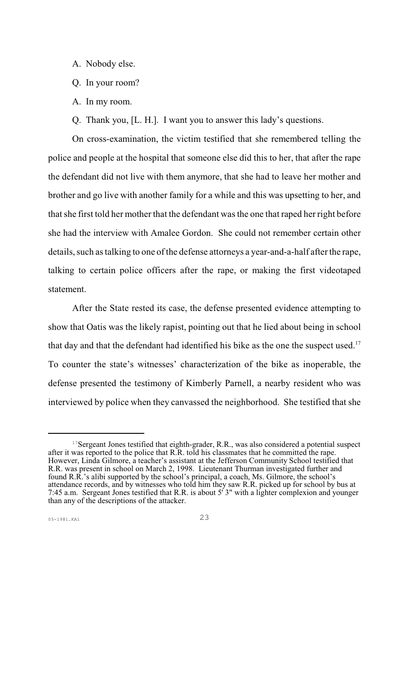- A. Nobody else.
- Q. In your room?
- A. In my room.

Q. Thank you, [L. H.]. I want you to answer this lady's questions.

On cross-examination, the victim testified that she remembered telling the police and people at the hospital that someone else did this to her, that after the rape the defendant did not live with them anymore, that she had to leave her mother and brother and go live with another family for a while and this was upsetting to her, and that she first told her mother that the defendant was the one that raped her right before she had the interview with Amalee Gordon. She could not remember certain other details, such as talking to one of the defense attorneys a year-and-a-half after the rape, talking to certain police officers after the rape, or making the first videotaped statement.

After the State rested its case, the defense presented evidence attempting to show that Oatis was the likely rapist, pointing out that he lied about being in school that day and that the defendant had identified his bike as the one the suspect used.<sup>17</sup> To counter the state's witnesses' characterization of the bike as inoperable, the defense presented the testimony of Kimberly Parnell, a nearby resident who was interviewed by police when they canvassed the neighborhood. She testified that she

 $17$ Sergeant Jones testified that eighth-grader, R.R., was also considered a potential suspect after it was reported to the police that R.R. told his classmates that he committed the rape. However, Linda Gilmore, a teacher's assistant at the Jefferson Community School testified that R.R. was present in school on March 2, 1998. Lieutenant Thurman investigated further and found R.R.'s alibi supported by the school's principal, a coach, Ms. Gilmore, the school's attendance records, and by witnesses who told him they saw R.R. picked up for school by bus at 7:45 a.m. Sergeant Jones testified that R.R. is about 5' 3" with a lighter complexion and younger than any of the descriptions of the attacker.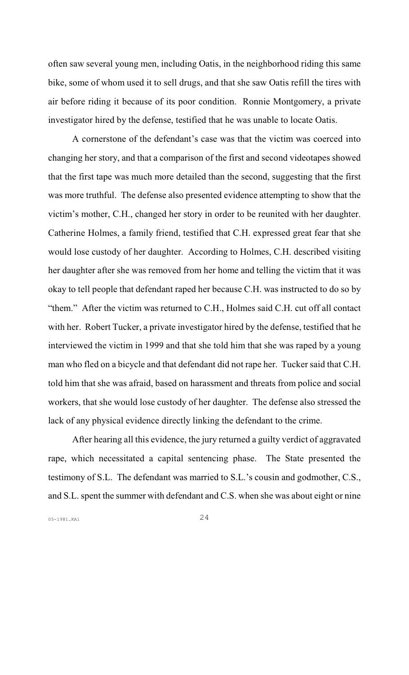often saw several young men, including Oatis, in the neighborhood riding this same bike, some of whom used it to sell drugs, and that she saw Oatis refill the tires with air before riding it because of its poor condition. Ronnie Montgomery, a private investigator hired by the defense, testified that he was unable to locate Oatis.

A cornerstone of the defendant's case was that the victim was coerced into changing her story, and that a comparison of the first and second videotapes showed that the first tape was much more detailed than the second, suggesting that the first was more truthful. The defense also presented evidence attempting to show that the victim's mother, C.H., changed her story in order to be reunited with her daughter. Catherine Holmes, a family friend, testified that C.H. expressed great fear that she would lose custody of her daughter. According to Holmes, C.H. described visiting her daughter after she was removed from her home and telling the victim that it was okay to tell people that defendant raped her because C.H. was instructed to do so by "them." After the victim was returned to C.H., Holmes said C.H. cut off all contact with her. Robert Tucker, a private investigator hired by the defense, testified that he interviewed the victim in 1999 and that she told him that she was raped by a young man who fled on a bicycle and that defendant did not rape her. Tucker said that C.H. told him that she was afraid, based on harassment and threats from police and social workers, that she would lose custody of her daughter. The defense also stressed the lack of any physical evidence directly linking the defendant to the crime.

After hearing all this evidence, the jury returned a guilty verdict of aggravated rape, which necessitated a capital sentencing phase. The State presented the testimony of S.L. The defendant was married to S.L.'s cousin and godmother, C.S., and S.L. spent the summer with defendant and C.S. when she was about eight or nine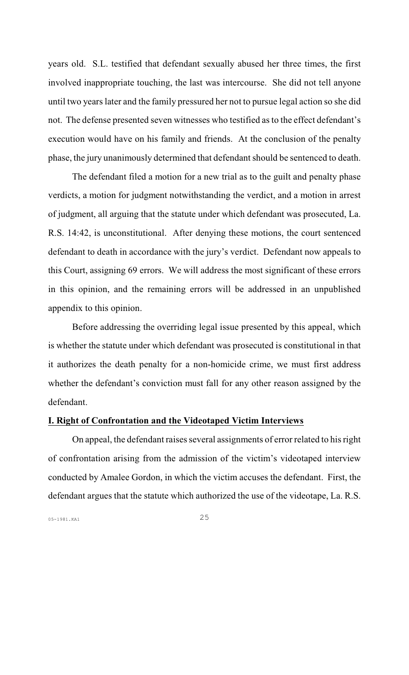years old. S.L. testified that defendant sexually abused her three times, the first involved inappropriate touching, the last was intercourse. She did not tell anyone until two years later and the family pressured her not to pursue legal action so she did not. The defense presented seven witnesses who testified as to the effect defendant's execution would have on his family and friends. At the conclusion of the penalty phase, the jury unanimously determined that defendant should be sentenced to death.

The defendant filed a motion for a new trial as to the guilt and penalty phase verdicts, a motion for judgment notwithstanding the verdict, and a motion in arrest of judgment, all arguing that the statute under which defendant was prosecuted, La. R.S. 14:42, is unconstitutional. After denying these motions, the court sentenced defendant to death in accordance with the jury's verdict. Defendant now appeals to this Court, assigning 69 errors. We will address the most significant of these errors in this opinion, and the remaining errors will be addressed in an unpublished appendix to this opinion.

Before addressing the overriding legal issue presented by this appeal, which is whether the statute under which defendant was prosecuted is constitutional in that it authorizes the death penalty for a non-homicide crime, we must first address whether the defendant's conviction must fall for any other reason assigned by the defendant.

### **I. Right of Confrontation and the Videotaped Victim Interviews**

On appeal, the defendant raises several assignments of error related to his right of confrontation arising from the admission of the victim's videotaped interview conducted by Amalee Gordon, in which the victim accuses the defendant. First, the defendant argues that the statute which authorized the use of the videotape, La. R.S.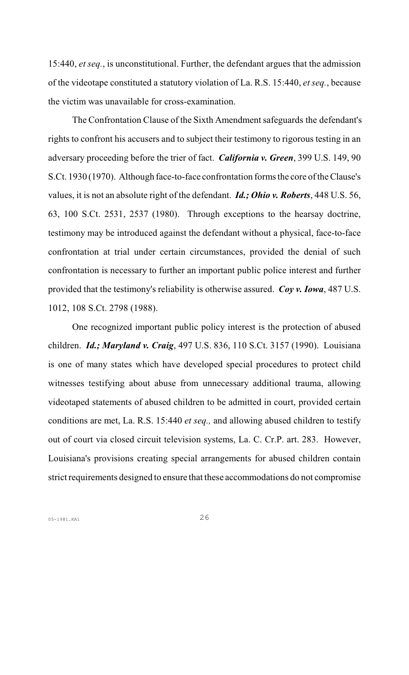15:440, *et seq.*, is unconstitutional. Further, the defendant argues that the admission of the videotape constituted a statutory violation of La. R.S. 15:440, *et seq.*, because the victim was unavailable for cross-examination.

The Confrontation Clause of the Sixth Amendment safeguards the defendant's rights to confront his accusers and to subject their testimony to rigorous testing in an adversary proceeding before the trier of fact. *California v. Green*, 399 U.S. 149, 90 S.Ct. 1930 (1970). Although face-to-face confrontation forms the core of the Clause's values, it is not an absolute right of the defendant. *Id.; Ohio v. Roberts*, 448 U.S. 56, 63, 100 S.Ct. 2531, 2537 (1980). Through exceptions to the hearsay doctrine, testimony may be introduced against the defendant without a physical, face-to-face confrontation at trial under certain circumstances, provided the denial of such confrontation is necessary to further an important public police interest and further provided that the testimony's reliability is otherwise assured. *Coy v. Iowa*, 487 U.S. 1012, 108 S.Ct. 2798 (1988).

One recognized important public policy interest is the protection of abused children. *Id.; Maryland v. Craig*, 497 U.S. 836, 110 S.Ct. 3157 (1990). Louisiana is one of many states which have developed special procedures to protect child witnesses testifying about abuse from unnecessary additional trauma, allowing videotaped statements of abused children to be admitted in court, provided certain conditions are met, La. R.S. 15:440 *et seq.,* and allowing abused children to testify out of court via closed circuit television systems, La. C. Cr.P. art. 283. However, Louisiana's provisions creating special arrangements for abused children contain strict requirements designed to ensure that these accommodations do not compromise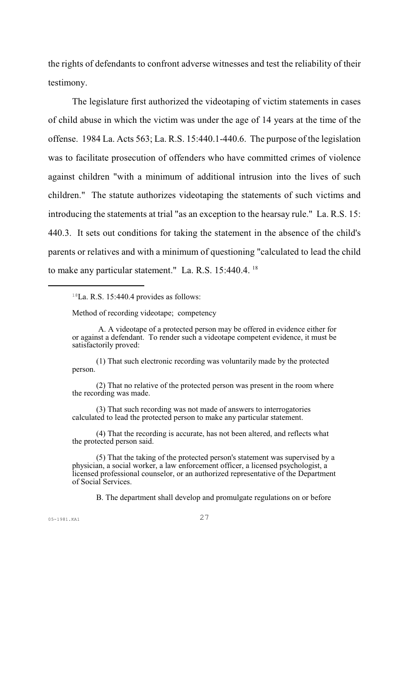the rights of defendants to confront adverse witnesses and test the reliability of their testimony.

The legislature first authorized the videotaping of victim statements in cases of child abuse in which the victim was under the age of 14 years at the time of the offense. 1984 La. Acts 563; La. R.S. 15:440.1-440.6. The purpose of the legislation was to facilitate prosecution of offenders who have committed crimes of violence against children "with a minimum of additional intrusion into the lives of such children." The statute authorizes videotaping the statements of such victims and introducing the statements at trial "as an exception to the hearsay rule." La. R.S. 15: 440.3. It sets out conditions for taking the statement in the absence of the child's parents or relatives and with a minimum of questioning "calculated to lead the child to make any particular statement." La. R.S. 15:440.4. <sup>18</sup>

Method of recording videotape; competency

(1) That such electronic recording was voluntarily made by the protected person.

(2) That no relative of the protected person was present in the room where the recording was made.

(3) That such recording was not made of answers to interrogatories calculated to lead the protected person to make any particular statement.

(4) That the recording is accurate, has not been altered, and reflects what the protected person said.

(5) That the taking of the protected person's statement was supervised by a physician, a social worker, a law enforcement officer, a licensed psychologist, a licensed professional counselor, or an authorized representative of the Department of Social Services.

B. The department shall develop and promulgate regulations on or before

 $18$ La. R.S. 15:440.4 provides as follows:

A. A videotape of a protected person may be offered in evidence either for or against a defendant. To render such a videotape competent evidence, it must be satisfactorily proved: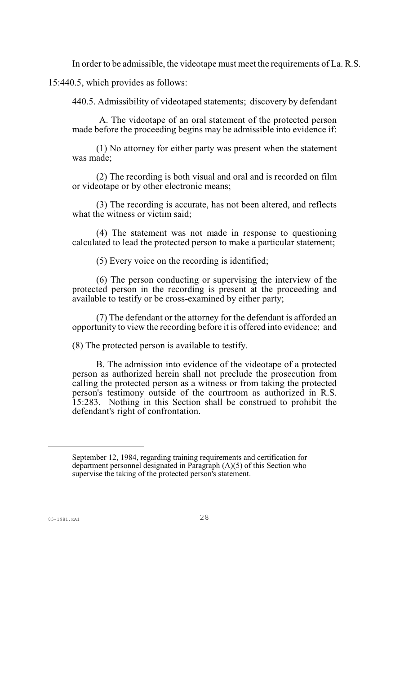In order to be admissible, the videotape must meet the requirements of La. R.S.

15:440.5, which provides as follows:

440.5. Admissibility of videotaped statements; discovery by defendant

 A. The videotape of an oral statement of the protected person made before the proceeding begins may be admissible into evidence if:

(1) No attorney for either party was present when the statement was made;

(2) The recording is both visual and oral and is recorded on film or videotape or by other electronic means;

(3) The recording is accurate, has not been altered, and reflects what the witness or victim said;

(4) The statement was not made in response to questioning calculated to lead the protected person to make a particular statement;

(5) Every voice on the recording is identified;

(6) The person conducting or supervising the interview of the protected person in the recording is present at the proceeding and available to testify or be cross-examined by either party;

(7) The defendant or the attorney for the defendant is afforded an opportunity to view the recording before it is offered into evidence; and

(8) The protected person is available to testify.

B. The admission into evidence of the videotape of a protected person as authorized herein shall not preclude the prosecution from calling the protected person as a witness or from taking the protected person's testimony outside of the courtroom as authorized in R.S. 15:283. Nothing in this Section shall be construed to prohibit the defendant's right of confrontation.

September 12, 1984, regarding training requirements and certification for department personnel designated in Paragraph (A)(5) of this Section who supervise the taking of the protected person's statement.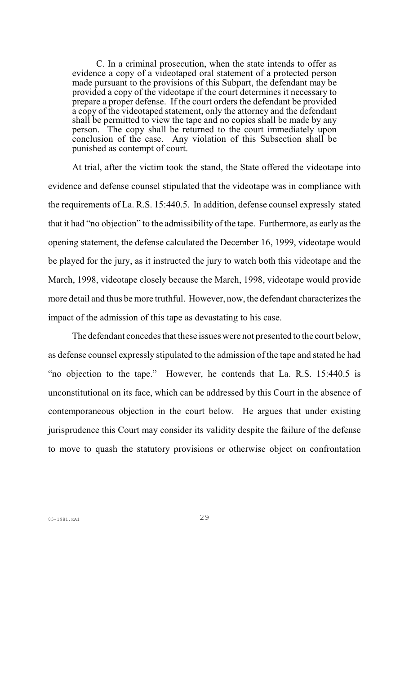C. In a criminal prosecution, when the state intends to offer as evidence a copy of a videotaped oral statement of a protected person made pursuant to the provisions of this Subpart, the defendant may be provided a copy of the videotape if the court determines it necessary to prepare a proper defense. If the court orders the defendant be provided a copy of the videotaped statement, only the attorney and the defendant shall be permitted to view the tape and no copies shall be made by any person. The copy shall be returned to the court immediately upon conclusion of the case. Any violation of this Subsection shall be punished as contempt of court.

At trial, after the victim took the stand, the State offered the videotape into evidence and defense counsel stipulated that the videotape was in compliance with the requirements of La. R.S. 15:440.5. In addition, defense counsel expressly stated that it had "no objection" to the admissibility of the tape. Furthermore, as early as the opening statement, the defense calculated the December 16, 1999, videotape would be played for the jury, as it instructed the jury to watch both this videotape and the March, 1998, videotape closely because the March, 1998, videotape would provide more detail and thus be more truthful. However, now, the defendant characterizes the impact of the admission of this tape as devastating to his case.

The defendant concedes that these issues were not presented to the court below, as defense counsel expressly stipulated to the admission of the tape and stated he had "no objection to the tape." However, he contends that La. R.S. 15:440.5 is unconstitutional on its face, which can be addressed by this Court in the absence of contemporaneous objection in the court below. He argues that under existing jurisprudence this Court may consider its validity despite the failure of the defense to move to quash the statutory provisions or otherwise object on confrontation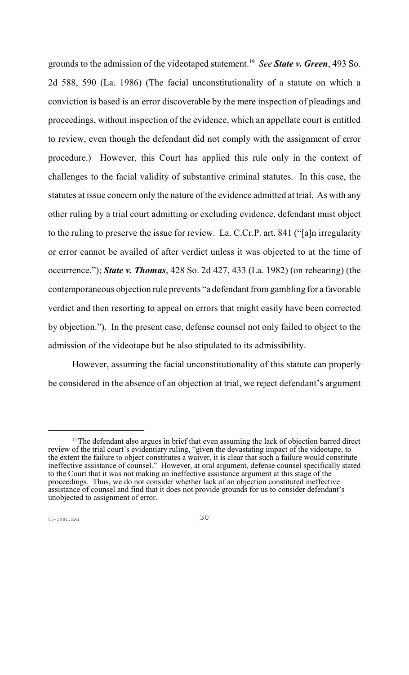grounds to the admission of the videotaped statement. *See State v. Green*, 493 So. <sup>19</sup> 2d 588, 590 (La. 1986) (The facial unconstitutionality of a statute on which a conviction is based is an error discoverable by the mere inspection of pleadings and proceedings, without inspection of the evidence, which an appellate court is entitled to review, even though the defendant did not comply with the assignment of error procedure.) However, this Court has applied this rule only in the context of challenges to the facial validity of substantive criminal statutes. In this case, the statutes at issue concern only the nature of the evidence admitted at trial. As with any other ruling by a trial court admitting or excluding evidence, defendant must object to the ruling to preserve the issue for review. La. C.Cr.P. art. 841 ("[a]n irregularity or error cannot be availed of after verdict unless it was objected to at the time of occurrence."); *State v. Thomas*, 428 So. 2d 427, 433 (La. 1982) (on rehearing) (the contemporaneous objection rule prevents "a defendant fromgambling for a favorable verdict and then resorting to appeal on errors that might easily have been corrected by objection."). In the present case, defense counsel not only failed to object to the admission of the videotape but he also stipulated to its admissibility.

However, assuming the facial unconstitutionality of this statute can properly be considered in the absence of an objection at trial, we reject defendant's argument

<sup>&</sup>lt;sup>19</sup>The defendant also argues in brief that even assuming the lack of objection barred direct review of the trial court's evidentiary ruling, "given the devastating impact of the videotape, to the extent the failure to object constitutes a waiver, it is clear that such a failure would constitute ineffective assistance of counsel." However, at oral argument, defense counsel specifically stated to the Court that it was not making an ineffective assistance argument at this stage of the proceedings. Thus, we do not consider whether lack of an objection constituted ineffective assistance of counsel and find that it does not provide grounds for us to consider defendant's unobjected to assignment of error.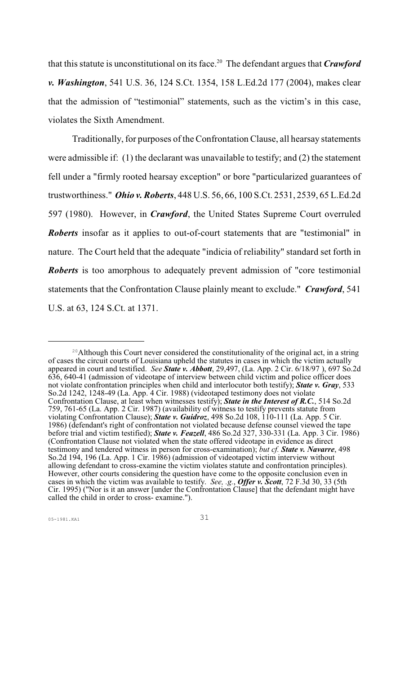that this statute is unconstitutional on its face.<sup>20</sup> The defendant argues that **Crawford** *v. Washington*, 541 U.S. 36, 124 S.Ct. 1354, 158 L.Ed.2d 177 (2004), makes clear that the admission of "testimonial" statements, such as the victim's in this case, violates the Sixth Amendment.

Traditionally, for purposes of the Confrontation Clause, all hearsay statements were admissible if: (1) the declarant was unavailable to testify; and (2) the statement fell under a "firmly rooted hearsay exception" or bore "particularized guarantees of trustworthiness." *Ohio v. Roberts*, 448 U.S. 56, 66, 100 S.Ct. 2531, 2539, 65 L.Ed.2d 597 (1980). However, in *Crawford*, the United States Supreme Court overruled *Roberts* insofar as it applies to out-of-court statements that are "testimonial" in nature. The Court held that the adequate "indicia of reliability" standard set forth in *Roberts* is too amorphous to adequately prevent admission of "core testimonial statements that the Confrontation Clause plainly meant to exclude." *Crawford*, 541 U.S. at 63, 124 S.Ct. at 1371.

<sup>&</sup>lt;sup>20</sup> Although this Court never considered the constitutionality of the original act, in a string of cases the circuit courts of Louisiana upheld the statutes in cases in which the victim actually appeared in court and testified. *See State v. Abbott*, 29,497, (La. App. 2 Cir. 6/18/97 ), 697 So.2d 636, 640-41 (admission of videotape of interview between child victim and police officer does not violate confrontation principles when child and interlocutor both testify); *State v. Gray*, 533 So.2d 1242, 1248-49 (La. App. 4 Cir. 1988) (videotaped testimony does not violate Confrontation Clause, at least when witnesses testify); *State in the Interest of R.C.*, 514 So.2d 759, 761-65 (La. App. 2 Cir. 1987) (availability of witness to testify prevents statute from violating Confrontation Clause); *State v. Guidroz*, 498 So.2d 108, 110-111 (La. App. 5 Cir. 1986) (defendant's right of confrontation not violated because defense counsel viewed the tape before trial and victim testified); *State v. Feazell*, 486 So.2d 327, 330-331 (La. App. 3 Cir. 1986) (Confrontation Clause not violated when the state offered videotape in evidence as direct testimony and tendered witness in person for cross-examination); *but cf. State v. Navarre*, 498 So.2d 194, 196 (La. App. 1 Cir. 1986) (admission of videotaped victim interview without allowing defendant to cross-examine the victim violates statute and confrontation principles). However, other courts considering the question have come to the opposite conclusion even in cases in which the victim was available to testify. *See, .g.*, *Offer v. Scott*, 72 F.3d 30, 33 (5th Cir. 1995) ("Nor is it an answer [under the Confrontation Clause] that the defendant might have called the child in order to cross- examine.").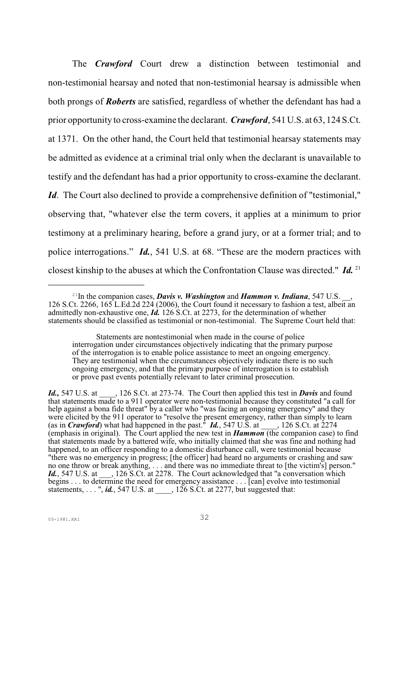The *Crawford* Court drew a distinction between testimonial and non-testimonial hearsay and noted that non-testimonial hearsay is admissible when both prongs of *Roberts* are satisfied, regardless of whether the defendant has had a prior opportunity to cross-examine the declarant. *Crawford*, 541 U.S. at 63, 124 S.Ct. at 1371. On the other hand, the Court held that testimonial hearsay statements may be admitted as evidence at a criminal trial only when the declarant is unavailable to testify and the defendant has had a prior opportunity to cross-examine the declarant. *Id*. The Court also declined to provide a comprehensive definition of "testimonial," observing that, "whatever else the term covers, it applies at a minimum to prior testimony at a preliminary hearing, before a grand jury, or at a former trial; and to police interrogations." *Id.*, 541 U.S. at 68. "These are the modern practices with closest kinship to the abuses at which the Confrontation Clause was directed." *Id.* <sup>21</sup>

*Id.,* 547 U.S. at \_\_\_\_, 126 S.Ct. at 273-74. The Court then applied this test in *Davis* and found that statements made to a 911 operator were non-testimonial because they constituted "a call for help against a bona fide threat" by a caller who "was facing an ongoing emergency" and they were elicited by the 911 operator to "resolve the present emergency, rather than simply to learn (as in *Crawford*) what had happened in the past." *Id.*, 547 U.S. at \_\_\_\_, 126 S.Ct. at 2274 (emphasis in original). The Court applied the new test in *Hammon* (the companion case) to find that statements made by a battered wife, who initially claimed that she was fine and nothing had happened, to an officer responding to a domestic disturbance call, were testimonial because "there was no emergency in progress; [the officer] had heard no arguments or crashing and saw no one throw or break anything, . . . and there was no immediate threat to [the victim's] person." Id., 547 U.S. at <sub>13</sub>, 126 S.Ct. at 2278. The Court acknowledged that "a conversation which begins . . . to determine the need for emergency assistance . . . [can] evolve into testimonial statements, . . . ", *id.*, 547 U.S. at \_\_\_\_, 126 S.Ct. at 2277, but suggested that:

 $^{21}$ In the companion cases, *Davis v. Washington* and *Hammon v. Indiana*, 547 U.S. 126 S.Ct. 2266, 165 L.Ed.2d 224 (2006), the Court found it necessary to fashion a test, albeit an admittedly non-exhaustive one, *Id.* 126 S.Ct. at 2273, for the determination of whether statements should be classified as testimonial or non-testimonial. The Supreme Court held that:

Statements are nontestimonial when made in the course of police interrogation under circumstances objectively indicating that the primary purpose of the interrogation is to enable police assistance to meet an ongoing emergency. They are testimonial when the circumstances objectively indicate there is no such ongoing emergency, and that the primary purpose of interrogation is to establish or prove past events potentially relevant to later criminal prosecution.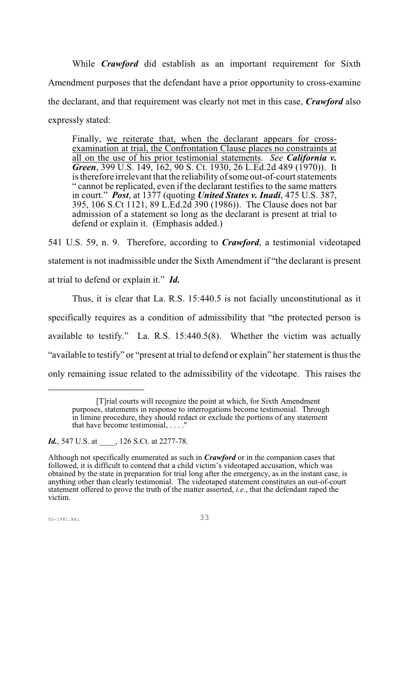While *Crawford* did establish as an important requirement for Sixth Amendment purposes that the defendant have a prior opportunity to cross-examine the declarant, and that requirement was clearly not met in this case, *Crawford* also expressly stated:

Finally, we reiterate that, when the declarant appears for crossexamination at trial, the Confrontation Clause places no constraints at all on the use of his prior testimonial statements. *See California v. Green*, 399 U.S. 149, 162, 90 S. Ct. 1930, 26 L.Ed.2d 489 (1970)). It is therefore irrelevant that the reliability of some out-of-court statements " cannot be replicated, even if the declarant testifies to the same matters in court." *Post*, at 1377 (quoting *United States v. Inadi*, 475 U.S. 387, 395, 106 S.Ct 1121, 89 L.Ed.2d 390 (1986)). The Clause does not bar admission of a statement so long as the declarant is present at trial to defend or explain it. (Emphasis added.)

541 U.S. 59, n. 9. Therefore, according to *Crawford*, a testimonial videotaped statement is not inadmissible under the Sixth Amendment if "the declarant is present at trial to defend or explain it." *Id.* 

Thus, it is clear that La. R.S. 15:440.5 is not facially unconstitutional as it specifically requires as a condition of admissibility that "the protected person is available to testify." La. R.S. 15:440.5(8). Whether the victim was actually "available to testify" or "present at trial to defend or explain" her statement is thus the only remaining issue related to the admissibility of the videotape. This raises the

<sup>[</sup>T]rial courts will recognize the point at which, for Sixth Amendment purposes, statements in response to interrogations become testimonial. Through in limine procedure, they should redact or exclude the portions of any statement that have become testimonial, . . . ."

*Id.*, 547 U.S. at  $\qquad$ , 126 S.Ct. at 2277-78.

Although not specifically enumerated as such in *Crawford* or in the companion cases that followed, it is difficult to contend that a child victim's videotaped accusation, which was obtained by the state in preparation for trial long after the emergency, as in the instant case, is anything other than clearly testimonial. The videotaped statement constitutes an out-of-court statement offered to prove the truth of the matter asserted, *i.e.*, that the defendant raped the victim.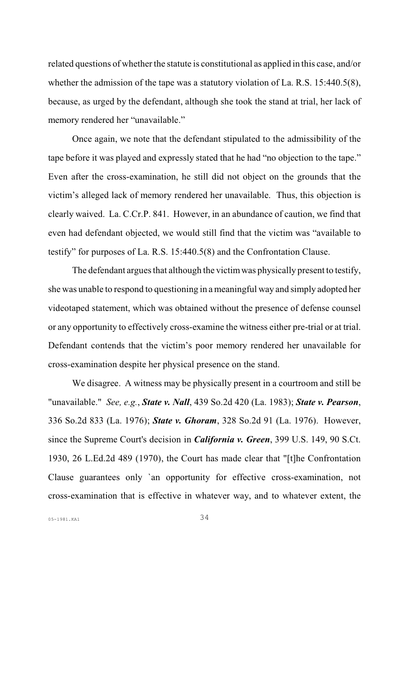related questions of whether the statute is constitutional as applied in this case, and/or whether the admission of the tape was a statutory violation of La. R.S. 15:440.5(8), because, as urged by the defendant, although she took the stand at trial, her lack of memory rendered her "unavailable."

Once again, we note that the defendant stipulated to the admissibility of the tape before it was played and expressly stated that he had "no objection to the tape." Even after the cross-examination, he still did not object on the grounds that the victim's alleged lack of memory rendered her unavailable. Thus, this objection is clearly waived. La. C.Cr.P. 841. However, in an abundance of caution, we find that even had defendant objected, we would still find that the victim was "available to testify" for purposes of La. R.S. 15:440.5(8) and the Confrontation Clause.

The defendant argues that although the victim was physically present to testify, she was unable to respond to questioning in a meaningful way and simply adopted her videotaped statement, which was obtained without the presence of defense counsel or any opportunity to effectively cross-examine the witness either pre-trial or at trial. Defendant contends that the victim's poor memory rendered her unavailable for cross-examination despite her physical presence on the stand.

We disagree. A witness may be physically present in a courtroom and still be "unavailable." *See, e.g.*, *State v. Nall*, 439 So.2d 420 (La. 1983); *State v. Pearson*, 336 So.2d 833 (La. 1976); *State v. Ghoram*, 328 So.2d 91 (La. 1976). However, since the Supreme Court's decision in *California v. Green*, 399 U.S. 149, 90 S.Ct. 1930, 26 L.Ed.2d 489 (1970), the Court has made clear that "[t]he Confrontation Clause guarantees only `an opportunity for effective cross-examination, not cross-examination that is effective in whatever way, and to whatever extent, the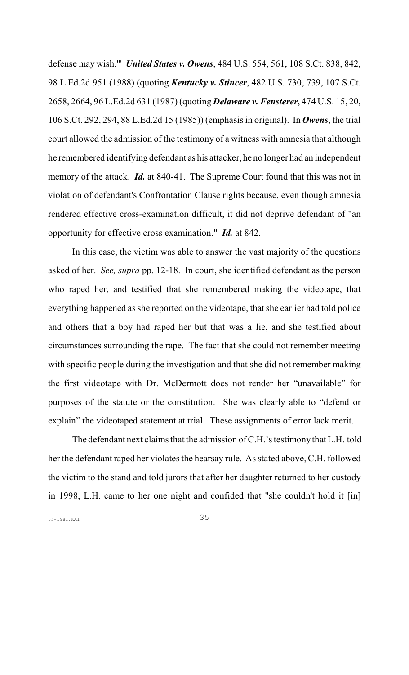defense may wish.'" *United States v. Owens*, 484 U.S. 554, 561, 108 S.Ct. 838, 842, 98 L.Ed.2d 951 (1988) (quoting *Kentucky v. Stincer*, 482 U.S. 730, 739, 107 S.Ct. 2658, 2664, 96 L.Ed.2d 631 (1987) (quoting *Delaware v. Fensterer*, 474 U.S. 15, 20, 106 S.Ct. 292, 294, 88 L.Ed.2d 15 (1985)) (emphasis in original). In *Owens*, the trial court allowed the admission of the testimony of a witness with amnesia that although he remembered identifying defendant as his attacker, he no longer had an independent memory of the attack. *Id.* at 840-41. The Supreme Court found that this was not in violation of defendant's Confrontation Clause rights because, even though amnesia rendered effective cross-examination difficult, it did not deprive defendant of "an opportunity for effective cross examination." *Id.* at 842.

In this case, the victim was able to answer the vast majority of the questions asked of her. *See, supra* pp. 12-18. In court, she identified defendant as the person who raped her, and testified that she remembered making the videotape, that everything happened as she reported on the videotape, that she earlier had told police and others that a boy had raped her but that was a lie, and she testified about circumstances surrounding the rape. The fact that she could not remember meeting with specific people during the investigation and that she did not remember making the first videotape with Dr. McDermott does not render her "unavailable" for purposes of the statute or the constitution. She was clearly able to "defend or explain" the videotaped statement at trial. These assignments of error lack merit.

The defendant next claims that the admission ofC.H.'s testimony that L.H. told her the defendant raped her violates the hearsay rule. As stated above, C.H. followed the victim to the stand and told jurors that after her daughter returned to her custody in 1998, L.H. came to her one night and confided that "she couldn't hold it [in]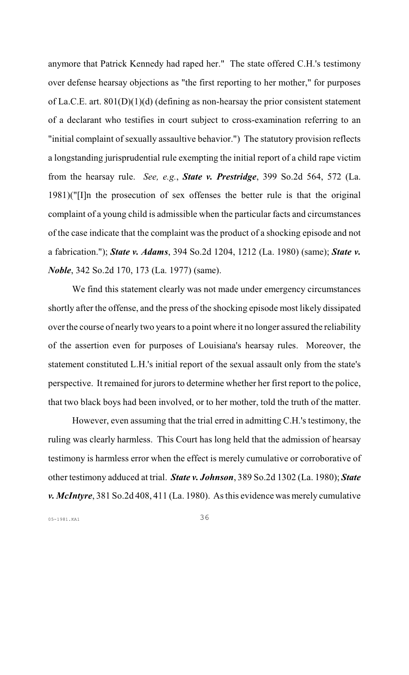anymore that Patrick Kennedy had raped her." The state offered C.H.'s testimony over defense hearsay objections as "the first reporting to her mother," for purposes of La.C.E. art. 801(D)(1)(d) (defining as non-hearsay the prior consistent statement of a declarant who testifies in court subject to cross-examination referring to an "initial complaint of sexually assaultive behavior.") The statutory provision reflects a longstanding jurisprudential rule exempting the initial report of a child rape victim from the hearsay rule. *See, e.g.*, *State v. Prestridge*, 399 So.2d 564, 572 (La. 1981)("[I]n the prosecution of sex offenses the better rule is that the original complaint of a young child is admissible when the particular facts and circumstances of the case indicate that the complaint was the product of a shocking episode and not a fabrication."); *State v. Adams*, 394 So.2d 1204, 1212 (La. 1980) (same); *State v. Noble*, 342 So.2d 170, 173 (La. 1977) (same).

We find this statement clearly was not made under emergency circumstances shortly after the offense, and the press of the shocking episode most likely dissipated over the course of nearly two years to a point where it no longer assured the reliability of the assertion even for purposes of Louisiana's hearsay rules. Moreover, the statement constituted L.H.'s initial report of the sexual assault only from the state's perspective. It remained for jurors to determine whether her first report to the police, that two black boys had been involved, or to her mother, told the truth of the matter.

However, even assuming that the trial erred in admitting C.H.'s testimony, the ruling was clearly harmless. This Court has long held that the admission of hearsay testimony is harmless error when the effect is merely cumulative or corroborative of other testimony adduced at trial. *State v. Johnson*, 389 So.2d 1302 (La. 1980); *State v. McIntyre*, 381 So.2d 408, 411 (La. 1980). As this evidence was merely cumulative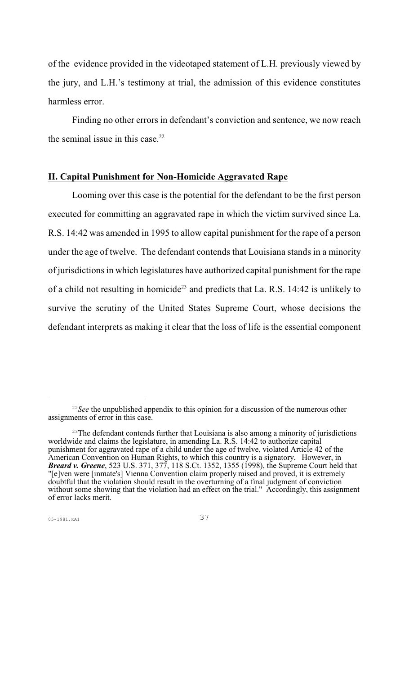of the evidence provided in the videotaped statement of L.H. previously viewed by the jury, and L.H.'s testimony at trial, the admission of this evidence constitutes harmless error.

Finding no other errors in defendant's conviction and sentence, we now reach the seminal issue in this case. $22$ 

# **II. Capital Punishment for Non-Homicide Aggravated Rape**

Looming over this case is the potential for the defendant to be the first person executed for committing an aggravated rape in which the victim survived since La. R.S. 14:42 was amended in 1995 to allow capital punishment for the rape of a person under the age of twelve. The defendant contends that Louisiana stands in a minority of jurisdictions in which legislatures have authorized capital punishment for the rape of a child not resulting in homicide<sup>23</sup> and predicts that La. R.S. 14:42 is unlikely to survive the scrutiny of the United States Supreme Court, whose decisions the defendant interprets as making it clear that the loss of life is the essential component

 $\frac{22}{2}$  See the unpublished appendix to this opinion for a discussion of the numerous other assignments of error in this case.

<sup>&</sup>lt;sup>23</sup>The defendant contends further that Louisiana is also among a minority of jurisdictions worldwide and claims the legislature, in amending La. R.S. 14:42 to authorize capital punishment for aggravated rape of a child under the age of twelve, violated Article 42 of the American Convention on Human Rights, to which this country is a signatory. However, in *Breard v. Greene*, 523 U.S. 371, 377, 118 S.Ct. 1352, 1355 (1998), the Supreme Court held that "[e]ven were [inmate's] Vienna Convention claim properly raised and proved, it is extremely doubtful that the violation should result in the overturning of a final judgment of conviction without some showing that the violation had an effect on the trial." Accordingly, this assignment of error lacks merit.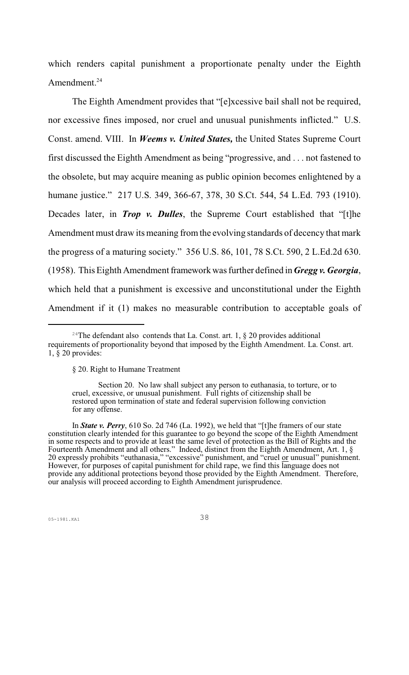which renders capital punishment a proportionate penalty under the Eighth Amendment.<sup>24</sup>

The Eighth Amendment provides that "[e]xcessive bail shall not be required, nor excessive fines imposed, nor cruel and unusual punishments inflicted." U.S. Const. amend. VIII. In *Weems v. United States,* the United States Supreme Court first discussed the Eighth Amendment as being "progressive, and . . . not fastened to the obsolete, but may acquire meaning as public opinion becomes enlightened by a humane justice." 217 U.S. 349, 366-67, 378, 30 S.Ct. 544, 54 L.Ed. 793 (1910). Decades later, in *Trop v. Dulles*, the Supreme Court established that "[t]he Amendment must draw its meaning fromthe evolving standards of decency that mark the progress of a maturing society." 356 U.S. 86, 101, 78 S.Ct. 590, 2 L.Ed.2d 630. (1958). This Eighth Amendment framework was further defined in *Gregg v. Georgia*, which held that a punishment is excessive and unconstitutional under the Eighth Amendment if it (1) makes no measurable contribution to acceptable goals of

<sup>&</sup>lt;sup>24</sup>The defendant also contends that La. Const. art. 1,  $\S$  20 provides additional requirements of proportionality beyond that imposed by the Eighth Amendment. La. Const. art.  $1, \overline{\S}$  20 provides:

<sup>§ 20.</sup> Right to Humane Treatment

Section 20. No law shall subject any person to euthanasia, to torture, or to cruel, excessive, or unusual punishment. Full rights of citizenship shall be restored upon termination of state and federal supervision following conviction for any offense.

In *State v. Perry*, 610 So. 2d 746 (La. 1992), we held that "[t]he framers of our state constitution clearly intended for this guarantee to go beyond the scope of the Eighth Amendment in some respects and to provide at least the same level of protection as the Bill of Rights and the Fourteenth Amendment and all others." Indeed, distinct from the Eighth Amendment, Art. 1, § 20 expressly prohibits "euthanasia," "excessive" punishment, and "cruel or unusual" punishment. However, for purposes of capital punishment for child rape, we find this language does not provide any additional protections beyond those provided by the Eighth Amendment. Therefore, our analysis will proceed according to Eighth Amendment jurisprudence.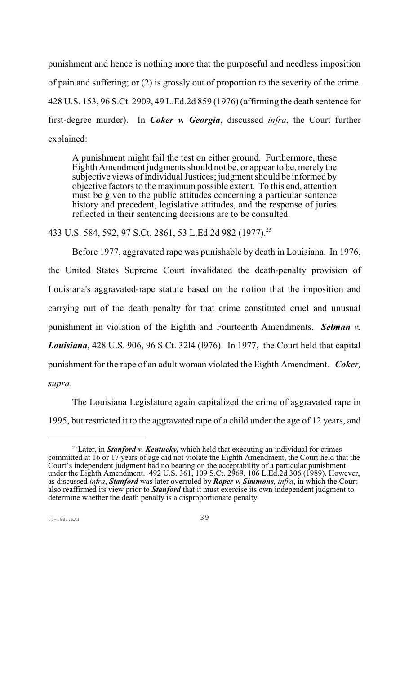punishment and hence is nothing more that the purposeful and needless imposition of pain and suffering; or (2) is grossly out of proportion to the severity of the crime. 428 U.S. 153, 96 S.Ct. 2909, 49 L.Ed.2d 859 (1976) (affirming the death sentence for first-degree murder). In *Coker v. Georgia*, discussed *infra*, the Court further explained:

A punishment might fail the test on either ground. Furthermore, these Eighth Amendment judgments should not be, or appearto be, merely the subjective views of individual Justices; judgment should be informed by objective factors to the maximumpossible extent. To this end, attention must be given to the public attitudes concerning a particular sentence history and precedent, legislative attitudes, and the response of juries reflected in their sentencing decisions are to be consulted.

433 U.S. 584, 592, 97 S.Ct. 2861, 53 L.Ed.2d 982 (1977).<sup>25</sup>

Before 1977, aggravated rape was punishable by death in Louisiana. In 1976, the United States Supreme Court invalidated the death-penalty provision of Louisiana's aggravated-rape statute based on the notion that the imposition and carrying out of the death penalty for that crime constituted cruel and unusual punishment in violation of the Eighth and Fourteenth Amendments. *Selman v. Louisiana*, 428 U.S. 906, 96 S.Ct. 32l4 (l976). In 1977, the Court held that capital punishment for the rape of an adult woman violated the Eighth Amendment. *Coker, supra*.

The Louisiana Legislature again capitalized the crime of aggravated rape in 1995, but restricted it to the aggravated rape of a child under the age of 12 years, and

<sup>&</sup>lt;sup>25</sup> Later, in **Stanford v. Kentucky,** which held that executing an individual for crimes committed at 16 or 17 years of age did not violate the Eighth Amendment, the Court held that the Court's independent judgment had no bearing on the acceptability of a particular punishment under the Eighth Amendment. 492 U.S. 361, 109 S.Ct. 2969, 106 L.Ed.2d 306 (1989). However, as discussed *infra*, *Stanford* was later overruled by *Roper v. Simmons, infra*, in which the Court also reaffirmed its view prior to *Stanford* that it must exercise its own independent judgment to determine whether the death penalty is a disproportionate penalty.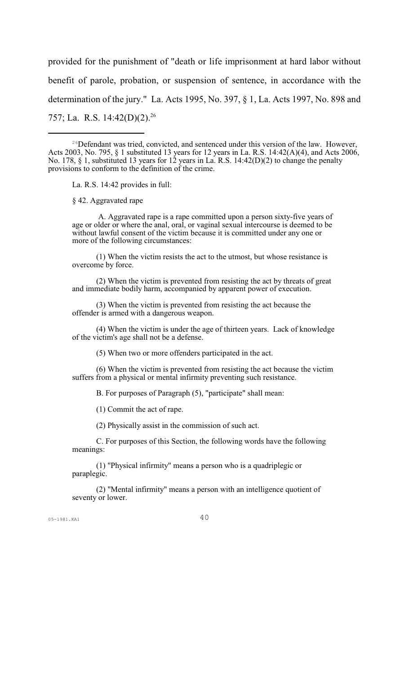provided for the punishment of "death or life imprisonment at hard labor without benefit of parole, probation, or suspension of sentence, in accordance with the determination of the jury." La. Acts 1995, No. 397, § 1, La. Acts 1997, No. 898 and 757; La. R.S. 14:42(D)(2).<sup>26</sup>

La. R.S. 14:42 provides in full:

§ 42. Aggravated rape

 A. Aggravated rape is a rape committed upon a person sixty-five years of age or older or where the anal, oral, or vaginal sexual intercourse is deemed to be without lawful consent of the victim because it is committed under any one or more of the following circumstances:

(1) When the victim resists the act to the utmost, but whose resistance is overcome by force.

(2) When the victim is prevented from resisting the act by threats of great and immediate bodily harm, accompanied by apparent power of execution.

(3) When the victim is prevented from resisting the act because the offender is armed with a dangerous weapon.

(4) When the victim is under the age of thirteen years. Lack of knowledge of the victim's age shall not be a defense.

(5) When two or more offenders participated in the act.

(6) When the victim is prevented from resisting the act because the victim suffers from a physical or mental infirmity preventing such resistance.

B. For purposes of Paragraph (5), "participate" shall mean:

(1) Commit the act of rape.

(2) Physically assist in the commission of such act.

C. For purposes of this Section, the following words have the following meanings:

(1) "Physical infirmity" means a person who is a quadriplegic or paraplegic.

(2) "Mental infirmity" means a person with an intelligence quotient of seventy or lower.

<sup>&</sup>lt;sup>26</sup>Defendant was tried, convicted, and sentenced under this version of the law. However, Acts 2003, No. 795, § 1 substituted 13 years for 12 years in La. R.S. 14:42(A)(4), and Acts 2006, No. 178, § 1, substituted 13 years for 12 years in La. R.S. 14:42(D)(2) to change the penalty provisions to conform to the definition of the crime.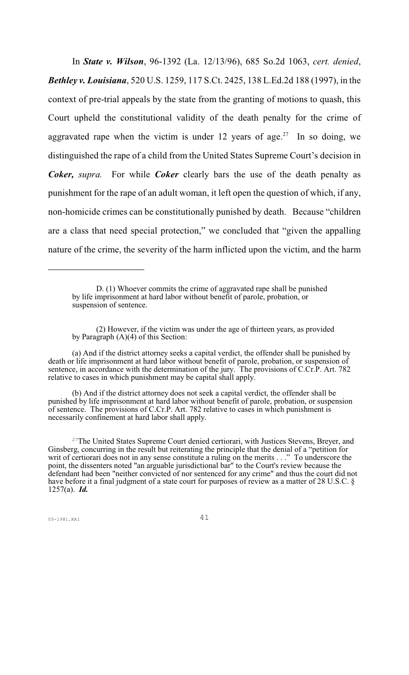In *State v. Wilson*, 96-1392 (La. 12/13/96), 685 So.2d 1063, *cert. denied*, *Bethley v. Louisiana*, 520 U.S. 1259, 117 S.Ct. 2425, 138 L.Ed.2d 188 (1997), in the context of pre-trial appeals by the state from the granting of motions to quash, this Court upheld the constitutional validity of the death penalty for the crime of aggravated rape when the victim is under 12 years of age.<sup>27</sup> In so doing, we distinguished the rape of a child from the United States Supreme Court's decision in *Coker, supra.* For while *Coker* clearly bars the use of the death penalty as punishment for the rape of an adult woman, it left open the question of which, if any, non-homicide crimes can be constitutionally punished by death. Because "children are a class that need special protection," we concluded that "given the appalling nature of the crime, the severity of the harm inflicted upon the victim, and the harm

(a) And if the district attorney seeks a capital verdict, the offender shall be punished by death or life imprisonment at hard labor without benefit of parole, probation, or suspension of sentence, in accordance with the determination of the jury. The provisions of C.Cr.P. Art. 782 relative to cases in which punishment may be capital shall apply.

(b) And if the district attorney does not seek a capital verdict, the offender shall be punished by life imprisonment at hard labor without benefit of parole, probation, or suspension of sentence. The provisions of C.Cr.P. Art. 782 relative to cases in which punishment is necessarily confinement at hard labor shall apply.

<sup>27</sup>The United States Supreme Court denied certiorari, with Justices Stevens, Breyer, and Ginsberg, concurring in the result but reiterating the principle that the denial of a "petition for writ of certiorari does not in any sense constitute a ruling on the merits . . ." To underscore the point, the dissenters noted "an arguable jurisdictional bar" to the Court's review because the defendant had been "neither convicted of nor sentenced for any crime" and thus the court did not have before it a final judgment of a state court for purposes of review as a matter of 28 U.S.C. § 1257(a). *Id.*

D. (1) Whoever commits the crime of aggravated rape shall be punished by life imprisonment at hard labor without benefit of parole, probation, or suspension of sentence.

<sup>(2)</sup> However, if the victim was under the age of thirteen years, as provided by Paragraph (A)(4) of this Section: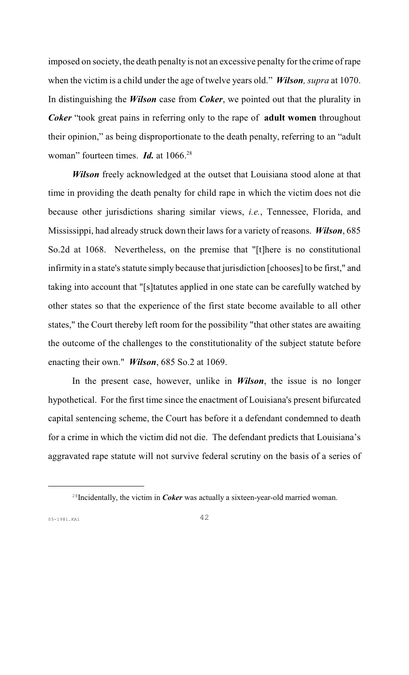imposed on society, the death penalty is not an excessive penalty for the crime of rape when the victim is a child under the age of twelve years old." *Wilson, supra* at 1070. In distinguishing the *Wilson* case from *Coker*, we pointed out that the plurality in *Coker* "took great pains in referring only to the rape of **adult women** throughout their opinion," as being disproportionate to the death penalty, referring to an "adult woman" fourteen times. *Id*. at 1066.<sup>28</sup>

*Wilson* freely acknowledged at the outset that Louisiana stood alone at that time in providing the death penalty for child rape in which the victim does not die because other jurisdictions sharing similar views, *i.e.*, Tennessee, Florida, and Mississippi, had already struck down their laws for a variety of reasons. *Wilson*, 685 So.2d at 1068. Nevertheless, on the premise that "[t]here is no constitutional infirmity in a state's statute simply because that jurisdiction [chooses] to be first," and taking into account that "[s]tatutes applied in one state can be carefully watched by other states so that the experience of the first state become available to all other states," the Court thereby left room for the possibility "that other states are awaiting the outcome of the challenges to the constitutionality of the subject statute before enacting their own." *Wilson*, 685 So.2 at 1069.

In the present case, however, unlike in *Wilson*, the issue is no longer hypothetical. For the first time since the enactment of Louisiana's present bifurcated capital sentencing scheme, the Court has before it a defendant condemned to death for a crime in which the victim did not die. The defendant predicts that Louisiana's aggravated rape statute will not survive federal scrutiny on the basis of a series of

<sup>&</sup>lt;sup>28</sup> Incidentally, the victim in *Coker* was actually a sixteen-year-old married woman.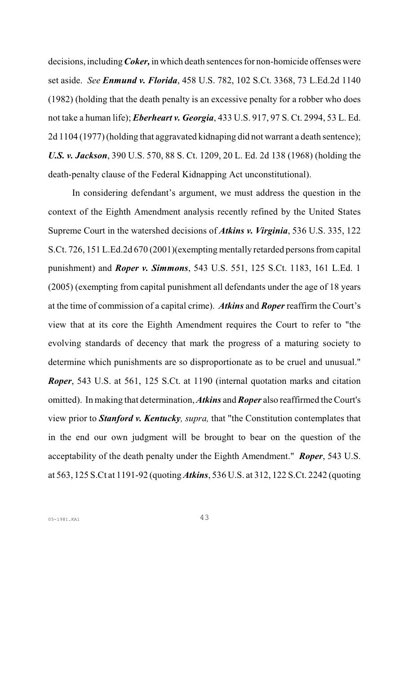decisions, including*Coker,* in which death sentences for non-homicide offenses were set aside. *See Enmund v. Florida*, 458 U.S. 782, 102 S.Ct. 3368, 73 L.Ed.2d 1140 (1982) (holding that the death penalty is an excessive penalty for a robber who does not take a human life); *Eberheart v. Georgia*, 433 U.S. 917, 97 S. Ct. 2994, 53 L. Ed. 2d 1104 (1977) (holding that aggravated kidnaping did not warrant a death sentence); *U.S. v. Jackson*, 390 U.S. 570, 88 S. Ct. 1209, 20 L. Ed. 2d 138 (1968) (holding the death-penalty clause of the Federal Kidnapping Act unconstitutional).

In considering defendant's argument, we must address the question in the context of the Eighth Amendment analysis recently refined by the United States Supreme Court in the watershed decisions of *Atkins v. Virginia*, 536 U.S. 335, 122 S.Ct. 726, 151 L.Ed.2d 670 (2001)(exempting mentally retarded persons from capital punishment) and *Roper v. Simmons*, 543 U.S. 551, 125 S.Ct. 1183, 161 L.Ed. 1 (2005) (exempting from capital punishment all defendants under the age of 18 years at the time of commission of a capital crime). *Atkins* and *Roper* reaffirm the Court's view that at its core the Eighth Amendment requires the Court to refer to "the evolving standards of decency that mark the progress of a maturing society to determine which punishments are so disproportionate as to be cruel and unusual." *Roper*, 543 U.S. at 561, 125 S.Ct. at 1190 (internal quotation marks and citation omitted). In making that determination, *Atkins* and *Roper* also reaffirmed the Court's view prior to *Stanford v. Kentucky, supra,* that "the Constitution contemplates that in the end our own judgment will be brought to bear on the question of the acceptability of the death penalty under the Eighth Amendment." *Roper*, 543 U.S. at 563, 125 S.Ct at 1191-92 (quoting*Atkins*, 536 U.S. at 312, 122 S.Ct. 2242 (quoting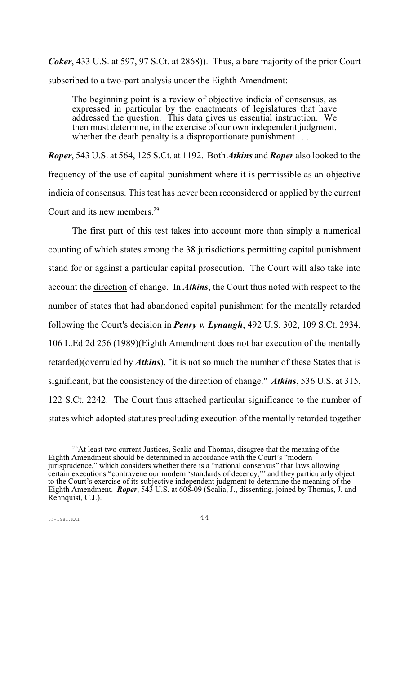*Coker*, 433 U.S. at 597, 97 S.Ct. at 2868)). Thus, a bare majority of the prior Court subscribed to a two-part analysis under the Eighth Amendment:

The beginning point is a review of objective indicia of consensus, as expressed in particular by the enactments of legislatures that have addressed the question. This data gives us essential instruction. We then must determine, in the exercise of our own independent judgment, whether the death penalty is a disproportionate punishment . . .

*Roper*, 543 U.S. at 564, 125 S.Ct. at 1192. Both *Atkins* and *Roper* also looked to the frequency of the use of capital punishment where it is permissible as an objective indicia of consensus. This test has never been reconsidered or applied by the current Court and its new members. 29

The first part of this test takes into account more than simply a numerical counting of which states among the 38 jurisdictions permitting capital punishment stand for or against a particular capital prosecution. The Court will also take into account the direction of change. In *Atkins*, the Court thus noted with respect to the number of states that had abandoned capital punishment for the mentally retarded following the Court's decision in *Penry v. Lynaugh*, 492 U.S. 302, 109 S.Ct. 2934, 106 L.Ed.2d 256 (1989)(Eighth Amendment does not bar execution of the mentally retarded)(overruled by *Atkins*), "it is not so much the number of these States that is significant, but the consistency of the direction of change." *Atkins*, 536 U.S. at 315, 122 S.Ct. 2242. The Court thus attached particular significance to the number of states which adopted statutes precluding execution of the mentally retarded together

<sup>&</sup>lt;sup>29</sup>At least two current Justices, Scalia and Thomas, disagree that the meaning of the Eighth Amendment should be determined in accordance with the Court's "modern jurisprudence," which considers whether there is a "national consensus" that laws allowing certain executions "contravene our modern 'standards of decency,'" and they particularly object to the Court's exercise of its subjective independent judgment to determine the meaning of the Eighth Amendment. *Roper*, 543 U.S. at 608-09 (Scalia, J., dissenting, joined by Thomas, J. and Rehnquist, C.J.).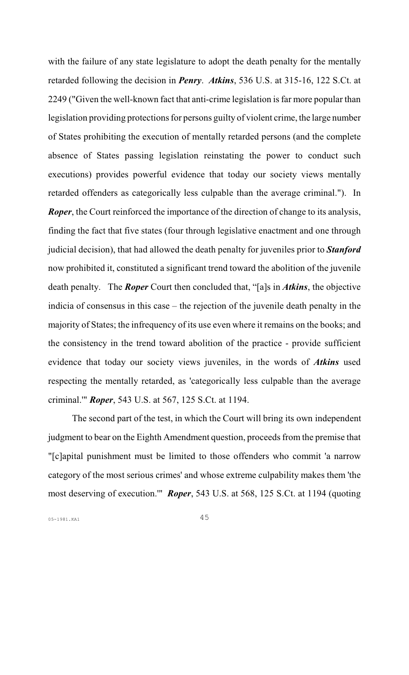with the failure of any state legislature to adopt the death penalty for the mentally retarded following the decision in *Penry*. *Atkins*, 536 U.S. at 315-16, 122 S.Ct. at 2249 ("Given the well-known fact that anti-crime legislation is far more popular than legislation providing protections for persons guilty of violent crime, the large number of States prohibiting the execution of mentally retarded persons (and the complete absence of States passing legislation reinstating the power to conduct such executions) provides powerful evidence that today our society views mentally retarded offenders as categorically less culpable than the average criminal."). In *Roper*, the Court reinforced the importance of the direction of change to its analysis, finding the fact that five states (four through legislative enactment and one through judicial decision), that had allowed the death penalty for juveniles prior to *Stanford* now prohibited it, constituted a significant trend toward the abolition of the juvenile death penalty. The *Roper* Court then concluded that, "[a]s in *Atkins*, the objective indicia of consensus in this case – the rejection of the juvenile death penalty in the majority of States; the infrequency of its use even where it remains on the books; and the consistency in the trend toward abolition of the practice - provide sufficient evidence that today our society views juveniles, in the words of *Atkins* used respecting the mentally retarded, as 'categorically less culpable than the average criminal.'" *Roper*, 543 U.S. at 567, 125 S.Ct. at 1194.

The second part of the test, in which the Court will bring its own independent judgment to bear on the Eighth Amendment question, proceeds from the premise that "[c]apital punishment must be limited to those offenders who commit 'a narrow category of the most serious crimes' and whose extreme culpability makes them 'the most deserving of execution.'" *Roper*, 543 U.S. at 568, 125 S.Ct. at 1194 (quoting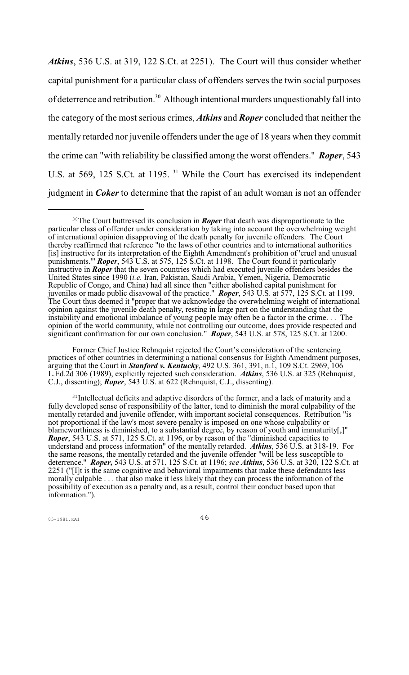*Atkins*, 536 U.S. at 319, 122 S.Ct. at 2251). The Court will thus consider whether capital punishment for a particular class of offenders serves the twin social purposes of deterrence and retribution.<sup>30</sup> Although intentional murders unquestionably fall into the category of the most serious crimes, *Atkins* and *Roper* concluded that neither the mentally retarded nor juvenile offenders under the age of 18 years when they commit the crime can "with reliability be classified among the worst offenders." *Roper*, 543 U.S. at 569, 125 S.Ct. at 1195. <sup>31</sup> While the Court has exercised its independent judgment in *Coker* to determine that the rapist of an adult woman is not an offender

Former Chief Justice Rehnquist rejected the Court's consideration of the sentencing practices of other countries in determining a national consensus for Eighth Amendment purposes, arguing that the Court in *Stanford v. Kentucky*, 492 U.S. 361, 391, n.1, 109 S.Ct. 2969, 106 L.Ed.2d 306 (1989), explicitly rejected such consideration. *Atkins*, 536 U.S. at 325 (Rehnquist, C.J., dissenting); *Roper*, 543 U.S. at 622 (Rehnquist, C.J., dissenting).

<sup>31</sup>Intellectual deficits and adaptive disorders of the former, and a lack of maturity and a fully developed sense of responsibility of the latter, tend to diminish the moral culpability of the mentally retarded and juvenile offender, with important societal consequences. Retribution "is not proportional if the law's most severe penalty is imposed on one whose culpability or blameworthiness is diminished, to a substantial degree, by reason of youth and immaturity[,]" *Roper*, 543 U.S. at 571, 125 S.Ct. at 1196, or by reason of the "diminished capacities to understand and process information" of the mentally retarded. *Atkins*, 536 U.S. at 318-19. For the same reasons, the mentally retarded and the juvenile offender "will be less susceptible to deterrence." *Roper,* 543 U.S. at 571, 125 S.Ct. at 1196; *see Atkins*, 536 U.S. at 320, 122 S.Ct. at 2251 ("[I]t is the same cognitive and behavioral impairments that make these defendants less morally culpable . . . that also make it less likely that they can process the information of the possibility of execution as a penalty and, as a result, control their conduct based upon that information.").

<sup>&</sup>lt;sup>30</sup>The Court buttressed its conclusion in *Roper* that death was disproportionate to the particular class of offender under consideration by taking into account the overwhelming weight of international opinion disapproving of the death penalty for juvenile offenders. The Court thereby reaffirmed that reference "to the laws of other countries and to international authorities [is] instructive for its interpretation of the Eighth Amendment's prohibition of 'cruel and unusual punishments.'" *Roper*, 543 U.S. at 575, 125 S.Ct. at 1198. The Court found it particularly instructive in *Roper* that the seven countries which had executed juvenile offenders besides the United States since 1990 (*i.e.* Iran, Pakistan, Saudi Arabia, Yemen, Nigeria, Democratic Republic of Congo, and China) had all since then "either abolished capital punishment for juveniles or made public disavowal of the practice." *Roper*, 543 U.S. at 577, 125 S.Ct. at 1199. The Court thus deemed it "proper that we acknowledge the overwhelming weight of international opinion against the juvenile death penalty, resting in large part on the understanding that the instability and emotional imbalance of young people may often be a factor in the crime. . . The opinion of the world community, while not controlling our outcome, does provide respected and significant confirmation for our own conclusion." *Roper*, 543 U.S. at 578, 125 S.Ct. at 1200.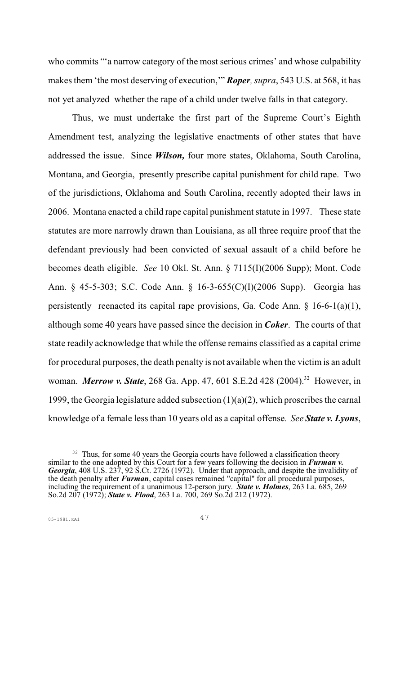who commits "a narrow category of the most serious crimes' and whose culpability makes them 'the most deserving of execution,'" *Roper, supra*, 543 U.S. at 568, it has not yet analyzed whether the rape of a child under twelve falls in that category.

Thus, we must undertake the first part of the Supreme Court's Eighth Amendment test, analyzing the legislative enactments of other states that have addressed the issue. Since *Wilson,* four more states, Oklahoma, South Carolina, Montana, and Georgia, presently prescribe capital punishment for child rape. Two of the jurisdictions, Oklahoma and South Carolina, recently adopted their laws in 2006. Montana enacted a child rape capital punishment statute in 1997. These state statutes are more narrowly drawn than Louisiana, as all three require proof that the defendant previously had been convicted of sexual assault of a child before he becomes death eligible. *See* 10 Okl. St. Ann. § 7115(I)(2006 Supp); Mont. Code Ann. § 45-5-303; S.C. Code Ann. § 16-3-655(C)(I)(2006 Supp). Georgia has persistently reenacted its capital rape provisions, Ga. Code Ann. § 16-6-1(a)(1), although some 40 years have passed since the decision in *Coker*. The courts of that state readily acknowledge that while the offense remains classified as a capital crime for procedural purposes, the death penalty is not available when the victim is an adult woman. *Merrow v. State*, 268 Ga. App. 47, 601 S.E.2d 428 (2004).<sup>32</sup> However, in 1999, the Georgia legislature added subsection  $(1)(a)(2)$ , which proscribes the carnal knowledge of a female less than 10 years old as a capital offense*. See State v. Lyons*,

<sup>&</sup>lt;sup>32</sup> Thus, for some 40 years the Georgia courts have followed a classification theory similar to the one adopted by this Court for a few years following the decision in *Furman v. Georgia*, 408 U.S. 237, 92 S.Ct. 2726 (1972). Under that approach, and despite the invalidity of the death penalty after *Furman*, capital cases remained "capital" for all procedural purposes, including the requirement of a unanimous 12-person jury. *State v. Holmes*, 263 La. 685, 269 So.2d 207 (1972); **State v. Flood**, 263 La. 700, 269 So.2d 212 (1972).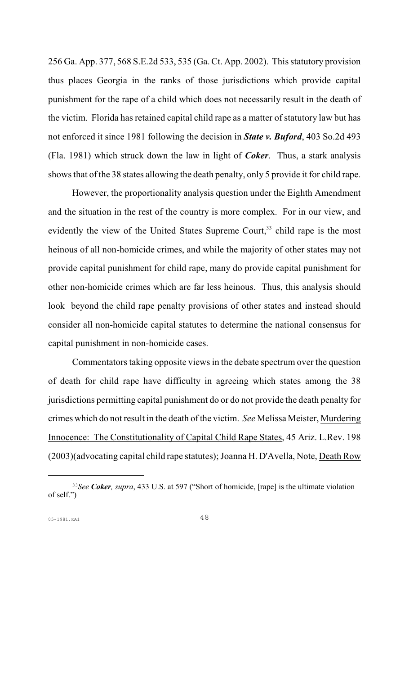256 Ga. App. 377, 568 S.E.2d 533, 535 (Ga.Ct. App. 2002). This statutory provision thus places Georgia in the ranks of those jurisdictions which provide capital punishment for the rape of a child which does not necessarily result in the death of the victim. Florida has retained capital child rape as a matter of statutory law but has not enforced it since 1981 following the decision in *State v. Buford*, 403 So.2d 493 (Fla. 1981) which struck down the law in light of *Coker*. Thus, a stark analysis shows that of the 38 states allowing the death penalty, only 5 provide it for child rape.

However, the proportionality analysis question under the Eighth Amendment and the situation in the rest of the country is more complex. For in our view, and evidently the view of the United States Supreme Court,<sup>33</sup> child rape is the most heinous of all non-homicide crimes, and while the majority of other states may not provide capital punishment for child rape, many do provide capital punishment for other non-homicide crimes which are far less heinous. Thus, this analysis should look beyond the child rape penalty provisions of other states and instead should consider all non-homicide capital statutes to determine the national consensus for capital punishment in non-homicide cases.

Commentators taking opposite views in the debate spectrum over the question of death for child rape have difficulty in agreeing which states among the 38 jurisdictions permitting capital punishment do or do not provide the death penalty for crimes which do not result in the death of the victim. *See* Melissa Meister, Murdering Innocence: The Constitutionality of Capital Child Rape States, 45 Ariz. L.Rev. 198 (2003)(advocating capital child rape statutes); Joanna H. D'Avella, Note, Death Row

*See Coker, supra*, 433 U.S. at 597 ("Short of homicide, [rape] is the ultimate violation <sup>33</sup> of self.")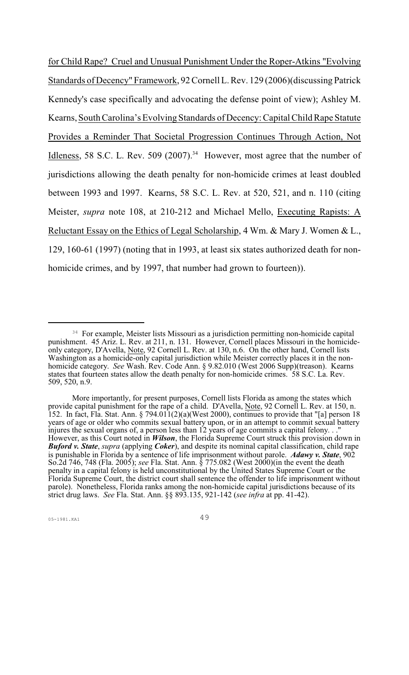for Child Rape? Cruel and Unusual Punishment Under the Roper-Atkins "Evolving Standards of Decency" Framework, 92 Cornell L. Rev. 129 (2006)(discussing Patrick Kennedy's case specifically and advocating the defense point of view); Ashley M. Kearns, South Carolina's Evolving Standards of Decency: Capital Child Rape Statute Provides a Reminder That Societal Progression Continues Through Action, Not Idleness, 58 S.C. L. Rev. 509 (2007).<sup>34</sup> However, most agree that the number of jurisdictions allowing the death penalty for non-homicide crimes at least doubled between 1993 and 1997. Kearns, 58 S.C. L. Rev. at 520, 521, and n. 110 (citing Meister, *supra* note 108, at 210-212 and Michael Mello, Executing Rapists: A Reluctant Essay on the Ethics of Legal Scholarship, 4 Wm. & Mary J. Women & L., 129, 160-61 (1997) (noting that in 1993, at least six states authorized death for nonhomicide crimes, and by 1997, that number had grown to fourteen)).

<sup>&</sup>lt;sup>34</sup> For example, Meister lists Missouri as a jurisdiction permitting non-homicide capital punishment. 45 Ariz. L. Rev. at 211, n. 131. However, Cornell places Missouri in the homicideonly category, D'Avella, Note, 92 Cornell L. Rev. at 130, n.6. On the other hand, Cornell lists Washington as a homicide-only capital jurisdiction while Meister correctly places it in the nonhomicide category. *See* Wash. Rev. Code Ann. § 9.82.010 (West 2006 Supp)(treason). Kearns states that fourteen states allow the death penalty for non-homicide crimes. 58 S.C. La. Rev. 509, 520, n.9.

More importantly, for present purposes, Cornell lists Florida as among the states which provide capital punishment for the rape of a child. D'Avella, Note, 92 Cornell L. Rev. at 150, n. 152. In fact, Fla. Stat. Ann.  $\S 794.011(2)(a)$  (West 2000), continues to provide that "[a] person 18 years of age or older who commits sexual battery upon, or in an attempt to commit sexual battery injures the sexual organs of, a person less than 12 years of age commits a capital felony. . ." However, as this Court noted in *Wilson*, the Florida Supreme Court struck this provision down in *Buford v. State*, *supra* (applying *Coker*), and despite its nominal capital classification, child rape is punishable in Florida by a sentence of life imprisonment without parole. *Adawy v. State*, 902 So.2d 746, 748 (Fla. 2005); *see* Fla. Stat. Ann. § 775.082 (West 2000)(in the event the death penalty in a capital felony is held unconstitutional by the United States Supreme Court or the Florida Supreme Court, the district court shall sentence the offender to life imprisonment without parole). Nonetheless, Florida ranks among the non-homicide capital jurisdictions because of its strict drug laws. *See* Fla. Stat. Ann. §§ 893.135, 921-142 (*see infra* at pp. 41-42).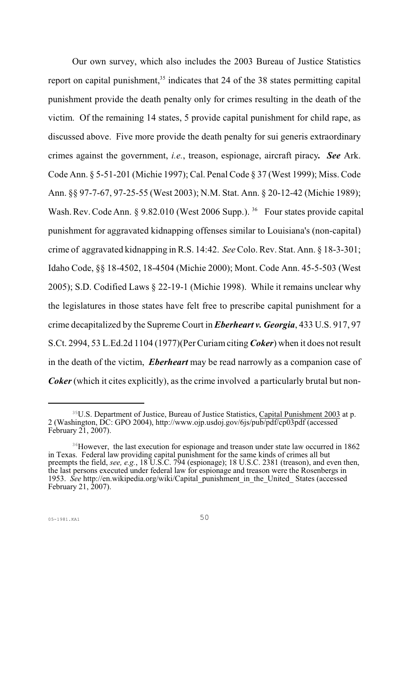Our own survey, which also includes the 2003 Bureau of Justice Statistics report on capital punishment,  $35$  indicates that 24 of the 38 states permitting capital punishment provide the death penalty only for crimes resulting in the death of the victim. Of the remaining 14 states, 5 provide capital punishment for child rape, as discussed above. Five more provide the death penalty for sui generis extraordinary crimes against the government, *i.e.*, treason, espionage, aircraft piracy*. See* Ark. Code Ann. § 5-51-201 (Michie 1997); Cal. Penal Code § 37 (West 1999); Miss. Code Ann. §§ 97-7-67, 97-25-55 (West 2003); N.M. Stat. Ann. § 20-12-42 (Michie 1989); Wash. Rev. Code Ann. § 9.82.010 (West 2006 Supp.). <sup>36</sup> Four states provide capital punishment for aggravated kidnapping offenses similar to Louisiana's (non-capital) crime of aggravated kidnapping in R.S. 14:42. *See* Colo. Rev. Stat. Ann. § 18-3-301; Idaho Code, §§ 18-4502, 18-4504 (Michie 2000); Mont. Code Ann. 45-5-503 (West 2005); S.D. Codified Laws § 22-19-1 (Michie 1998). While it remains unclear why the legislatures in those states have felt free to prescribe capital punishment for a crime decapitalized by the Supreme Court in *Eberheart v. Georgia*, 433 U.S. 917, 97 S.Ct. 2994, 53 L.Ed.2d 1104 (1977)(Per Curiam citing *Coker*) when it does not result in the death of the victim, *Eberheart* may be read narrowly as a companion case of *Coker* (which it cites explicitly), as the crime involved a particularly brutal but non-

<sup>&</sup>lt;sup>35</sup>U.S. Department of Justice, Bureau of Justice Statistics, Capital Punishment 2003 at p. 2 (Washington, DC: GPO 2004), http://www.ojp.usdoj.gov/6js/pub/pdf/cp03pdf (accessed February 21, 2007).

<sup>&</sup>lt;sup>36</sup>However, the last execution for espionage and treason under state law occurred in 1862 in Texas. Federal law providing capital punishment for the same kinds of crimes all but preempts the field, *see, e.g.*, 18 U.S.C. 794 (espionage); 18 U.S.C. 2381 (treason), and even then, the last persons executed under federal law for espionage and treason were the Rosenbergs in 1953. *See* http://en.wikipedia.org/wiki/Capital punishment in the United States (accessed February 21, 2007).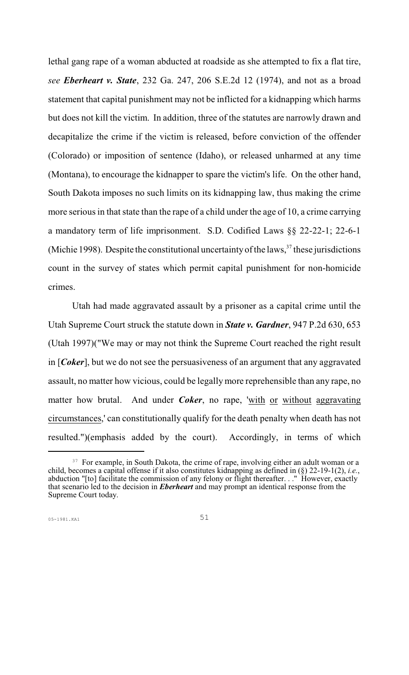lethal gang rape of a woman abducted at roadside as she attempted to fix a flat tire, *see Eberheart v. State*, 232 Ga. 247, 206 S.E.2d 12 (1974), and not as a broad statement that capital punishment may not be inflicted for a kidnapping which harms but does not kill the victim. In addition, three of the statutes are narrowly drawn and decapitalize the crime if the victim is released, before conviction of the offender (Colorado) or imposition of sentence (Idaho), or released unharmed at any time (Montana), to encourage the kidnapper to spare the victim's life. On the other hand, South Dakota imposes no such limits on its kidnapping law, thus making the crime more serious in that state than the rape of a child under the age of 10, a crime carrying a mandatory term of life imprisonment. S.D. Codified Laws §§ 22-22-1; 22-6-1 (Michie 1998). Despite the constitutional uncertainty of the laws,  $37$  these jurisdictions count in the survey of states which permit capital punishment for non-homicide crimes.

Utah had made aggravated assault by a prisoner as a capital crime until the Utah Supreme Court struck the statute down in *State v. Gardner*, 947 P.2d 630, 653 (Utah 1997)("We may or may not think the Supreme Court reached the right result in [*Coker*], but we do not see the persuasiveness of an argument that any aggravated assault, no matter how vicious, could be legally more reprehensible than any rape, no matter how brutal. And under *Coker*, no rape, 'with or without aggravating circumstances,' can constitutionally qualify for the death penalty when death has not resulted.")(emphasis added by the court). Accordingly, in terms of which

<sup>&</sup>lt;sup>37</sup> For example, in South Dakota, the crime of rape, involving either an adult woman or a child, becomes a capital offense if it also constitutes kidnapping as defined in (§) 22-19-1(2), *i.e.*, abduction "[to] facilitate the commission of any felony or flight thereafter. . ." However, exactly that scenario led to the decision in *Eberheart* and may prompt an identical response from the Supreme Court today.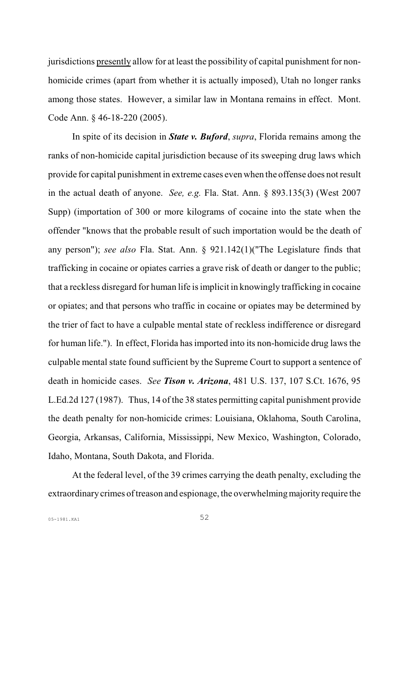jurisdictions presently allow for at least the possibility of capital punishment for nonhomicide crimes (apart from whether it is actually imposed), Utah no longer ranks among those states. However, a similar law in Montana remains in effect. Mont. Code Ann. § 46-18-220 (2005).

In spite of its decision in *State v. Buford*, *supra*, Florida remains among the ranks of non-homicide capital jurisdiction because of its sweeping drug laws which provide for capital punishment in extreme cases even when the offense does not result in the actual death of anyone. *See, e.g.* Fla. Stat. Ann. § 893.135(3) (West 2007 Supp) (importation of 300 or more kilograms of cocaine into the state when the offender "knows that the probable result of such importation would be the death of any person"); *see also* Fla. Stat. Ann. § 921.142(1)("The Legislature finds that trafficking in cocaine or opiates carries a grave risk of death or danger to the public; that a reckless disregard for human life is implicit in knowingly trafficking in cocaine or opiates; and that persons who traffic in cocaine or opiates may be determined by the trier of fact to have a culpable mental state of reckless indifference or disregard for human life."). In effect, Florida has imported into its non-homicide drug laws the culpable mental state found sufficient by the Supreme Court to support a sentence of death in homicide cases. *See Tison v. Arizona*, 481 U.S. 137, 107 S.Ct. 1676, 95 L.Ed.2d 127 (1987). Thus, 14 of the 38 states permitting capital punishment provide the death penalty for non-homicide crimes: Louisiana, Oklahoma, South Carolina, Georgia, Arkansas, California, Mississippi, New Mexico, Washington, Colorado, Idaho, Montana, South Dakota, and Florida.

At the federal level, of the 39 crimes carrying the death penalty, excluding the extraordinary crimes of treason and espionage, the overwhelming majority require the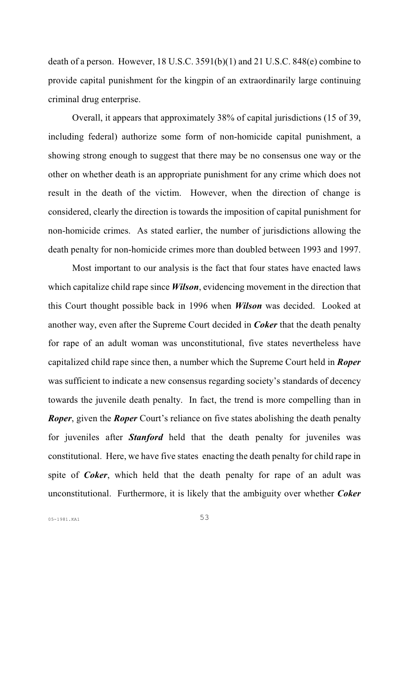death of a person. However, 18 U.S.C. 3591(b)(1) and 21 U.S.C. 848(e) combine to provide capital punishment for the kingpin of an extraordinarily large continuing criminal drug enterprise.

Overall, it appears that approximately 38% of capital jurisdictions (15 of 39, including federal) authorize some form of non-homicide capital punishment, a showing strong enough to suggest that there may be no consensus one way or the other on whether death is an appropriate punishment for any crime which does not result in the death of the victim. However, when the direction of change is considered, clearly the direction is towards the imposition of capital punishment for non-homicide crimes. As stated earlier, the number of jurisdictions allowing the death penalty for non-homicide crimes more than doubled between 1993 and 1997.

Most important to our analysis is the fact that four states have enacted laws which capitalize child rape since *Wilson*, evidencing movement in the direction that this Court thought possible back in 1996 when *Wilson* was decided. Looked at another way, even after the Supreme Court decided in *Coker* that the death penalty for rape of an adult woman was unconstitutional, five states nevertheless have capitalized child rape since then, a number which the Supreme Court held in *Roper* was sufficient to indicate a new consensus regarding society's standards of decency towards the juvenile death penalty. In fact, the trend is more compelling than in *Roper*, given the *Roper* Court's reliance on five states abolishing the death penalty for juveniles after *Stanford* held that the death penalty for juveniles was constitutional. Here, we have five states enacting the death penalty for child rape in spite of *Coker*, which held that the death penalty for rape of an adult was unconstitutional. Furthermore, it is likely that the ambiguity over whether *Coker*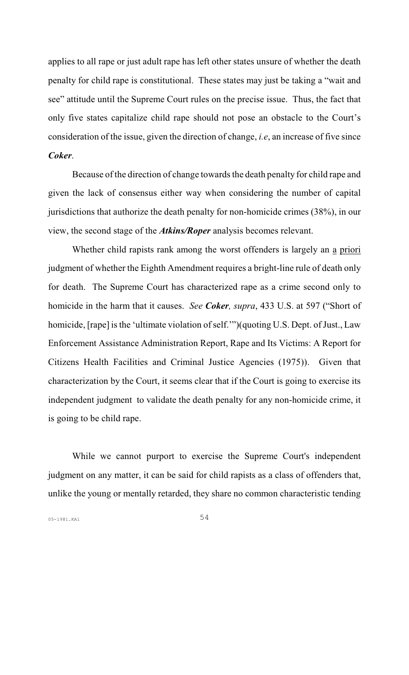applies to all rape or just adult rape has left other states unsure of whether the death penalty for child rape is constitutional. These states may just be taking a "wait and see" attitude until the Supreme Court rules on the precise issue. Thus, the fact that only five states capitalize child rape should not pose an obstacle to the Court's consideration of the issue, given the direction of change, *i.e*, an increase of five since *Coker*.

Because of the direction of change towards the death penalty for child rape and given the lack of consensus either way when considering the number of capital jurisdictions that authorize the death penalty for non-homicide crimes (38%), in our view, the second stage of the *Atkins/Roper* analysis becomes relevant.

Whether child rapists rank among the worst offenders is largely an a priori judgment of whether the Eighth Amendment requires a bright-line rule of death only for death. The Supreme Court has characterized rape as a crime second only to homicide in the harm that it causes. *See Coker, supra*, 433 U.S. at 597 ("Short of homicide, [rape] is the 'ultimate violation of self.'")(quoting U.S. Dept. of Just., Law Enforcement Assistance Administration Report, Rape and Its Victims: A Report for Citizens Health Facilities and Criminal Justice Agencies (1975)). Given that characterization by the Court, it seems clear that if the Court is going to exercise its independent judgment to validate the death penalty for any non-homicide crime, it is going to be child rape.

While we cannot purport to exercise the Supreme Court's independent judgment on any matter, it can be said for child rapists as a class of offenders that, unlike the young or mentally retarded, they share no common characteristic tending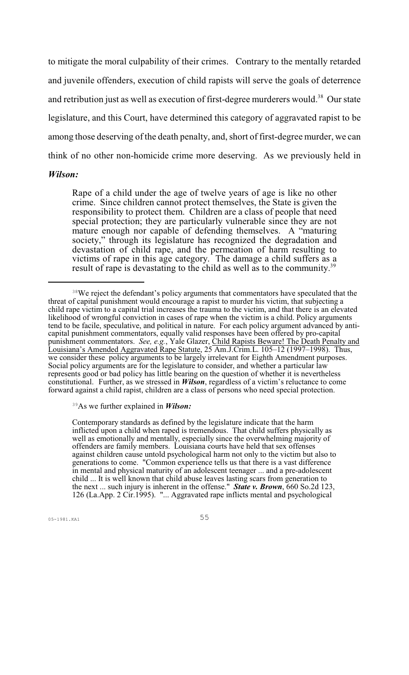to mitigate the moral culpability of their crimes. Contrary to the mentally retarded and juvenile offenders, execution of child rapists will serve the goals of deterrence and retribution just as well as execution of first-degree murderers would.<sup>38</sup> Our state legislature, and this Court, have determined this category of aggravated rapist to be among those deserving of the death penalty, and, short of first-degree murder, we can think of no other non-homicide crime more deserving. As we previously held in

#### *Wilson:*

Rape of a child under the age of twelve years of age is like no other crime. Since children cannot protect themselves, the State is given the responsibility to protect them. Children are a class of people that need special protection; they are particularly vulnerable since they are not mature enough nor capable of defending themselves. A "maturing society," through its legislature has recognized the degradation and devastation of child rape, and the permeation of harm resulting to victims of rape in this age category. The damage a child suffers as a result of rape is devastating to the child as well as to the community.<sup>39</sup>

As we further explained in *Wilson:* <sup>39</sup>

Contemporary standards as defined by the legislature indicate that the harm inflicted upon a child when raped is tremendous. That child suffers physically as well as emotionally and mentally, especially since the overwhelming majority of offenders are family members. Louisiana courts have held that sex offenses against children cause untold psychological harm not only to the victim but also to generations to come. "Common experience tells us that there is a vast difference in mental and physical maturity of an adolescent teenager ... and a pre-adolescent child ... It is well known that child abuse leaves lasting scars from generation to the next ... such injury is inherent in the offense." *State v. Brown*, 660 So.2d 123, 126 (La.App. 2 Cir.1995). "... Aggravated rape inflicts mental and psychological

<sup>&</sup>lt;sup>38</sup>We reject the defendant's policy arguments that commentators have speculated that the threat of capital punishment would encourage a rapist to murder his victim, that subjecting a child rape victim to a capital trial increases the trauma to the victim, and that there is an elevated likelihood of wrongful conviction in cases of rape when the victim is a child. Policy arguments tend to be facile, speculative, and political in nature. For each policy argument advanced by anticapital punishment commentators, equally valid responses have been offered by pro-capital punishment commentators. *See, e.g.*, Yale Glazer, Child Rapists Beware! The Death Penalty and Louisiana's Amended Aggravated Rape Statute, 25 Am.J.Crim.L. 105–12 (1997–1998). Thus, we consider these policy arguments to be largely irrelevant for Eighth Amendment purposes. Social policy arguments are for the legislature to consider, and whether a particular law represents good or bad policy has little bearing on the question of whether it is nevertheless constitutional. Further, as we stressed in *Wilson*, regardless of a victim's reluctance to come forward against a child rapist, children are a class of persons who need special protection.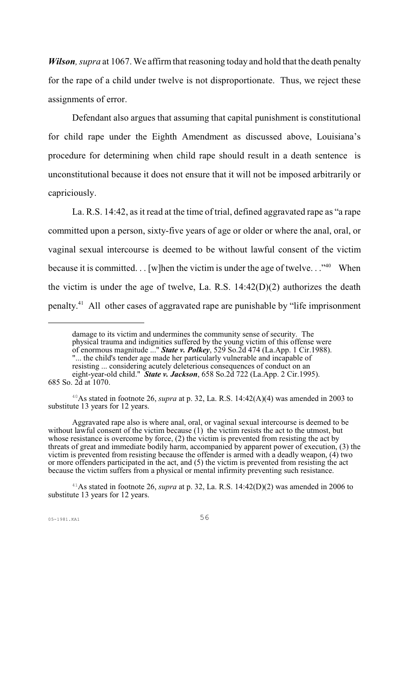*Wilson, supra* at 1067. We affirm that reasoning today and hold that the death penalty for the rape of a child under twelve is not disproportionate. Thus, we reject these assignments of error.

Defendant also argues that assuming that capital punishment is constitutional for child rape under the Eighth Amendment as discussed above, Louisiana's procedure for determining when child rape should result in a death sentence is unconstitutional because it does not ensure that it will not be imposed arbitrarily or capriciously.

La. R.S. 14:42, as it read at the time of trial, defined aggravated rape as "a rape committed upon a person, sixty-five years of age or older or where the anal, oral, or vaginal sexual intercourse is deemed to be without lawful consent of the victim because it is committed.  $\ldots$  [w]hen the victim is under the age of twelve.  $\ldots$ <sup>40</sup> When the victim is under the age of twelve, La. R.S. 14:42(D)(2) authorizes the death penalty.<sup>41</sup> All other cases of aggravated rape are punishable by "life imprisonment

<sup>40</sup>As stated in footnote 26, *supra* at p. 32, La. R.S.  $14:42(A)(4)$  was amended in 2003 to substitute 13 years for 12 years.

Aggravated rape also is where anal, oral, or vaginal sexual intercourse is deemed to be without lawful consent of the victim because (1) the victim resists the act to the utmost, but whose resistance is overcome by force, (2) the victim is prevented from resisting the act by threats of great and immediate bodily harm, accompanied by apparent power of execution, (3) the victim is prevented from resisting because the offender is armed with a deadly weapon, (4) two or more offenders participated in the act, and (5) the victim is prevented from resisting the act because the victim suffers from a physical or mental infirmity preventing such resistance.

 $41$ As stated in footnote 26, *supra* at p. 32, La. R.S. 14:42(D)(2) was amended in 2006 to substitute 13 years for 12 years.

damage to its victim and undermines the community sense of security. The physical trauma and indignities suffered by the young victim of this offense were of enormous magnitude ..." *State v. Polkey*, 529 So.2d 474 (La.App. 1 Cir.1988). "... the child's tender age made her particularly vulnerable and incapable of

resisting ... considering acutely deleterious consequences of conduct on an

eight-year-old child." *State v. Jackson*, 658 So.2d 722 (La.App. 2 Cir.1995). 685 So. 2d at 1070.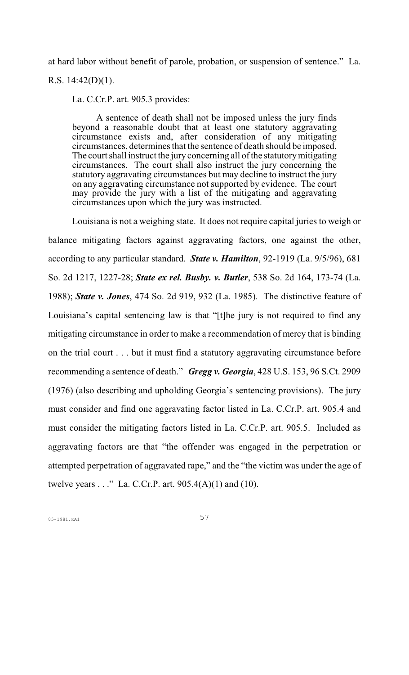at hard labor without benefit of parole, probation, or suspension of sentence." La. R.S. 14:42(D)(1).

La. C.Cr.P. art. 905.3 provides:

A sentence of death shall not be imposed unless the jury finds beyond a reasonable doubt that at least one statutory aggravating circumstance exists and, after consideration of any mitigating circumstances, determines that the sentence of death should be imposed. The court shall instruct the jury concerning all of the statutory mitigating circumstances. The court shall also instruct the jury concerning the statutory aggravating circumstances but may decline to instruct the jury on any aggravating circumstance not supported by evidence. The court may provide the jury with a list of the mitigating and aggravating circumstances upon which the jury was instructed.

Louisiana is not a weighing state. It does not require capital juries to weigh or balance mitigating factors against aggravating factors, one against the other, according to any particular standard. *State v. Hamilton*, 92-1919 (La. 9/5/96), 681 So. 2d 1217, 1227-28; *State ex rel. Busby. v. Butler*, 538 So. 2d 164, 173-74 (La. 1988); *State v. Jones*, 474 So. 2d 919, 932 (La. 1985). The distinctive feature of Louisiana's capital sentencing law is that "[t]he jury is not required to find any mitigating circumstance in order to make a recommendation of mercy that is binding on the trial court . . . but it must find a statutory aggravating circumstance before recommending a sentence of death." *Gregg v. Georgia*, 428 U.S. 153, 96 S.Ct. 2909 (1976) (also describing and upholding Georgia's sentencing provisions). The jury must consider and find one aggravating factor listed in La. C.Cr.P. art. 905.4 and must consider the mitigating factors listed in La. C.Cr.P. art. 905.5. Included as aggravating factors are that "the offender was engaged in the perpetration or attempted perpetration of aggravated rape," and the "the victim was under the age of twelve years  $\dots$ " La. C.Cr.P. art. 905.4(A)(1) and (10).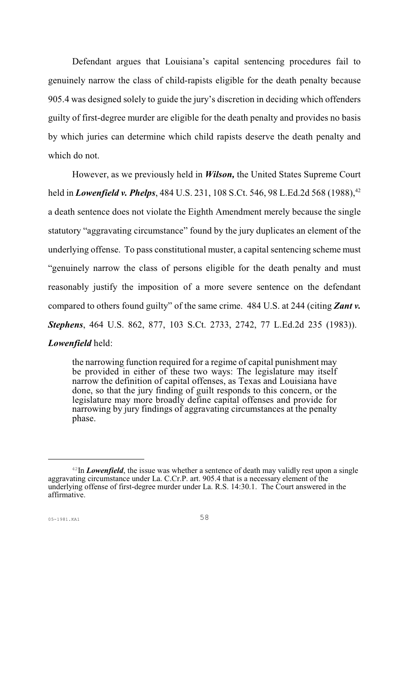Defendant argues that Louisiana's capital sentencing procedures fail to genuinely narrow the class of child-rapists eligible for the death penalty because 905.4 was designed solely to guide the jury's discretion in deciding which offenders guilty of first-degree murder are eligible for the death penalty and provides no basis by which juries can determine which child rapists deserve the death penalty and which do not.

However, as we previously held in *Wilson,* the United States Supreme Court held in *Lowenfield v. Phelps*, 484 U.S. 231, 108 S.Ct. 546, 98 L.Ed.2d 568 (1988),<sup>42</sup> a death sentence does not violate the Eighth Amendment merely because the single statutory "aggravating circumstance" found by the jury duplicates an element of the underlying offense. To pass constitutional muster, a capital sentencing scheme must "genuinely narrow the class of persons eligible for the death penalty and must reasonably justify the imposition of a more severe sentence on the defendant compared to others found guilty" of the same crime. 484 U.S. at 244 (citing *Zant v. Stephens*, 464 U.S. 862, 877, 103 S.Ct. 2733, 2742, 77 L.Ed.2d 235 (1983)).

#### *Lowenfield* held:

the narrowing function required for a regime of capital punishment may be provided in either of these two ways: The legislature may itself narrow the definition of capital offenses, as Texas and Louisiana have done, so that the jury finding of guilt responds to this concern, or the legislature may more broadly define capital offenses and provide for narrowing by jury findings of aggravating circumstances at the penalty phase.

 $\frac{42 \text{In}$  *Lowenfield*, the issue was whether a sentence of death may validly rest upon a single aggravating circumstance under La. C.Cr.P. art. 905.4 that is a necessary element of the underlying offense of first-degree murder under La. R.S. 14:30.1. The Court answered in the affirmative.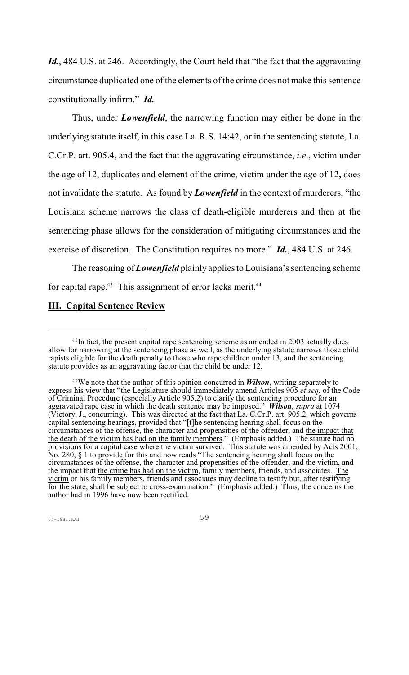Id., 484 U.S. at 246. Accordingly, the Court held that "the fact that the aggravating circumstance duplicated one of the elements of the crime does not make this sentence constitutionally infirm."*Id.*

Thus, under *Lowenfield*, the narrowing function may either be done in the underlying statute itself, in this case La. R.S. 14:42, or in the sentencing statute, La. C.Cr.P. art. 905.4, and the fact that the aggravating circumstance, *i.e*., victim under the age of 12, duplicates and element of the crime, victim under the age of 12**,** does not invalidate the statute. As found by *Lowenfield* in the context of murderers, "the Louisiana scheme narrows the class of death-eligible murderers and then at the sentencing phase allows for the consideration of mitigating circumstances and the exercise of discretion. The Constitution requires no more." *Id.*, 484 U.S. at 246.

The reasoning of *Lowenfield* plainly appliesto Louisiana's sentencing scheme for capital rape.<sup>43</sup> This assignment of error lacks merit.<sup>44</sup>

#### **III. Capital Sentence Review**

 $43$ In fact, the present capital rape sentencing scheme as amended in 2003 actually does allow for narrowing at the sentencing phase as well, as the underlying statute narrows those child rapists eligible for the death penalty to those who rape children under 13, and the sentencing statute provides as an aggravating factor that the child be under 12.

 $44$ <sup>44</sup>We note that the author of this opinion concurred in *Wilson*, writing separately to express his view that "the Legislature should immediately amend Articles 905 *et seq.* of the Code of Criminal Procedure (especially Article 905.2) to clarify the sentencing procedure for an aggravated rape case in which the death sentence may be imposed." *Wilson, supra* at 1074 (Victory, J., concurring). This was directed at the fact that La. C.Cr.P. art. 905.2, which governs capital sentencing hearings, provided that "[t]he sentencing hearing shall focus on the circumstances of the offense, the character and propensities of the offender, and the impact that the death of the victim has had on the family members." (Emphasis added.) The statute had no provisions for a capital case where the victim survived. This statute was amended by Acts 2001, No. 280, § 1 to provide for this and now reads "The sentencing hearing shall focus on the circumstances of the offense, the character and propensities of the offender, and the victim, and the impact that the crime has had on the victim, family members, friends, and associates. The victim or his family members, friends and associates may decline to testify but, after testifying for the state, shall be subject to cross-examination." (Emphasis added.) Thus, the concerns the author had in 1996 have now been rectified.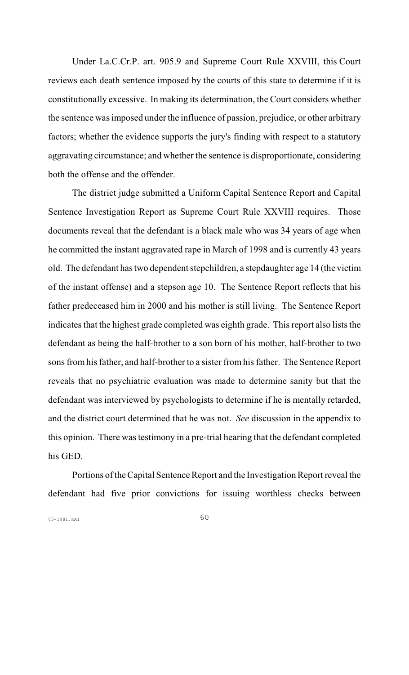Under La.C.Cr.P. art. 905.9 and Supreme Court Rule XXVIII, this Court reviews each death sentence imposed by the courts of this state to determine if it is constitutionally excessive. In making its determination, the Court considers whether the sentence was imposed under the influence of passion, prejudice, or other arbitrary factors; whether the evidence supports the jury's finding with respect to a statutory aggravating circumstance; and whether the sentence is disproportionate, considering both the offense and the offender.

The district judge submitted a Uniform Capital Sentence Report and Capital Sentence Investigation Report as Supreme Court Rule XXVIII requires. Those documents reveal that the defendant is a black male who was 34 years of age when he committed the instant aggravated rape in March of 1998 and is currently 43 years old. The defendant has two dependent stepchildren, a stepdaughter age 14 (the victim of the instant offense) and a stepson age 10. The Sentence Report reflects that his father predeceased him in 2000 and his mother is still living. The Sentence Report indicates that the highest grade completed was eighth grade. Thisreport also lists the defendant as being the half-brother to a son born of his mother, half-brother to two sons from his father, and half-brother to a sister from his father. The Sentence Report reveals that no psychiatric evaluation was made to determine sanity but that the defendant was interviewed by psychologists to determine if he is mentally retarded, and the district court determined that he was not. *See* discussion in the appendix to this opinion. There was testimony in a pre-trial hearing that the defendant completed his GED.

Portions oftheCapital Sentence Report and the Investigation Report reveal the defendant had five prior convictions for issuing worthless checks between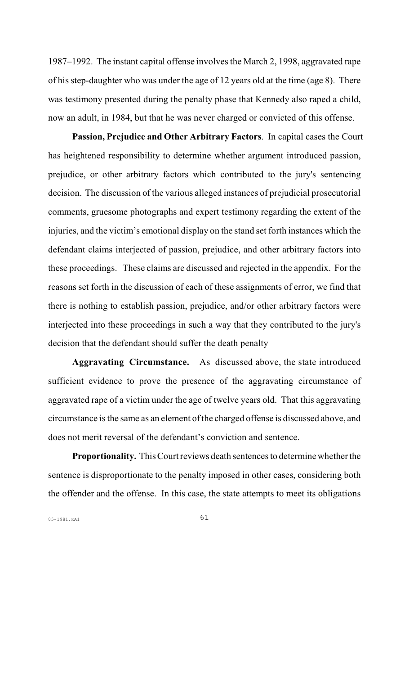1987–1992. The instant capital offense involves the March 2, 1998, aggravated rape of his step-daughter who was under the age of 12 years old at the time (age 8). There was testimony presented during the penalty phase that Kennedy also raped a child, now an adult, in 1984, but that he was never charged or convicted of this offense.

 **Passion, Prejudice and Other Arbitrary Factors**. In capital cases the Court has heightened responsibility to determine whether argument introduced passion, prejudice, or other arbitrary factors which contributed to the jury's sentencing decision. The discussion of the various alleged instances of prejudicial prosecutorial comments, gruesome photographs and expert testimony regarding the extent of the injuries, and the victim's emotional display on the stand set forth instances which the defendant claims interjected of passion, prejudice, and other arbitrary factors into these proceedings. These claims are discussed and rejected in the appendix. For the reasons set forth in the discussion of each of these assignments of error, we find that there is nothing to establish passion, prejudice, and/or other arbitrary factors were interjected into these proceedings in such a way that they contributed to the jury's decision that the defendant should suffer the death penalty

 **Aggravating Circumstance.** As discussed above, the state introduced sufficient evidence to prove the presence of the aggravating circumstance of aggravated rape of a victim under the age of twelve years old. That this aggravating circumstance is the same as an element of the charged offense is discussed above, and does not merit reversal of the defendant's conviction and sentence.

**Proportionality.** This Court reviews death sentences to determine whether the sentence is disproportionate to the penalty imposed in other cases, considering both the offender and the offense. In this case, the state attempts to meet its obligations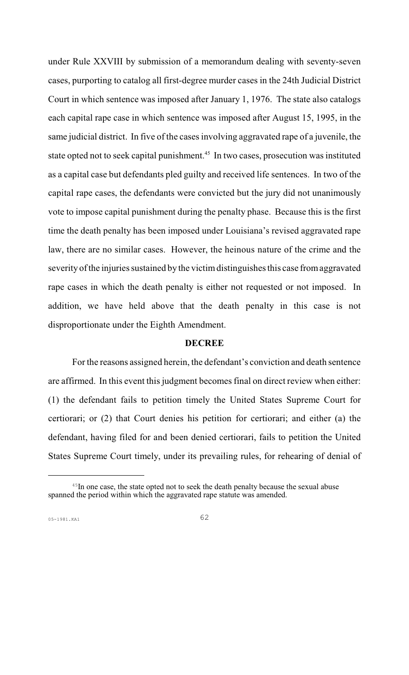under Rule XXVIII by submission of a memorandum dealing with seventy-seven cases, purporting to catalog all first-degree murder cases in the 24th Judicial District Court in which sentence was imposed after January 1, 1976. The state also catalogs each capital rape case in which sentence was imposed after August 15, 1995, in the same judicial district. In five of the cases involving aggravated rape of a juvenile, the state opted not to seek capital punishment.<sup>45</sup> In two cases, prosecution was instituted as a capital case but defendants pled guilty and received life sentences. In two of the capital rape cases, the defendants were convicted but the jury did not unanimously vote to impose capital punishment during the penalty phase. Because this is the first time the death penalty has been imposed under Louisiana's revised aggravated rape law, there are no similar cases. However, the heinous nature of the crime and the severity of the injuries sustained by the victim distinguishes this case from aggravated rape cases in which the death penalty is either not requested or not imposed. In addition, we have held above that the death penalty in this case is not disproportionate under the Eighth Amendment.

#### **DECREE**

For the reasons assigned herein, the defendant's conviction and death sentence are affirmed. In this event this judgment becomes final on direct review when either: (1) the defendant fails to petition timely the United States Supreme Court for certiorari; or (2) that Court denies his petition for certiorari; and either (a) the defendant, having filed for and been denied certiorari, fails to petition the United States Supreme Court timely, under its prevailing rules, for rehearing of denial of

 $45$ In one case, the state opted not to seek the death penalty because the sexual abuse spanned the period within which the aggravated rape statute was amended.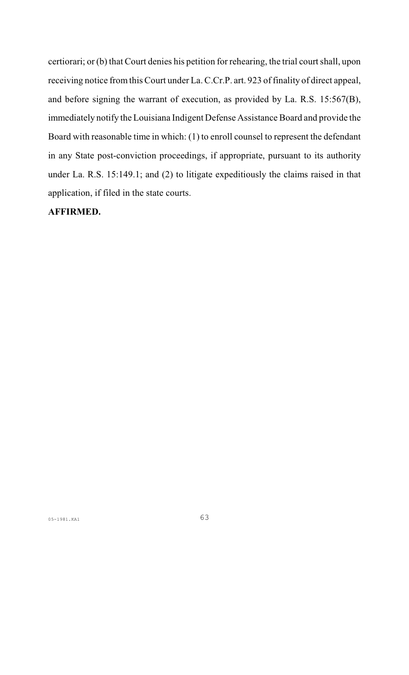certiorari; or (b) that Court denies his petition for rehearing, the trial court shall, upon receiving notice fromthis Court under La.C.Cr.P. art. 923 of finality of direct appeal, and before signing the warrant of execution, as provided by La. R.S. 15:567(B), immediately notify the Louisiana Indigent Defense Assistance Board and provide the Board with reasonable time in which: (1) to enroll counsel to represent the defendant in any State post-conviction proceedings, if appropriate, pursuant to its authority under La. R.S. 15:149.1; and (2) to litigate expeditiously the claims raised in that application, if filed in the state courts.

### **AFFIRMED.**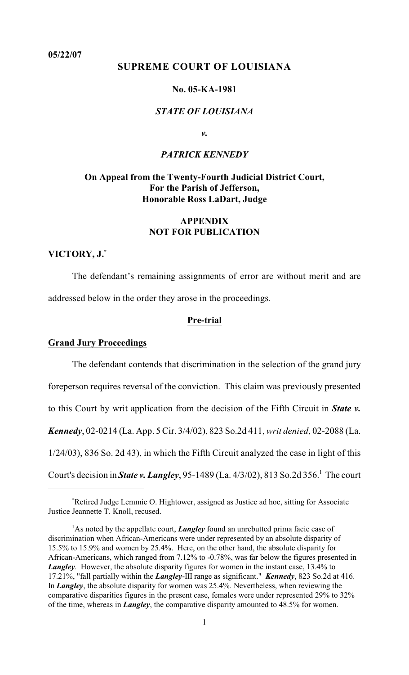### **05/22/07**

# **SUPREME COURT OF LOUISIANA**

# **No. 05-KA-1981**

# *STATE OF LOUISIANA*

*v.*

# *PATRICK KENNEDY*

# **On Appeal from the Twenty-Fourth Judicial District Court, For the Parish of Jefferson, Honorable Ross LaDart, Judge**

# **APPENDIX NOT FOR PUBLICATION**

### **VICTORY, J.\***

The defendant's remaining assignments of error are without merit and are addressed below in the order they arose in the proceedings.

#### **Pre-trial**

#### **Grand Jury Proceedings**

The defendant contends that discrimination in the selection of the grand jury foreperson requires reversal of the conviction. This claim was previously presented to this Court by writ application from the decision of the Fifth Circuit in *State v. Kennedy*, 02-0214 (La. App. 5 Cir. 3/4/02), 823 So.2d 411, *writ denied*, 02-2088 (La. 1/24/03), 836 So. 2d 43), in which the Fifth Circuit analyzed the case in light of this Court's decision in *State v. Langley*, 95-1489 (La. 4/3/02), 813 So.2d 356.<sup>1</sup> The court

Retired Judge Lemmie O. Hightower, assigned as Justice ad hoc, sitting for Associate \* Justice Jeannette T. Knoll, recused.

<sup>&</sup>lt;sup>1</sup>As noted by the appellate court, *Langley* found an unrebutted prima facie case of discrimination when African-Americans were under represented by an absolute disparity of 15.5% to 15.9% and women by 25.4%. Here, on the other hand, the absolute disparity for African-Americans, which ranged from 7.12% to -0.78%, was far below the figures presented in *Langley*. However, the absolute disparity figures for women in the instant case, 13.4% to 17.21%, "fall partially within the *Langley*-III range as significant." *Kennedy*, 823 So.2d at 416. In *Langley*, the absolute disparity for women was 25.4%. Nevertheless, when reviewing the comparative disparities figures in the present case, females were under represented 29% to 32% of the time, whereas in *Langley*, the comparative disparity amounted to 48.5% for women.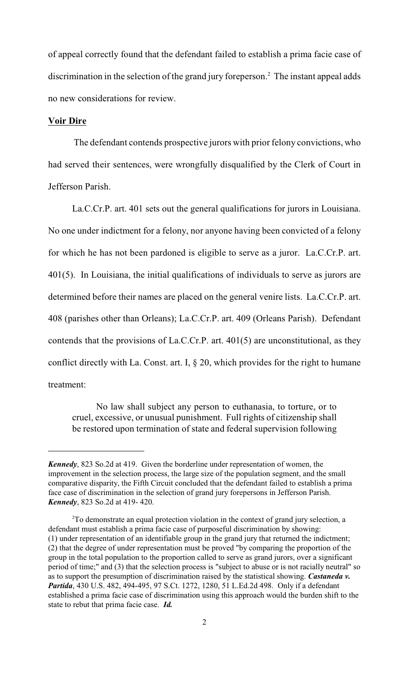of appeal correctly found that the defendant failed to establish a prima facie case of discrimination in the selection of the grand jury foreperson.<sup>2</sup> The instant appeal adds no new considerations for review.

#### **Voir Dire**

 The defendant contends prospective jurors with prior felony convictions, who had served their sentences, were wrongfully disqualified by the Clerk of Court in Jefferson Parish.

La.C.Cr.P. art. 401 sets out the general qualifications for jurors in Louisiana. No one under indictment for a felony, nor anyone having been convicted of a felony for which he has not been pardoned is eligible to serve as a juror. La.C.Cr.P. art. 401(5). In Louisiana, the initial qualifications of individuals to serve as jurors are determined before their names are placed on the general venire lists. La.C.Cr.P. art. 408 (parishes other than Orleans); La.C.Cr.P. art. 409 (Orleans Parish). Defendant contends that the provisions of La.C.Cr.P. art. 401(5) are unconstitutional, as they conflict directly with La. Const. art. I,  $\S$  20, which provides for the right to humane treatment:

No law shall subject any person to euthanasia, to torture, or to cruel, excessive, or unusual punishment. Full rights of citizenship shall be restored upon termination of state and federal supervision following

*Kennedy*, 823 So.2d at 419. Given the borderline under representation of women, the improvement in the selection process, the large size of the population segment, and the small comparative disparity, the Fifth Circuit concluded that the defendant failed to establish a prima face case of discrimination in the selection of grand jury forepersons in Jefferson Parish. *Kennedy*, 823 So.2d at 419- 420.

<sup>&</sup>lt;sup>2</sup>To demonstrate an equal protection violation in the context of grand jury selection, a defendant must establish a prima facie case of purposeful discrimination by showing: (1) under representation of an identifiable group in the grand jury that returned the indictment; (2) that the degree of under representation must be proved "by comparing the proportion of the group in the total population to the proportion called to serve as grand jurors, over a significant period of time;" and (3) that the selection process is "subject to abuse or is not racially neutral" so as to support the presumption of discrimination raised by the statistical showing. *Castaneda v. Partida*, 430 U.S. 482, 494-495, 97 S.Ct. 1272, 1280, 51 L.Ed.2d 498. Only if a defendant established a prima facie case of discrimination using this approach would the burden shift to the state to rebut that prima facie case. *Id.*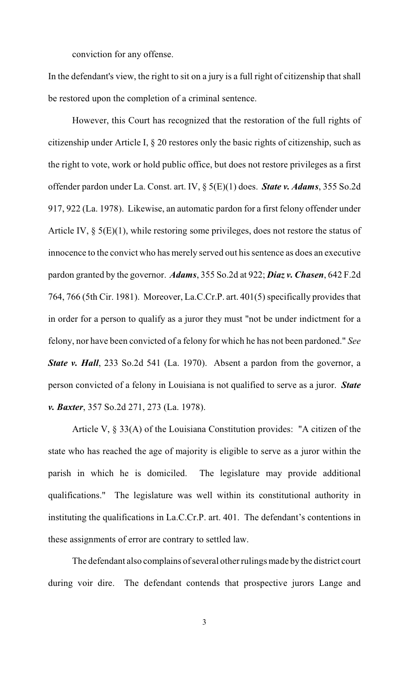conviction for any offense.

In the defendant's view, the right to sit on a jury is a full right of citizenship that shall be restored upon the completion of a criminal sentence.

However, this Court has recognized that the restoration of the full rights of citizenship under Article I, § 20 restores only the basic rights of citizenship, such as the right to vote, work or hold public office, but does not restore privileges as a first offender pardon under La. Const. art. IV, § 5(E)(1) does. *State v. Adams*, 355 So.2d 917, 922 (La. 1978). Likewise, an automatic pardon for a first felony offender under Article IV, § 5(E)(1), while restoring some privileges, does not restore the status of innocence to the convict who has merely served out his sentence as does an executive pardon granted by the governor. *Adams*, 355 So.2d at 922; *Diaz v. Chasen*, 642 F.2d 764, 766 (5th Cir. 1981). Moreover, La.C.Cr.P. art. 401(5) specifically provides that in order for a person to qualify as a juror they must "not be under indictment for a felony, nor have been convicted of a felony for which he has not been pardoned." *See State v. Hall*, 233 So.2d 541 (La. 1970). Absent a pardon from the governor, a person convicted of a felony in Louisiana is not qualified to serve as a juror. *State v. Baxter*, 357 So.2d 271, 273 (La. 1978).

Article V, § 33(A) of the Louisiana Constitution provides: "A citizen of the state who has reached the age of majority is eligible to serve as a juror within the parish in which he is domiciled. The legislature may provide additional qualifications." The legislature was well within its constitutional authority in instituting the qualifications in La.C.Cr.P. art. 401. The defendant's contentions in these assignments of error are contrary to settled law.

The defendant also complains of several other rulings made by the district court during voir dire. The defendant contends that prospective jurors Lange and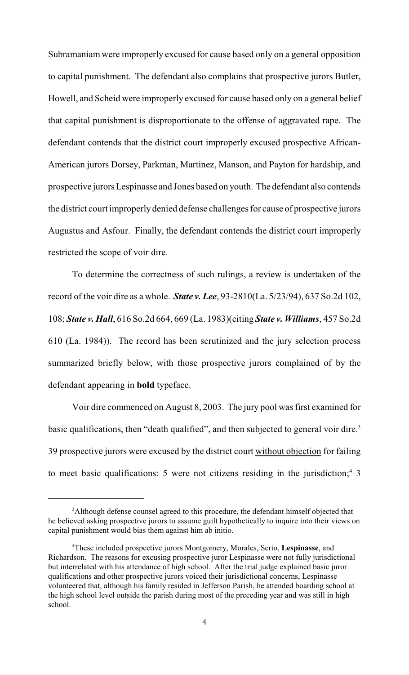Subramaniam were improperly excused for cause based only on a general opposition to capital punishment. The defendant also complains that prospective jurors Butler, Howell, and Scheid were improperly excused for cause based only on a general belief that capital punishment is disproportionate to the offense of aggravated rape. The defendant contends that the district court improperly excused prospective African-American jurors Dorsey, Parkman, Martinez, Manson, and Payton for hardship, and prospective jurors Lespinasse and Jones based on youth. The defendant also contends the district court improperly denied defense challenges for cause of prospective jurors Augustus and Asfour. Finally, the defendant contends the district court improperly restricted the scope of voir dire.

To determine the correctness of such rulings, a review is undertaken of the record of the voir dire as a whole. *State v. Lee*, 93-2810(La. 5/23/94), 637 So.2d 102, 108; *State v. Hall*, 616 So.2d 664, 669 (La. 1983)(citing *State v. Williams*, 457 So.2d 610 (La. 1984)). The record has been scrutinized and the jury selection process summarized briefly below, with those prospective jurors complained of by the defendant appearing in **bold** typeface.

Voir dire commenced on August 8, 2003. The jury pool was first examined for basic qualifications, then "death qualified", and then subjected to general voir dire.<sup>3</sup> 39 prospective jurors were excused by the district court without objection for failing to meet basic qualifications: 5 were not citizens residing in the jurisdiction;<sup>4</sup> 3

<sup>&</sup>lt;sup>3</sup>Although defense counsel agreed to this procedure, the defendant himself objected that he believed asking prospective jurors to assume guilt hypothetically to inquire into their views on capital punishment would bias them against him ab initio.

These included prospective jurors Montgomery, Morales, Serio, **Lespinasse**, and <sup>4</sup> Richardson. The reasons for excusing prospective juror Lespinasse were not fully jurisdictional but interrelated with his attendance of high school. After the trial judge explained basic juror qualifications and other prospective jurors voiced their jurisdictional concerns, Lespinasse volunteered that, although his family resided in Jefferson Parish, he attended boarding school at the high school level outside the parish during most of the preceding year and was still in high school.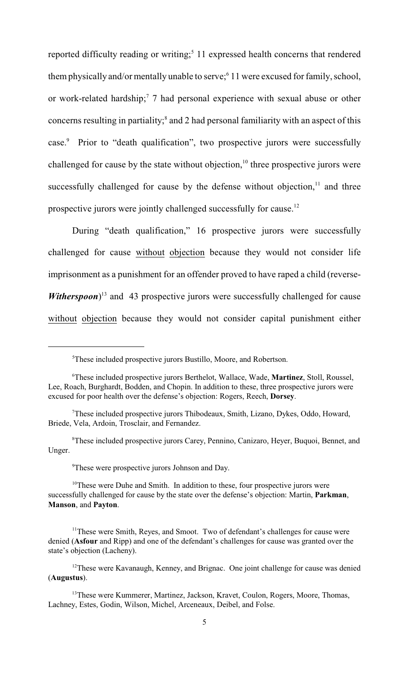reported difficulty reading or writing;<sup>5</sup> 11 expressed health concerns that rendered them physically and/or mentally unable to serve;<sup>6</sup> 11 were excused for family, school, or work-related hardship;<sup>7</sup> 7 had personal experience with sexual abuse or other concerns resulting in partiality;<sup>8</sup> and 2 had personal familiarity with an aspect of this case.<sup>9</sup> Prior to "death qualification", two prospective jurors were successfully challenged for cause by the state without objection, $10$  three prospective jurors were successfully challenged for cause by the defense without objection, $11$  and three prospective jurors were jointly challenged successfully for cause.<sup>12</sup>

During "death qualification," 16 prospective jurors were successfully challenged for cause without objection because they would not consider life imprisonment as a punishment for an offender proved to have raped a child (reverse-*Witherspoon*<sup>13</sup> and 43 prospective jurors were successfully challenged for cause without objection because they would not consider capital punishment either

<sup>9</sup>These were prospective jurors Johnson and Day.

 $10$ <sup>10</sup>These were Duhe and Smith. In addition to these, four prospective jurors were successfully challenged for cause by the state over the defense's objection: Martin, **Parkman**, **Manson**, and **Payton**.

<sup>&</sup>lt;sup>5</sup>These included prospective jurors Bustillo, Moore, and Robertson.

These included prospective jurors Berthelot, Wallace, Wade, **Martinez**, Stoll, Roussel, <sup>6</sup> Lee, Roach, Burghardt, Bodden, and Chopin. In addition to these, three prospective jurors were excused for poor health over the defense's objection: Rogers, Reech, **Dorsey**.

<sup>&</sup>lt;sup>7</sup>These included prospective jurors Thibodeaux, Smith, Lizano, Dykes, Oddo, Howard, Briede, Vela, Ardoin, Trosclair, and Fernandez.

<sup>&</sup>lt;sup>8</sup>These included prospective jurors Carey, Pennino, Canizaro, Heyer, Buquoi, Bennet, and Unger.

<sup>&</sup>lt;sup>11</sup>These were Smith, Reyes, and Smoot. Two of defendant's challenges for cause were denied (**Asfour** and Ripp) and one of the defendant's challenges for cause was granted over the state's objection (Lacheny).

 $12$ These were Kavanaugh, Kenney, and Brignac. One joint challenge for cause was denied (**Augustus**).

<sup>&</sup>lt;sup>13</sup>These were Kummerer, Martinez, Jackson, Kravet, Coulon, Rogers, Moore, Thomas, Lachney, Estes, Godin, Wilson, Michel, Arceneaux, Deibel, and Folse.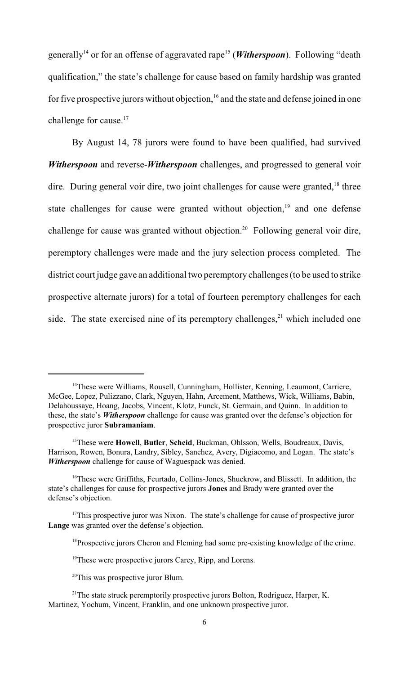generally<sup>14</sup> or for an offense of aggravated rape<sup>15</sup> (*Witherspoon*). Following "death qualification," the state's challenge for cause based on family hardship was granted for five prospective jurors without objection,  $16$  and the state and defense joined in one challenge for cause.<sup>17</sup>

By August 14, 78 jurors were found to have been qualified, had survived *Witherspoon* and reverse-*Witherspoon* challenges, and progressed to general voir dire. During general voir dire, two joint challenges for cause were granted,<sup>18</sup> three state challenges for cause were granted without objection, $19$  and one defense challenge for cause was granted without objection.<sup>20</sup> Following general voir dire, peremptory challenges were made and the jury selection process completed. The district court judge gave an additional two peremptory challenges (to be used to strike prospective alternate jurors) for a total of fourteen peremptory challenges for each side. The state exercised nine of its peremptory challenges, $21$  which included one

<sup>&</sup>lt;sup>14</sup>These were Williams, Rousell, Cunningham, Hollister, Kenning, Leaumont, Carriere, McGee, Lopez, Pulizzano, Clark, Nguyen, Hahn, Arcement, Matthews, Wick, Williams, Babin, Delahoussaye, Hoang, Jacobs, Vincent, Klotz, Funck, St. Germain, and Quinn. In addition to these, the state's *Witherspoon* challenge for cause was granted over the defense's objection for prospective juror **Subramaniam**.

<sup>&</sup>lt;sup>15</sup>These were Howell, Butler, Scheid, Buckman, Ohlsson, Wells, Boudreaux, Davis, Harrison, Rowen, Bonura, Landry, Sibley, Sanchez, Avery, Digiacomo, and Logan. The state's *Witherspoon* challenge for cause of Waguespack was denied.

 $16$ <sup>16</sup>These were Griffiths, Feurtado, Collins-Jones, Shuckrow, and Blissett. In addition, the state's challenges for cause for prospective jurors **Jones** and Brady were granted over the defense's objection.

 $17$ This prospective juror was Nixon. The state's challenge for cause of prospective juror **Lange** was granted over the defense's objection.

<sup>&</sup>lt;sup>18</sup> Prospective jurors Cheron and Fleming had some pre-existing knowledge of the crime.

<sup>&</sup>lt;sup>19</sup>These were prospective jurors Carey, Ripp, and Lorens.

<sup>&</sup>lt;sup>20</sup>This was prospective juror Blum.

<sup>&</sup>lt;sup>21</sup>The state struck peremptorily prospective jurors Bolton, Rodriguez, Harper, K. Martinez, Yochum, Vincent, Franklin, and one unknown prospective juror.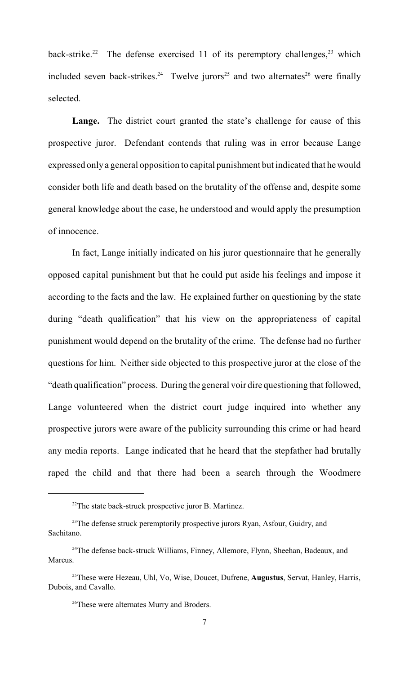back-strike.<sup>22</sup> The defense exercised 11 of its peremptory challenges,<sup>23</sup> which included seven back-strikes.<sup>24</sup> Twelve jurors<sup>25</sup> and two alternates<sup>26</sup> were finally selected.

Lange. The district court granted the state's challenge for cause of this prospective juror. Defendant contends that ruling was in error because Lange expressed only a general opposition to capital punishment but indicated that he would consider both life and death based on the brutality of the offense and, despite some general knowledge about the case, he understood and would apply the presumption of innocence.

In fact, Lange initially indicated on his juror questionnaire that he generally opposed capital punishment but that he could put aside his feelings and impose it according to the facts and the law. He explained further on questioning by the state during "death qualification" that his view on the appropriateness of capital punishment would depend on the brutality of the crime. The defense had no further questions for him. Neither side objected to this prospective juror at the close of the "death qualification" process. During the general voir dire questioning that followed, Lange volunteered when the district court judge inquired into whether any prospective jurors were aware of the publicity surrounding this crime or had heard any media reports. Lange indicated that he heard that the stepfather had brutally raped the child and that there had been a search through the Woodmere

 $22$ The state back-struck prospective juror B. Martinez.

<sup>&</sup>lt;sup>23</sup>The defense struck peremptorily prospective jurors Ryan, Asfour, Guidry, and Sachitano.

<sup>&</sup>lt;sup>24</sup>The defense back-struck Williams, Finney, Allemore, Flynn, Sheehan, Badeaux, and Marcus.

<sup>&</sup>lt;sup>25</sup> These were Hezeau, Uhl, Vo, Wise, Doucet, Dufrene, **Augustus**, Servat, Hanley, Harris, Dubois, and Cavallo.

<sup>&</sup>lt;sup>26</sup>These were alternates Murry and Broders.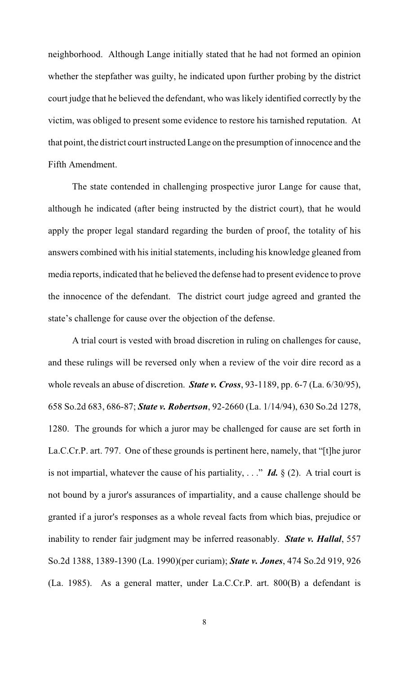neighborhood. Although Lange initially stated that he had not formed an opinion whether the stepfather was guilty, he indicated upon further probing by the district court judge that he believed the defendant, who was likely identified correctly by the victim, was obliged to present some evidence to restore his tarnished reputation. At that point, the district court instructed Lange on the presumption of innocence and the Fifth Amendment.

The state contended in challenging prospective juror Lange for cause that, although he indicated (after being instructed by the district court), that he would apply the proper legal standard regarding the burden of proof, the totality of his answers combined with his initial statements, including his knowledge gleaned from media reports, indicated that he believed the defense had to present evidence to prove the innocence of the defendant. The district court judge agreed and granted the state's challenge for cause over the objection of the defense.

A trial court is vested with broad discretion in ruling on challenges for cause, and these rulings will be reversed only when a review of the voir dire record as a whole reveals an abuse of discretion. *State v. Cross*, 93-1189, pp. 6-7 (La. 6/30/95), 658 So.2d 683, 686-87; *State v. Robertson*, 92-2660 (La. 1/14/94), 630 So.2d 1278, 1280. The grounds for which a juror may be challenged for cause are set forth in La.C.Cr.P. art. 797. One of these grounds is pertinent here, namely, that "[t]he juror is not impartial, whatever the cause of his partiality,  $\ldots$ " *Id.* § (2). A trial court is not bound by a juror's assurances of impartiality, and a cause challenge should be granted if a juror's responses as a whole reveal facts from which bias, prejudice or inability to render fair judgment may be inferred reasonably. *State v. Hallal*, 557 So.2d 1388, 1389-1390 (La. 1990)(per curiam); *State v. Jones*, 474 So.2d 919, 926 (La. 1985). As a general matter, under La.C.Cr.P. art. 800(B) a defendant is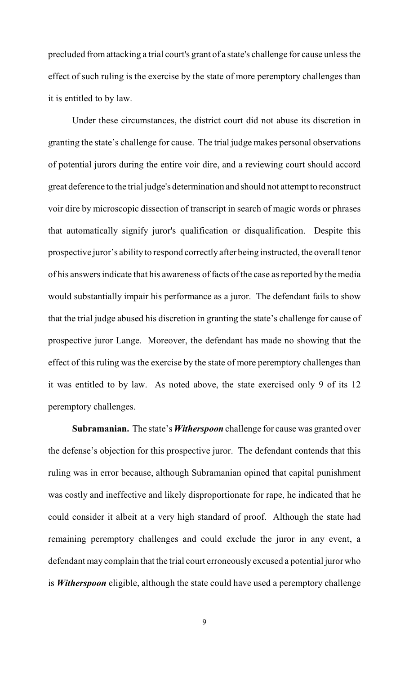precluded from attacking a trial court's grant of a state's challenge for cause unless the effect of such ruling is the exercise by the state of more peremptory challenges than it is entitled to by law.

Under these circumstances, the district court did not abuse its discretion in granting the state's challenge for cause. The trial judge makes personal observations of potential jurors during the entire voir dire, and a reviewing court should accord great deference to the trial judge's determination and should not attempt to reconstruct voir dire by microscopic dissection of transcript in search of magic words or phrases that automatically signify juror's qualification or disqualification. Despite this prospective juror's ability to respond correctly after being instructed, the overall tenor of his answers indicate that his awareness of facts of the case as reported by the media would substantially impair his performance as a juror. The defendant fails to show that the trial judge abused his discretion in granting the state's challenge for cause of prospective juror Lange. Moreover, the defendant has made no showing that the effect of this ruling was the exercise by the state of more peremptory challenges than it was entitled to by law. As noted above, the state exercised only 9 of its 12 peremptory challenges.

**Subramanian.** The state's *Witherspoon* challenge for cause was granted over the defense's objection for this prospective juror. The defendant contends that this ruling was in error because, although Subramanian opined that capital punishment was costly and ineffective and likely disproportionate for rape, he indicated that he could consider it albeit at a very high standard of proof. Although the state had remaining peremptory challenges and could exclude the juror in any event, a defendant may complain that the trial court erroneously excused a potential juror who is *Witherspoon* eligible, although the state could have used a peremptory challenge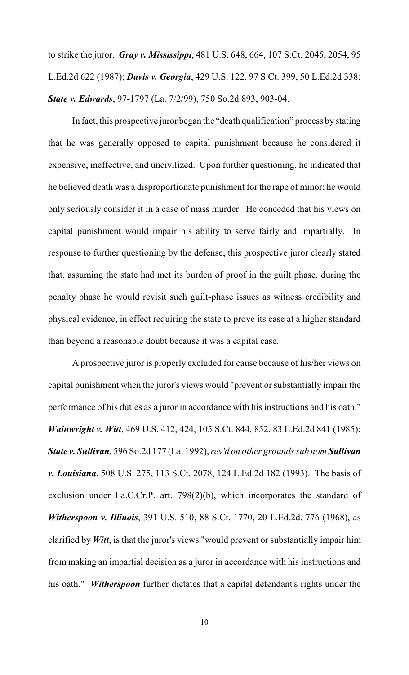to strike the juror. *Gray v. Mississippi*, 481 U.S. 648, 664, 107 S.Ct. 2045, 2054, 95 L.Ed.2d 622 (1987); *Davis v. Georgia*, 429 U.S. 122, 97 S.Ct. 399, 50 L.Ed.2d 338; *State v. Edwards*, 97-1797 (La. 7/2/99), 750 So.2d 893, 903-04.

In fact, this prospective juror began the "death qualification" process by stating that he was generally opposed to capital punishment because he considered it expensive, ineffective, and uncivilized. Upon further questioning, he indicated that he believed death was a disproportionate punishment for the rape of minor; he would only seriously consider it in a case of mass murder. He conceded that his views on capital punishment would impair his ability to serve fairly and impartially. In response to further questioning by the defense, this prospective juror clearly stated that, assuming the state had met its burden of proof in the guilt phase, during the penalty phase he would revisit such guilt-phase issues as witness credibility and physical evidence, in effect requiring the state to prove its case at a higher standard than beyond a reasonable doubt because it was a capital case.

A prospective juror is properly excluded for cause because of his/her views on capital punishment when the juror's views would "prevent orsubstantially impair the performance of his duties as a juror in accordance with his instructions and his oath." *Wainwright v. Witt*, 469 U.S. 412, 424, 105 S.Ct. 844, 852, 83 L.Ed.2d 841 (1985); *State v. Sullivan*, 596 So.2d 177 (La. 1992), *rev'd on other grounds sub nom Sullivan v. Louisiana*, 508 U.S. 275, 113 S.Ct. 2078, 124 L.Ed.2d 182 (1993). The basis of exclusion under La.C.Cr.P. art. 798(2)(b), which incorporates the standard of *Witherspoon v. Illinois*, 391 U.S. 510, 88 S.Ct. 1770, 20 L.Ed.2d. 776 (1968), as clarified by *Witt*, is that the juror's views "would prevent or substantially impair him from making an impartial decision as a juror in accordance with his instructions and his oath." *Witherspoon* further dictates that a capital defendant's rights under the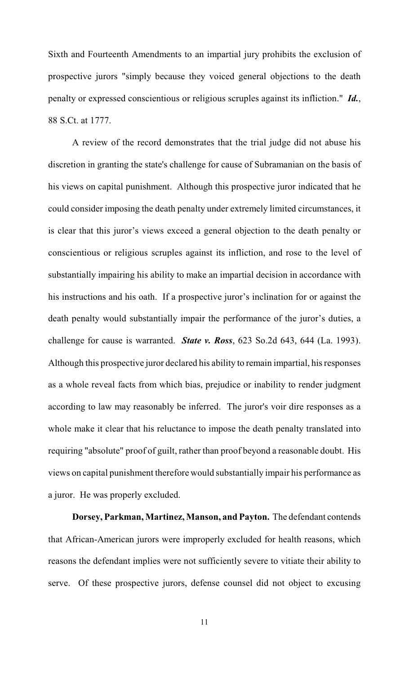Sixth and Fourteenth Amendments to an impartial jury prohibits the exclusion of prospective jurors "simply because they voiced general objections to the death penalty or expressed conscientious or religious scruples against its infliction." *Id.*, 88 S.Ct. at 1777.

A review of the record demonstrates that the trial judge did not abuse his discretion in granting the state's challenge for cause of Subramanian on the basis of his views on capital punishment. Although this prospective juror indicated that he could consider imposing the death penalty under extremely limited circumstances, it is clear that this juror's views exceed a general objection to the death penalty or conscientious or religious scruples against its infliction, and rose to the level of substantially impairing his ability to make an impartial decision in accordance with his instructions and his oath. If a prospective juror's inclination for or against the death penalty would substantially impair the performance of the juror's duties, a challenge for cause is warranted. *State v. Ross*, 623 So.2d 643, 644 (La. 1993). Although this prospective juror declared his ability to remain impartial, his responses as a whole reveal facts from which bias, prejudice or inability to render judgment according to law may reasonably be inferred. The juror's voir dire responses as a whole make it clear that his reluctance to impose the death penalty translated into requiring "absolute" proof of guilt, rather than proof beyond a reasonable doubt. His views on capital punishment therefore would substantially impair his performance as a juror. He was properly excluded.

**Dorsey, Parkman, Martinez, Manson, and Payton.** The defendant contends that African-American jurors were improperly excluded for health reasons, which reasons the defendant implies were not sufficiently severe to vitiate their ability to serve. Of these prospective jurors, defense counsel did not object to excusing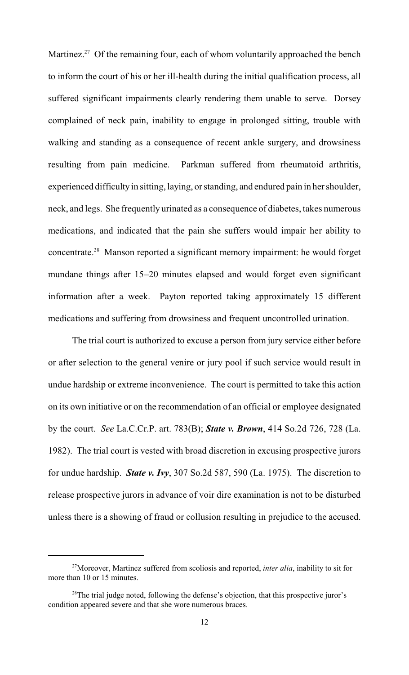Martinez.<sup>27</sup> Of the remaining four, each of whom voluntarily approached the bench to inform the court of his or her ill-health during the initial qualification process, all suffered significant impairments clearly rendering them unable to serve. Dorsey complained of neck pain, inability to engage in prolonged sitting, trouble with walking and standing as a consequence of recent ankle surgery, and drowsiness resulting from pain medicine. Parkman suffered from rheumatoid arthritis, experienced difficulty in sitting, laying, or standing, and endured pain in her shoulder, neck, and legs. She frequently urinated as a consequence of diabetes, takes numerous medications, and indicated that the pain she suffers would impair her ability to concentrate. $28$  Manson reported a significant memory impairment: he would forget mundane things after 15–20 minutes elapsed and would forget even significant information after a week. Payton reported taking approximately 15 different medications and suffering from drowsiness and frequent uncontrolled urination.

The trial court is authorized to excuse a person from jury service either before or after selection to the general venire or jury pool if such service would result in undue hardship or extreme inconvenience. The court is permitted to take this action on its own initiative or on the recommendation of an official or employee designated by the court. *See* La.C.Cr.P. art. 783(B); *State v. Brown*, 414 So.2d 726, 728 (La. 1982). The trial court is vested with broad discretion in excusing prospective jurors for undue hardship. *State v. Ivy*, 307 So.2d 587, 590 (La. 1975). The discretion to release prospective jurors in advance of voir dire examination is not to be disturbed unless there is a showing of fraud or collusion resulting in prejudice to the accused.

<sup>&</sup>lt;sup>27</sup> Moreover, Martinez suffered from scoliosis and reported, *inter alia*, inability to sit for more than 10 or 15 minutes.

 $28$ The trial judge noted, following the defense's objection, that this prospective juror's condition appeared severe and that she wore numerous braces.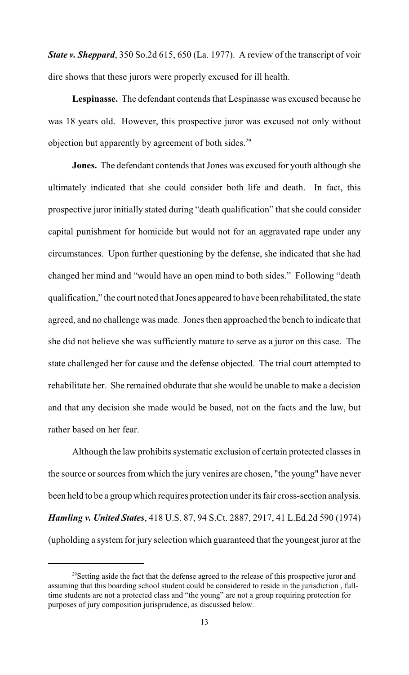*State v. Sheppard*, 350 So.2d 615, 650 (La. 1977). A review of the transcript of voir dire shows that these jurors were properly excused for ill health.

**Lespinasse.** The defendant contends that Lespinasse was excused because he was 18 years old. However, this prospective juror was excused not only without objection but apparently by agreement of both sides.<sup>29</sup>

**Jones.** The defendant contends that Jones was excused for youth although she ultimately indicated that she could consider both life and death. In fact, this prospective juror initially stated during "death qualification" that she could consider capital punishment for homicide but would not for an aggravated rape under any circumstances. Upon further questioning by the defense, she indicated that she had changed her mind and "would have an open mind to both sides." Following "death qualification," the court noted that Jones appeared to have been rehabilitated, the state agreed, and no challenge was made. Jones then approached the bench to indicate that she did not believe she was sufficiently mature to serve as a juror on this case. The state challenged her for cause and the defense objected. The trial court attempted to rehabilitate her. She remained obdurate that she would be unable to make a decision and that any decision she made would be based, not on the facts and the law, but rather based on her fear.

Although the law prohibits systematic exclusion of certain protected classes in the source or sources from which the jury venires are chosen, "the young" have never been held to be a group which requires protection under its fair cross-section analysis. *Hamling v. United States*, 418 U.S. 87, 94 S.Ct. 2887, 2917, 41 L.Ed.2d 590 (1974) (upholding a system for jury selection which guaranteed that the youngest juror at the

 $^{29}$ Setting aside the fact that the defense agreed to the release of this prospective juror and assuming that this boarding school student could be considered to reside in the jurisdiction , fulltime students are not a protected class and "the young" are not a group requiring protection for purposes of jury composition jurisprudence, as discussed below.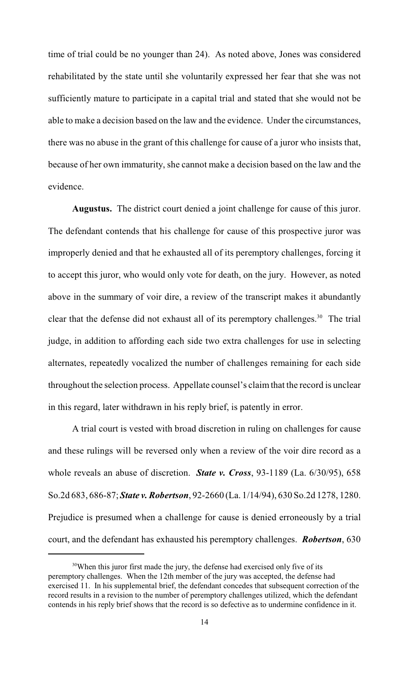time of trial could be no younger than 24). As noted above, Jones was considered rehabilitated by the state until she voluntarily expressed her fear that she was not sufficiently mature to participate in a capital trial and stated that she would not be able to make a decision based on the law and the evidence. Under the circumstances, there was no abuse in the grant of this challenge for cause of a juror who insists that, because of her own immaturity, she cannot make a decision based on the law and the evidence.

**Augustus.** The district court denied a joint challenge for cause of this juror. The defendant contends that his challenge for cause of this prospective juror was improperly denied and that he exhausted all of its peremptory challenges, forcing it to accept this juror, who would only vote for death, on the jury. However, as noted above in the summary of voir dire, a review of the transcript makes it abundantly clear that the defense did not exhaust all of its peremptory challenges.<sup>30</sup> The trial judge, in addition to affording each side two extra challenges for use in selecting alternates, repeatedly vocalized the number of challenges remaining for each side throughout the selection process. Appellate counsel's claimthat the record is unclear in this regard, later withdrawn in his reply brief, is patently in error.

A trial court is vested with broad discretion in ruling on challenges for cause and these rulings will be reversed only when a review of the voir dire record as a whole reveals an abuse of discretion. *State v. Cross*, 93-1189 (La. 6/30/95), 658 So.2d 683, 686-87; *State v. Robertson*, 92-2660 (La. 1/14/94), 630 So.2d 1278, 1280. Prejudice is presumed when a challenge for cause is denied erroneously by a trial court, and the defendant has exhausted his peremptory challenges. *Robertson*, 630

<sup>&</sup>lt;sup>30</sup>When this juror first made the jury, the defense had exercised only five of its peremptory challenges. When the 12th member of the jury was accepted, the defense had exercised 11. In his supplemental brief, the defendant concedes that subsequent correction of the record results in a revision to the number of peremptory challenges utilized, which the defendant contends in his reply brief shows that the record is so defective as to undermine confidence in it.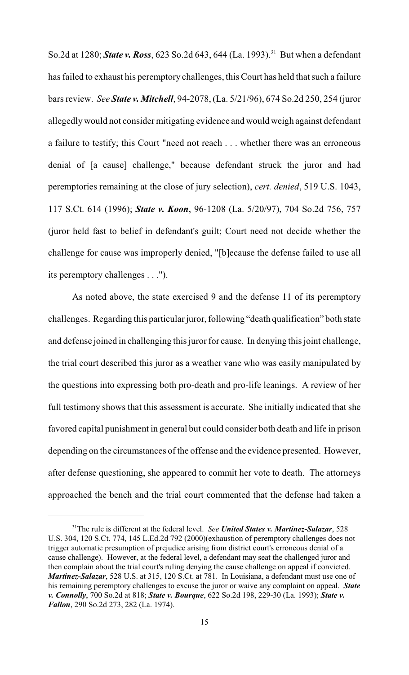So.2d at 1280; *State v. Ross*, 623 So.2d 643, 644 (La. 1993).<sup>31</sup> But when a defendant has failed to exhaust his peremptory challenges, this Court has held that such a failure bars review. *See State v. Mitchell*, 94-2078, (La. 5/21/96), 674 So.2d 250, 254 (juror allegedly would not consider mitigating evidence and would weigh against defendant a failure to testify; this Court "need not reach . . . whether there was an erroneous denial of [a cause] challenge," because defendant struck the juror and had peremptories remaining at the close of jury selection), *cert. denied*, 519 U.S. 1043, 117 S.Ct. 614 (1996); *State v. Koon*, 96-1208 (La. 5/20/97), 704 So.2d 756, 757 (juror held fast to belief in defendant's guilt; Court need not decide whether the challenge for cause was improperly denied, "[b]ecause the defense failed to use all its peremptory challenges . . .").

As noted above, the state exercised 9 and the defense 11 of its peremptory challenges. Regarding this particular juror, following "death qualification" both state and defense joined in challenging this juror for cause. In denying this joint challenge, the trial court described this juror as a weather vane who was easily manipulated by the questions into expressing both pro-death and pro-life leanings. A review of her full testimony shows that this assessment is accurate. She initially indicated that she favored capital punishment in general but could consider both death and life in prison depending on the circumstances of the offense and the evidence presented. However, after defense questioning, she appeared to commit her vote to death. The attorneys approached the bench and the trial court commented that the defense had taken a

<sup>&</sup>lt;sup>31</sup>The rule is different at the federal level. *See United States v. Martinez-Salazar*, 528 U.S. 304, 120 S.Ct. 774, 145 L.Ed.2d 792 (2000)(exhaustion of peremptory challenges does not trigger automatic presumption of prejudice arising from district court's erroneous denial of a cause challenge). However, at the federal level, a defendant may seat the challenged juror and then complain about the trial court's ruling denying the cause challenge on appeal if convicted. *Martinez-Salazar*, 528 U.S. at 315, 120 S.Ct. at 781. In Louisiana, a defendant must use one of his remaining peremptory challenges to excuse the juror or waive any complaint on appeal. *State v. Connolly*, 700 So.2d at 818; *State v. Bourque*, 622 So.2d 198, 229-30 (La. 1993); *State v. Fallon*, 290 So.2d 273, 282 (La. 1974).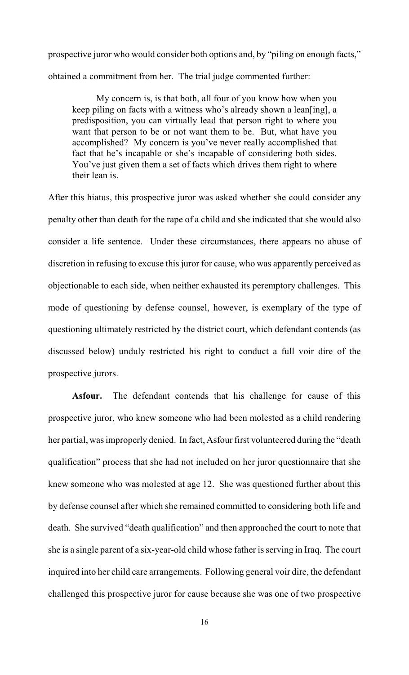prospective juror who would consider both options and, by "piling on enough facts," obtained a commitment from her. The trial judge commented further:

My concern is, is that both, all four of you know how when you keep piling on facts with a witness who's already shown a lean[ing], a predisposition, you can virtually lead that person right to where you want that person to be or not want them to be. But, what have you accomplished? My concern is you've never really accomplished that fact that he's incapable or she's incapable of considering both sides. You've just given them a set of facts which drives them right to where their lean is.

After this hiatus, this prospective juror was asked whether she could consider any penalty other than death for the rape of a child and she indicated that she would also consider a life sentence. Under these circumstances, there appears no abuse of discretion in refusing to excuse this juror for cause, who was apparently perceived as objectionable to each side, when neither exhausted its peremptory challenges. This mode of questioning by defense counsel, however, is exemplary of the type of questioning ultimately restricted by the district court, which defendant contends (as discussed below) unduly restricted his right to conduct a full voir dire of the prospective jurors.

**Asfour.** The defendant contends that his challenge for cause of this prospective juror, who knew someone who had been molested as a child rendering her partial, wasimproperly denied. In fact, Asfour first volunteered during the "death qualification" process that she had not included on her juror questionnaire that she knew someone who was molested at age 12. She was questioned further about this by defense counsel after which she remained committed to considering both life and death. She survived "death qualification" and then approached the court to note that she is a single parent of a six-year-old child whose father is serving in Iraq. The court inquired into her child care arrangements. Following general voir dire, the defendant challenged this prospective juror for cause because she was one of two prospective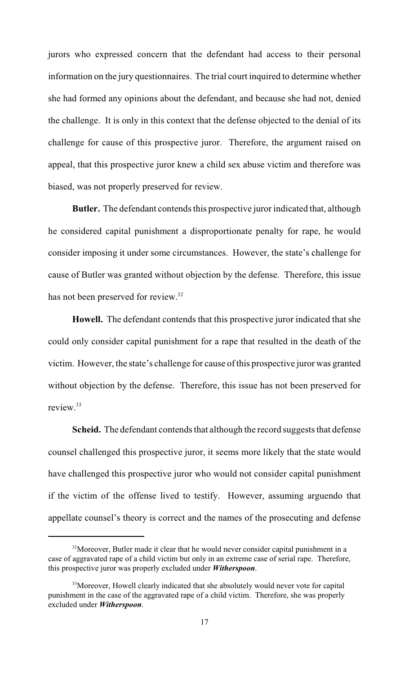jurors who expressed concern that the defendant had access to their personal information on the jury questionnaires. The trial court inquired to determine whether she had formed any opinions about the defendant, and because she had not, denied the challenge. It is only in this context that the defense objected to the denial of its challenge for cause of this prospective juror. Therefore, the argument raised on appeal, that this prospective juror knew a child sex abuse victim and therefore was biased, was not properly preserved for review.

**Butler.** The defendant contends this prospective juror indicated that, although he considered capital punishment a disproportionate penalty for rape, he would consider imposing it under some circumstances. However, the state's challenge for cause of Butler was granted without objection by the defense. Therefore, this issue has not been preserved for review.<sup>32</sup>

**Howell.** The defendant contends that this prospective juror indicated that she could only consider capital punishment for a rape that resulted in the death of the victim. However, the state's challenge for cause of this prospective juror was granted without objection by the defense. Therefore, this issue has not been preserved for review.<sup>33</sup>

**Scheid.** The defendant contends that although the record suggests that defense counsel challenged this prospective juror, it seems more likely that the state would have challenged this prospective juror who would not consider capital punishment if the victim of the offense lived to testify. However, assuming arguendo that appellate counsel's theory is correct and the names of the prosecuting and defense

 $32$ Moreover, Butler made it clear that he would never consider capital punishment in a case of aggravated rape of a child victim but only in an extreme case of serial rape. Therefore, this prospective juror was properly excluded under *Witherspoon*.

<sup>&</sup>lt;sup>33</sup>Moreover, Howell clearly indicated that she absolutely would never vote for capital punishment in the case of the aggravated rape of a child victim. Therefore, she was properly excluded under *Witherspoon*.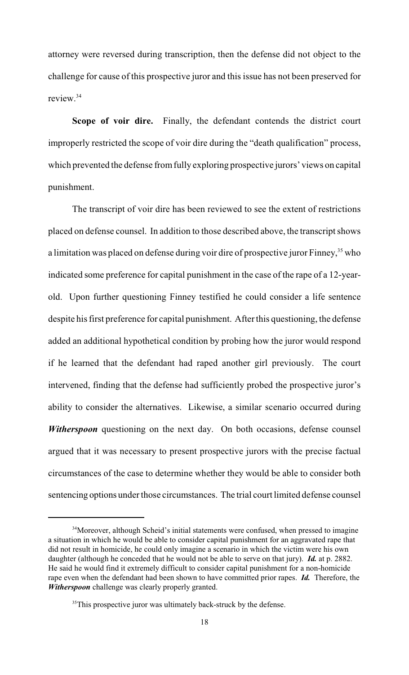attorney were reversed during transcription, then the defense did not object to the challenge for cause of this prospective juror and this issue has not been preserved for review.<sup>34</sup>

**Scope of voir dire.** Finally, the defendant contends the district court improperly restricted the scope of voir dire during the "death qualification" process, which prevented the defense from fully exploring prospective jurors' views on capital punishment.

The transcript of voir dire has been reviewed to see the extent of restrictions placed on defense counsel. In addition to those described above, the transcript shows a limitation was placed on defense during voir dire of prospective juror Finney,  $35$  who indicated some preference for capital punishment in the case of the rape of a 12-yearold. Upon further questioning Finney testified he could consider a life sentence despite his first preference for capital punishment. After this questioning, the defense added an additional hypothetical condition by probing how the juror would respond if he learned that the defendant had raped another girl previously. The court intervened, finding that the defense had sufficiently probed the prospective juror's ability to consider the alternatives. Likewise, a similar scenario occurred during *Witherspoon* questioning on the next day. On both occasions, defense counsel argued that it was necessary to present prospective jurors with the precise factual circumstances of the case to determine whether they would be able to consider both sentencing options under those circumstances. The trial court limited defense counsel

<sup>&</sup>lt;sup>34</sup>Moreover, although Scheid's initial statements were confused, when pressed to imagine a situation in which he would be able to consider capital punishment for an aggravated rape that did not result in homicide, he could only imagine a scenario in which the victim were his own daughter (although he conceded that he would not be able to serve on that jury). *Id.* at p. 2882. He said he would find it extremely difficult to consider capital punishment for a non-homicide rape even when the defendant had been shown to have committed prior rapes. *Id.* Therefore, the *Witherspoon* challenge was clearly properly granted.

 $35$ This prospective juror was ultimately back-struck by the defense.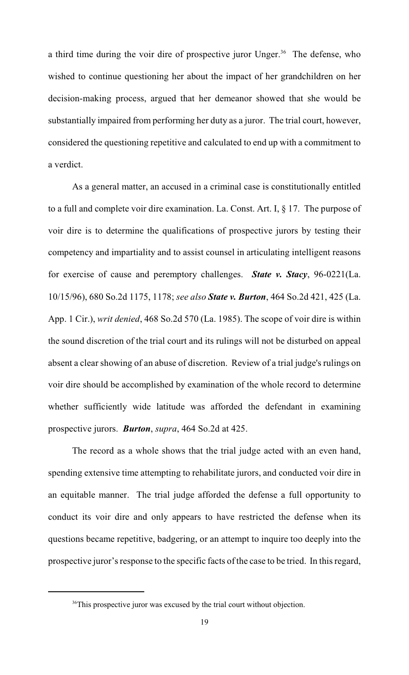a third time during the voir dire of prospective juror Unger.<sup>36</sup> The defense, who wished to continue questioning her about the impact of her grandchildren on her decision-making process, argued that her demeanor showed that she would be substantially impaired from performing her duty as a juror. The trial court, however, considered the questioning repetitive and calculated to end up with a commitment to a verdict.

As a general matter, an accused in a criminal case is constitutionally entitled to a full and complete voir dire examination. La. Const. Art. I, § 17. The purpose of voir dire is to determine the qualifications of prospective jurors by testing their competency and impartiality and to assist counsel in articulating intelligent reasons for exercise of cause and peremptory challenges. *State v. Stacy*, 96-0221(La. 10/15/96), 680 So.2d 1175, 1178; *see also State v. Burton*, 464 So.2d 421, 425 (La. App. 1 Cir.), *writ denied*, 468 So.2d 570 (La. 1985). The scope of voir dire is within the sound discretion of the trial court and its rulings will not be disturbed on appeal absent a clear showing of an abuse of discretion. Review of a trial judge's rulings on voir dire should be accomplished by examination of the whole record to determine whether sufficiently wide latitude was afforded the defendant in examining prospective jurors. *Burton*, *supra*, 464 So.2d at 425.

The record as a whole shows that the trial judge acted with an even hand, spending extensive time attempting to rehabilitate jurors, and conducted voir dire in an equitable manner. The trial judge afforded the defense a full opportunity to conduct its voir dire and only appears to have restricted the defense when its questions became repetitive, badgering, or an attempt to inquire too deeply into the prospective juror's response to the specific facts of the case to be tried. In this regard,

<sup>&</sup>lt;sup>36</sup>This prospective juror was excused by the trial court without objection.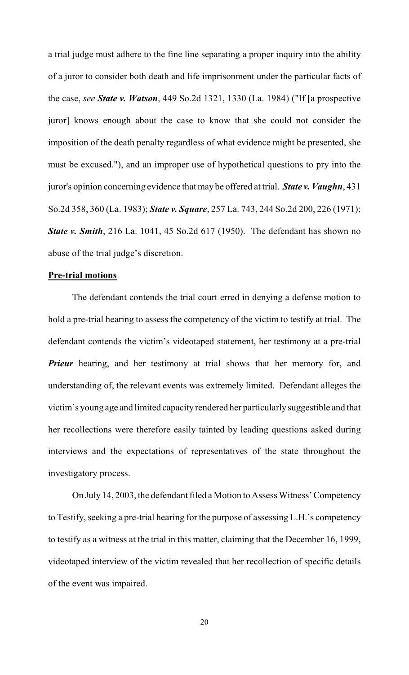a trial judge must adhere to the fine line separating a proper inquiry into the ability of a juror to consider both death and life imprisonment under the particular facts of the case, *see State v. Watson*, 449 So.2d 1321, 1330 (La. 1984) ("If [a prospective juror] knows enough about the case to know that she could not consider the imposition of the death penalty regardless of what evidence might be presented, she must be excused."), and an improper use of hypothetical questions to pry into the juror's opinion concerning evidence that may be offered at trial. *State v. Vaughn*, 431 So.2d 358, 360 (La. 1983); *State v. Square*, 257 La. 743, 244 So.2d 200, 226 (1971); *State v. Smith*, 216 La. 1041, 45 So.2d 617 (1950). The defendant has shown no abuse of the trial judge's discretion.

# **Pre-trial motions**

The defendant contends the trial court erred in denying a defense motion to hold a pre-trial hearing to assess the competency of the victim to testify at trial. The defendant contends the victim's videotaped statement, her testimony at a pre-trial *Prieur* hearing, and her testimony at trial shows that her memory for, and understanding of, the relevant events was extremely limited. Defendant alleges the victim's young age and limited capacity rendered her particularly suggestible and that her recollections were therefore easily tainted by leading questions asked during interviews and the expectations of representatives of the state throughout the investigatory process.

On July 14, 2003, the defendant filed a Motion to Assess Witness' Competency to Testify, seeking a pre-trial hearing for the purpose of assessing L.H.'s competency to testify as a witness at the trial in this matter, claiming that the December 16, 1999, videotaped interview of the victim revealed that her recollection of specific details of the event was impaired.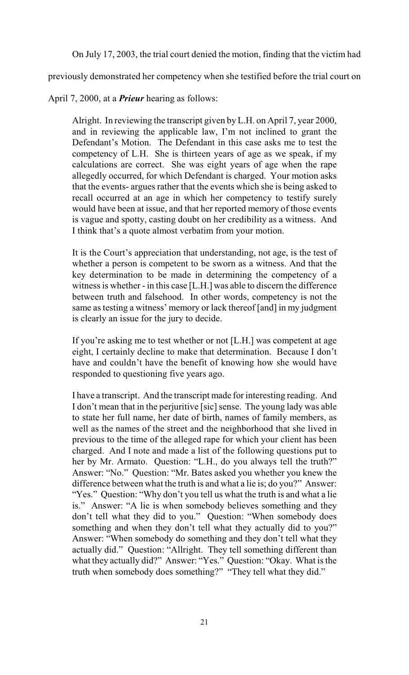On July 17, 2003, the trial court denied the motion, finding that the victim had

previously demonstrated her competency when she testified before the trial court on

April 7, 2000, at a *Prieur* hearing as follows:

Alright. In reviewing the transcript given by L.H. on April 7, year 2000, and in reviewing the applicable law, I'm not inclined to grant the Defendant's Motion. The Defendant in this case asks me to test the competency of L.H. She is thirteen years of age as we speak, if my calculations are correct. She was eight years of age when the rape allegedly occurred, for which Defendant is charged. Your motion asks that the events- argues rather that the events which she is being asked to recall occurred at an age in which her competency to testify surely would have been at issue, and that her reported memory of those events is vague and spotty, casting doubt on her credibility as a witness. And I think that's a quote almost verbatim from your motion.

It is the Court's appreciation that understanding, not age, is the test of whether a person is competent to be sworn as a witness. And that the key determination to be made in determining the competency of a witness is whether - in this case [L.H.] was able to discern the difference between truth and falsehood. In other words, competency is not the same as testing a witness' memory or lack thereof [and] in my judgment is clearly an issue for the jury to decide.

If you're asking me to test whether or not [L.H.] was competent at age eight, I certainly decline to make that determination. Because I don't have and couldn't have the benefit of knowing how she would have responded to questioning five years ago.

I have a transcript. And the transcript made for interesting reading. And I don't mean that in the perjuritive [sic] sense. The young lady was able to state her full name, her date of birth, names of family members, as well as the names of the street and the neighborhood that she lived in previous to the time of the alleged rape for which your client has been charged. And I note and made a list of the following questions put to her by Mr. Armato. Question: "L.H., do you always tell the truth?" Answer: "No." Question: "Mr. Bates asked you whether you knew the difference between what the truth is and what a lie is; do you?" Answer: "Yes." Question: "Why don't you tell us what the truth is and what a lie" is." Answer: "A lie is when somebody believes something and they don't tell what they did to you." Question: "When somebody does something and when they don't tell what they actually did to you?" Answer: "When somebody do something and they don't tell what they actually did." Question: "Allright. They tell something different than what they actually did?" Answer: "Yes." Question: "Okay. What is the truth when somebody does something?" "They tell what they did."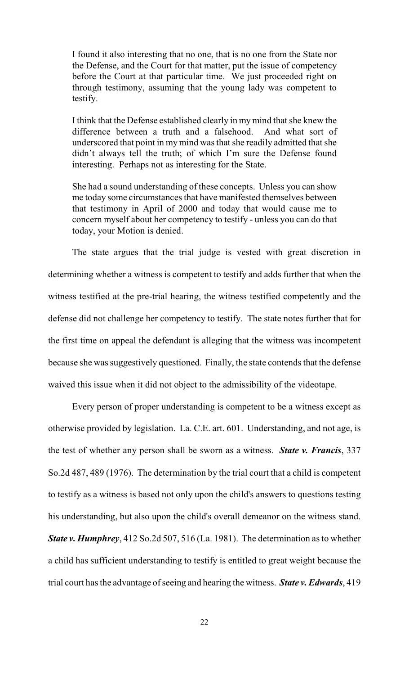I found it also interesting that no one, that is no one from the State nor the Defense, and the Court for that matter, put the issue of competency before the Court at that particular time. We just proceeded right on through testimony, assuming that the young lady was competent to testify.

I think that the Defense established clearly in my mind that she knew the difference between a truth and a falsehood. And what sort of underscored that point in my mind was that she readily admitted that she didn't always tell the truth; of which I'm sure the Defense found interesting. Perhaps not as interesting for the State.

She had a sound understanding of these concepts. Unless you can show me today some circumstances that have manifested themselves between that testimony in April of 2000 and today that would cause me to concern myself about her competency to testify - unless you can do that today, your Motion is denied.

The state argues that the trial judge is vested with great discretion in determining whether a witness is competent to testify and adds further that when the witness testified at the pre-trial hearing, the witness testified competently and the defense did not challenge her competency to testify. The state notes further that for the first time on appeal the defendant is alleging that the witness was incompetent because she was suggestively questioned. Finally, the state contends that the defense waived this issue when it did not object to the admissibility of the videotape.

Every person of proper understanding is competent to be a witness except as otherwise provided by legislation. La. C.E. art. 601. Understanding, and not age, is the test of whether any person shall be sworn as a witness. *State v. Francis*, 337 So.2d 487, 489 (1976). The determination by the trial court that a child is competent to testify as a witness is based not only upon the child's answers to questions testing his understanding, but also upon the child's overall demeanor on the witness stand. *State v. Humphrey*, 412 So.2d 507, 516 (La. 1981). The determination as to whether a child has sufficient understanding to testify is entitled to great weight because the trial court has the advantage of seeing and hearing the witness. *State v. Edwards*, 419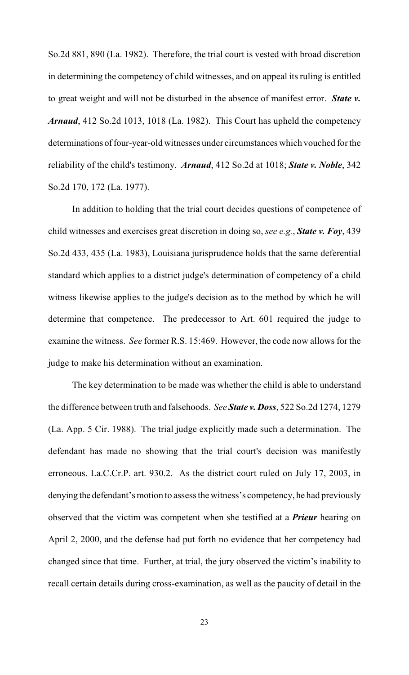So.2d 881, 890 (La. 1982). Therefore, the trial court is vested with broad discretion in determining the competency of child witnesses, and on appeal its ruling is entitled to great weight and will not be disturbed in the absence of manifest error. *State v. Arnaud*, 412 So.2d 1013, 1018 (La. 1982). This Court has upheld the competency determinations of four-year-old witnesses under circumstances which vouched for the reliability of the child's testimony. *Arnaud*, 412 So.2d at 1018; *State v. Noble*, 342 So.2d 170, 172 (La. 1977).

In addition to holding that the trial court decides questions of competence of child witnesses and exercises great discretion in doing so, *see e.g.*, *State v. Foy*, 439 So.2d 433, 435 (La. 1983), Louisiana jurisprudence holds that the same deferential standard which applies to a district judge's determination of competency of a child witness likewise applies to the judge's decision as to the method by which he will determine that competence. The predecessor to Art. 601 required the judge to examine the witness. *See* former R.S. 15:469. However, the code now allows for the judge to make his determination without an examination.

The key determination to be made was whether the child is able to understand the difference between truth and falsehoods. *See State v. Doss*, 522 So.2d 1274, 1279 (La. App. 5 Cir. 1988). The trial judge explicitly made such a determination. The defendant has made no showing that the trial court's decision was manifestly erroneous. La.C.Cr.P. art. 930.2. As the district court ruled on July 17, 2003, in denying the defendant's motion to assess the witness's competency, he had previously observed that the victim was competent when she testified at a *Prieur* hearing on April 2, 2000, and the defense had put forth no evidence that her competency had changed since that time. Further, at trial, the jury observed the victim's inability to recall certain details during cross-examination, as well as the paucity of detail in the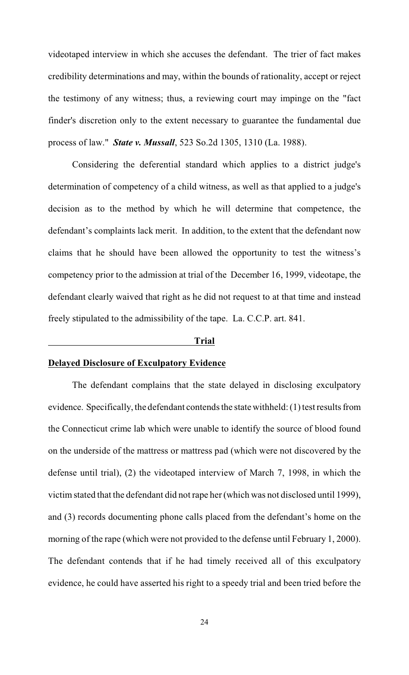videotaped interview in which she accuses the defendant. The trier of fact makes credibility determinations and may, within the bounds of rationality, accept or reject the testimony of any witness; thus, a reviewing court may impinge on the "fact finder's discretion only to the extent necessary to guarantee the fundamental due process of law." *State v. Mussall*, 523 So.2d 1305, 1310 (La. 1988).

Considering the deferential standard which applies to a district judge's determination of competency of a child witness, as well as that applied to a judge's decision as to the method by which he will determine that competence, the defendant's complaints lack merit. In addition, to the extent that the defendant now claims that he should have been allowed the opportunity to test the witness's competency prior to the admission at trial of the December 16, 1999, videotape, the defendant clearly waived that right as he did not request to at that time and instead freely stipulated to the admissibility of the tape. La. C.C.P. art. 841.

#### **Trial**

## **Delayed Disclosure of Exculpatory Evidence**

The defendant complains that the state delayed in disclosing exculpatory evidence. Specifically, the defendant contends the state withheld: (1) test results from the Connecticut crime lab which were unable to identify the source of blood found on the underside of the mattress or mattress pad (which were not discovered by the defense until trial), (2) the videotaped interview of March 7, 1998, in which the victim stated that the defendant did not rape her (which was not disclosed until 1999), and (3) records documenting phone calls placed from the defendant's home on the morning of the rape (which were not provided to the defense until February 1, 2000). The defendant contends that if he had timely received all of this exculpatory evidence, he could have asserted his right to a speedy trial and been tried before the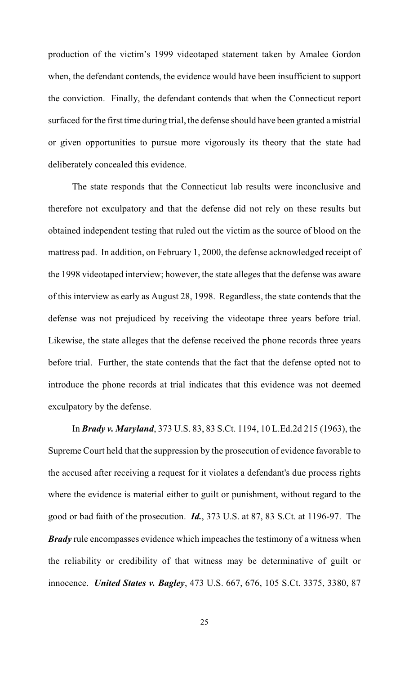production of the victim's 1999 videotaped statement taken by Amalee Gordon when, the defendant contends, the evidence would have been insufficient to support the conviction. Finally, the defendant contends that when the Connecticut report surfaced for the first time during trial, the defense should have been granted a mistrial or given opportunities to pursue more vigorously its theory that the state had deliberately concealed this evidence.

The state responds that the Connecticut lab results were inconclusive and therefore not exculpatory and that the defense did not rely on these results but obtained independent testing that ruled out the victim as the source of blood on the mattress pad. In addition, on February 1, 2000, the defense acknowledged receipt of the 1998 videotaped interview; however, the state alleges that the defense was aware of this interview as early as August 28, 1998. Regardless, the state contends that the defense was not prejudiced by receiving the videotape three years before trial. Likewise, the state alleges that the defense received the phone records three years before trial. Further, the state contends that the fact that the defense opted not to introduce the phone records at trial indicates that this evidence was not deemed exculpatory by the defense.

In *Brady v. Maryland*, 373 U.S. 83, 83 S.Ct. 1194, 10 L.Ed.2d 215 (1963), the Supreme Court held that the suppression by the prosecution of evidence favorable to the accused after receiving a request for it violates a defendant's due process rights where the evidence is material either to guilt or punishment, without regard to the good or bad faith of the prosecution. *Id.*, 373 U.S. at 87, 83 S.Ct. at 1196-97. The *Brady* rule encompasses evidence which impeaches the testimony of a witness when the reliability or credibility of that witness may be determinative of guilt or innocence. *United States v. Bagley*, 473 U.S. 667, 676, 105 S.Ct. 3375, 3380, 87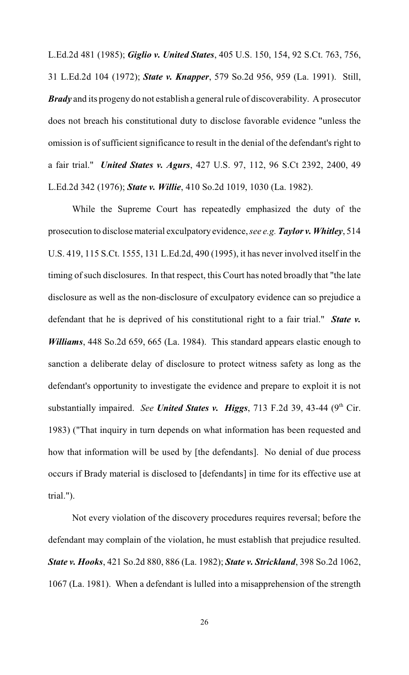L.Ed.2d 481 (1985); *Giglio v. United States*, 405 U.S. 150, 154, 92 S.Ct. 763, 756, 31 L.Ed.2d 104 (1972); *State v. Knapper*, 579 So.2d 956, 959 (La. 1991). Still, *Brady* and its progeny do not establish a general rule of discoverability. A prosecutor does not breach his constitutional duty to disclose favorable evidence "unless the omission is of sufficient significance to result in the denial of the defendant's right to a fair trial." *United States v. Agurs*, 427 U.S. 97, 112, 96 S.Ct 2392, 2400, 49 L.Ed.2d 342 (1976); *State v. Willie*, 410 So.2d 1019, 1030 (La. 1982).

While the Supreme Court has repeatedly emphasized the duty of the prosecution to disclose material exculpatory evidence, *see e.g. Taylor v. Whitley*, 514 U.S. 419, 115 S.Ct. 1555, 131 L.Ed.2d, 490 (1995), it has never involved itself in the timing of such disclosures. In that respect, this Court has noted broadly that "the late disclosure as well as the non-disclosure of exculpatory evidence can so prejudice a defendant that he is deprived of his constitutional right to a fair trial." *State v. Williams*, 448 So.2d 659, 665 (La. 1984). This standard appears elastic enough to sanction a deliberate delay of disclosure to protect witness safety as long as the defendant's opportunity to investigate the evidence and prepare to exploit it is not substantially impaired. *See United States v. Higgs*, 713 F.2d 39, 43-44 (9<sup>th</sup> Cir. 1983) ("That inquiry in turn depends on what information has been requested and how that information will be used by [the defendants]. No denial of due process occurs if Brady material is disclosed to [defendants] in time for its effective use at trial.").

Not every violation of the discovery procedures requires reversal; before the defendant may complain of the violation, he must establish that prejudice resulted. *State v. Hooks*, 421 So.2d 880, 886 (La. 1982); *State v. Strickland*, 398 So.2d 1062, 1067 (La. 1981). When a defendant is lulled into a misapprehension of the strength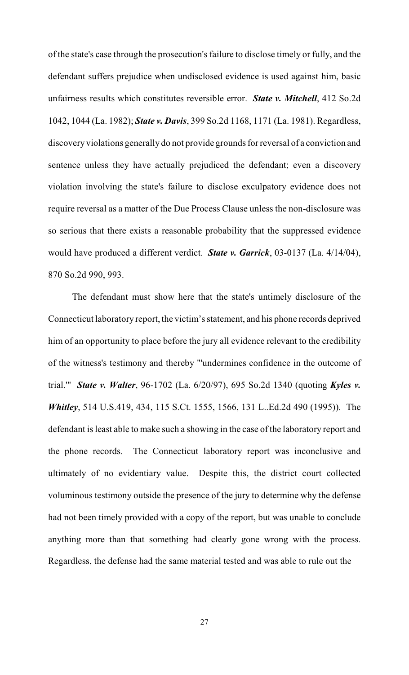of the state's case through the prosecution's failure to disclose timely or fully, and the defendant suffers prejudice when undisclosed evidence is used against him, basic unfairness results which constitutes reversible error. *State v. Mitchell*, 412 So.2d 1042, 1044 (La. 1982); *State v. Davis*, 399 So.2d 1168, 1171 (La. 1981). Regardless, discovery violations generally do not provide grounds forreversal of a conviction and sentence unless they have actually prejudiced the defendant; even a discovery violation involving the state's failure to disclose exculpatory evidence does not require reversal as a matter of the Due Process Clause unless the non-disclosure was so serious that there exists a reasonable probability that the suppressed evidence would have produced a different verdict. *State v. Garrick*, 03-0137 (La. 4/14/04), 870 So.2d 990, 993.

The defendant must show here that the state's untimely disclosure of the Connecticut laboratory report, the victim's statement, and his phone records deprived him of an opportunity to place before the jury all evidence relevant to the credibility of the witness's testimony and thereby "'undermines confidence in the outcome of trial.'" *State v. Walter*, 96-1702 (La. 6/20/97), 695 So.2d 1340 (quoting *Kyles v. Whitley*, 514 U.S.419, 434, 115 S.Ct. 1555, 1566, 131 L..Ed.2d 490 (1995)). The defendant is least able to make such a showing in the case of the laboratory report and the phone records. The Connecticut laboratory report was inconclusive and ultimately of no evidentiary value. Despite this, the district court collected voluminous testimony outside the presence of the jury to determine why the defense had not been timely provided with a copy of the report, but was unable to conclude anything more than that something had clearly gone wrong with the process. Regardless, the defense had the same material tested and was able to rule out the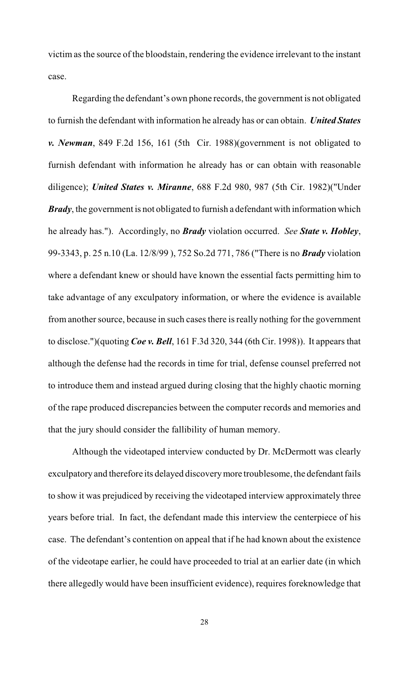victim as the source of the bloodstain, rendering the evidence irrelevant to the instant case.

Regarding the defendant's own phone records, the government is not obligated to furnish the defendant with information he already has or can obtain. *United States v. Newman*, 849 F.2d 156, 161 (5th Cir. 1988)(government is not obligated to furnish defendant with information he already has or can obtain with reasonable diligence); *United States v. Miranne*, 688 F.2d 980, 987 (5th Cir. 1982)("Under *Brady*, the government is not obligated to furnish a defendant with information which he already has."). Accordingly, no *Brady* violation occurred. *See State v. Hobley*, 99-3343, p. 25 n.10 (La. 12/8/99 ), 752 So.2d 771, 786 ("There is no *Brady* violation where a defendant knew or should have known the essential facts permitting him to take advantage of any exculpatory information, or where the evidence is available from another source, because in such cases there is really nothing for the government to disclose.")(quoting *Coe v. Bell*, 161 F.3d 320, 344 (6th Cir. 1998)). It appears that although the defense had the records in time for trial, defense counsel preferred not to introduce them and instead argued during closing that the highly chaotic morning of the rape produced discrepancies between the computer records and memories and that the jury should consider the fallibility of human memory.

Although the videotaped interview conducted by Dr. McDermott was clearly exculpatory and therefore its delayed discovery more troublesome, the defendant fails to show it was prejudiced by receiving the videotaped interview approximately three years before trial. In fact, the defendant made this interview the centerpiece of his case. The defendant's contention on appeal that if he had known about the existence of the videotape earlier, he could have proceeded to trial at an earlier date (in which there allegedly would have been insufficient evidence), requires foreknowledge that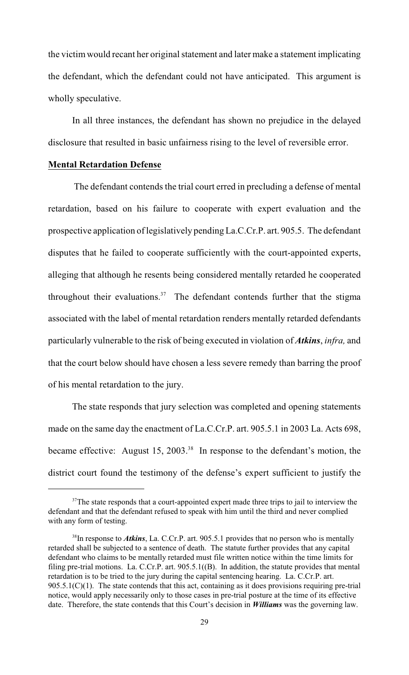the victimwould recant her original statement and later make a statement implicating the defendant, which the defendant could not have anticipated. This argument is wholly speculative.

In all three instances, the defendant has shown no prejudice in the delayed disclosure that resulted in basic unfairness rising to the level of reversible error.

# **Mental Retardation Defense**

 The defendant contends the trial court erred in precluding a defense of mental retardation, based on his failure to cooperate with expert evaluation and the prospective application of legislatively pending La.C.Cr.P. art. 905.5. The defendant disputes that he failed to cooperate sufficiently with the court-appointed experts, alleging that although he resents being considered mentally retarded he cooperated throughout their evaluations.<sup>37</sup> The defendant contends further that the stigma associated with the label of mental retardation renders mentally retarded defendants particularly vulnerable to the risk of being executed in violation of *Atkins*, *infra,* and that the court below should have chosen a less severe remedy than barring the proof of his mental retardation to the jury.

The state responds that jury selection was completed and opening statements made on the same day the enactment of La.C.Cr.P. art. 905.5.1 in 2003 La. Acts 698, became effective: August 15, 2003.<sup>38</sup> In response to the defendant's motion, the district court found the testimony of the defense's expert sufficient to justify the

 $37$ The state responds that a court-appointed expert made three trips to jail to interview the defendant and that the defendant refused to speak with him until the third and never complied with any form of testing.

 $38$ In response to *Atkins*, La. C.Cr.P. art. 905.5.1 provides that no person who is mentally retarded shall be subjected to a sentence of death. The statute further provides that any capital defendant who claims to be mentally retarded must file written notice within the time limits for filing pre-trial motions. La. C.Cr.P. art. 905.5.1((B). In addition, the statute provides that mental retardation is to be tried to the jury during the capital sentencing hearing. La. C.Cr.P. art.  $905.5.1(C)(1)$ . The state contends that this act, containing as it does provisions requiring pre-trial notice, would apply necessarily only to those cases in pre-trial posture at the time of its effective date. Therefore, the state contends that this Court's decision in *Williams* was the governing law.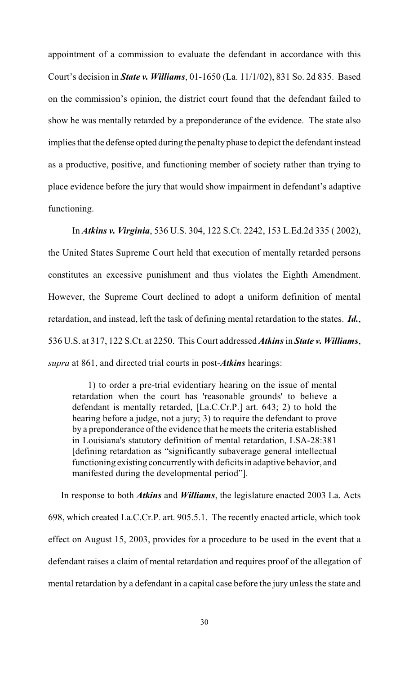appointment of a commission to evaluate the defendant in accordance with this Court's decision in *State v. Williams*, 01-1650 (La. 11/1/02), 831 So. 2d 835. Based on the commission's opinion, the district court found that the defendant failed to show he was mentally retarded by a preponderance of the evidence. The state also implies that the defense opted during the penalty phase to depict the defendant instead as a productive, positive, and functioning member of society rather than trying to place evidence before the jury that would show impairment in defendant's adaptive functioning.

In *Atkins v. Virginia*, 536 U.S. 304, 122 S.Ct. 2242, 153 L.Ed.2d 335 ( 2002), the United States Supreme Court held that execution of mentally retarded persons constitutes an excessive punishment and thus violates the Eighth Amendment. However, the Supreme Court declined to adopt a uniform definition of mental retardation, and instead, left the task of defining mental retardation to the states. *Id.*, 536 U.S. at 317, 122 S.Ct. at 2250. This Court addressed *Atkins* in *State v. Williams*, *supra* at 861, and directed trial courts in post-*Atkins* hearings:

 1) to order a pre-trial evidentiary hearing on the issue of mental retardation when the court has 'reasonable grounds' to believe a defendant is mentally retarded, [La.C.Cr.P.] art. 643; 2) to hold the hearing before a judge, not a jury; 3) to require the defendant to prove by a preponderance of the evidence that he meets the criteria established in Louisiana's statutory definition of mental retardation, LSA-28:381 [defining retardation as "significantly subaverage general intellectual functioning existing concurrently with deficits in adaptive behavior, and manifested during the developmental period"].

In response to both *Atkins* and *Williams*, the legislature enacted 2003 La. Acts 698, which created La.C.Cr.P. art. 905.5.1. The recently enacted article, which took effect on August 15, 2003, provides for a procedure to be used in the event that a defendant raises a claim of mental retardation and requires proof of the allegation of mental retardation by a defendant in a capital case before the jury unless the state and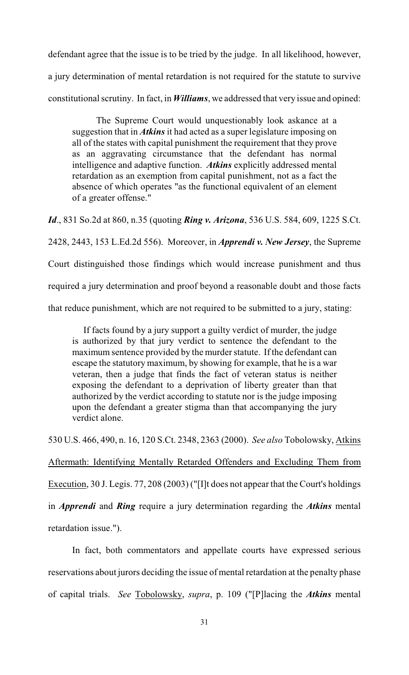defendant agree that the issue is to be tried by the judge. In all likelihood, however, a jury determination of mental retardation is not required for the statute to survive constitutional scrutiny. In fact, in *Williams*, we addressed that very issue and opined:

The Supreme Court would unquestionably look askance at a suggestion that in *Atkins* it had acted as a super legislature imposing on all of the states with capital punishment the requirement that they prove as an aggravating circumstance that the defendant has normal intelligence and adaptive function. *Atkins* explicitly addressed mental retardation as an exemption from capital punishment, not as a fact the absence of which operates "as the functional equivalent of an element of a greater offense."

*Id*., 831 So.2d at 860, n.35 (quoting *Ring v. Arizona*, 536 U.S. 584, 609, 1225 S.Ct.

2428, 2443, 153 L.Ed.2d 556). Moreover, in *Apprendi v. New Jersey*, the Supreme

Court distinguished those findings which would increase punishment and thus

required a jury determination and proof beyond a reasonable doubt and those facts

that reduce punishment, which are not required to be submitted to a jury, stating:

If facts found by a jury support a guilty verdict of murder, the judge is authorized by that jury verdict to sentence the defendant to the maximum sentence provided by the murder statute. If the defendant can escape the statutory maximum, by showing for example, that he is a war veteran, then a judge that finds the fact of veteran status is neither exposing the defendant to a deprivation of liberty greater than that authorized by the verdict according to statute nor is the judge imposing upon the defendant a greater stigma than that accompanying the jury verdict alone.

530 U.S. 466, 490, n. 16, 120 S.Ct. 2348, 2363 (2000). *See also* Tobolowsky, Atkins

Aftermath: Identifying Mentally Retarded Offenders and Excluding Them from

Execution, 30 J. Legis. 77, 208 (2003) ("[I]t does not appear that the Court's holdings

in *Apprendi* and *Ring* require a jury determination regarding the *Atkins* mental

retardation issue.").

In fact, both commentators and appellate courts have expressed serious reservations about jurors deciding the issue of mental retardation at the penalty phase of capital trials. *See* Tobolowsky, *supra*, p. 109 ("[P]lacing the *Atkins* mental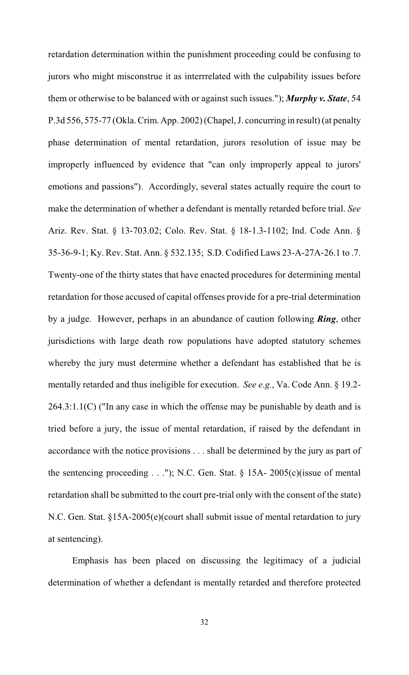retardation determination within the punishment proceeding could be confusing to jurors who might misconstrue it as interrrelated with the culpability issues before them or otherwise to be balanced with or against such issues."); *Murphy v. State*, 54 P.3d 556, 575-77 (Okla.Crim. App. 2002) (Chapel, J. concurring in result) (at penalty phase determination of mental retardation, jurors resolution of issue may be improperly influenced by evidence that "can only improperly appeal to jurors' emotions and passions"). Accordingly, several states actually require the court to make the determination of whether a defendant is mentally retarded before trial. *See* Ariz. Rev. Stat. § 13-703.02; Colo. Rev. Stat. § 18-1.3-1102; Ind. Code Ann. § 35-36-9-1; Ky. Rev. Stat. Ann. § 532.135; S.D. Codified Laws 23-A-27A-26.1 to .7. Twenty-one of the thirty states that have enacted procedures for determining mental retardation for those accused of capital offenses provide for a pre-trial determination by a judge. However, perhaps in an abundance of caution following *Ring*, other jurisdictions with large death row populations have adopted statutory schemes whereby the jury must determine whether a defendant has established that he is mentally retarded and thus ineligible for execution. *See e.g.*, Va. Code Ann. § 19.2- 264.3:1.1(C) ("In any case in which the offense may be punishable by death and is tried before a jury, the issue of mental retardation, if raised by the defendant in accordance with the notice provisions . . . shall be determined by the jury as part of the sentencing proceeding  $\dots$ "); N.C. Gen. Stat. § 15A- 2005(c)(issue of mental retardation shall be submitted to the court pre-trial only with the consent of the state) N.C. Gen. Stat. §15A-2005(e)(court shall submit issue of mental retardation to jury at sentencing).

Emphasis has been placed on discussing the legitimacy of a judicial determination of whether a defendant is mentally retarded and therefore protected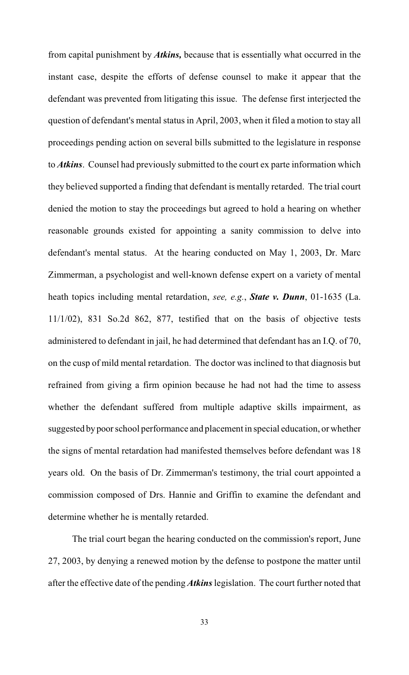from capital punishment by *Atkins,* because that is essentially what occurred in the instant case, despite the efforts of defense counsel to make it appear that the defendant was prevented from litigating this issue. The defense first interjected the question of defendant's mental status in April, 2003, when it filed a motion to stay all proceedings pending action on several bills submitted to the legislature in response to *Atkins*. Counsel had previously submitted to the court ex parte information which they believed supported a finding that defendant is mentally retarded. The trial court denied the motion to stay the proceedings but agreed to hold a hearing on whether reasonable grounds existed for appointing a sanity commission to delve into defendant's mental status. At the hearing conducted on May 1, 2003, Dr. Marc Zimmerman, a psychologist and well-known defense expert on a variety of mental heath topics including mental retardation, *see, e.g.*, *State v. Dunn*, 01-1635 (La. 11/1/02), 831 So.2d 862, 877, testified that on the basis of objective tests administered to defendant in jail, he had determined that defendant has an I.Q. of 70, on the cusp of mild mental retardation. The doctor was inclined to that diagnosis but refrained from giving a firm opinion because he had not had the time to assess whether the defendant suffered from multiple adaptive skills impairment, as suggested by poor school performance and placement in special education, or whether the signs of mental retardation had manifested themselves before defendant was 18 years old. On the basis of Dr. Zimmerman's testimony, the trial court appointed a commission composed of Drs. Hannie and Griffin to examine the defendant and determine whether he is mentally retarded.

The trial court began the hearing conducted on the commission's report, June 27, 2003, by denying a renewed motion by the defense to postpone the matter until after the effective date of the pending *Atkins* legislation. The court further noted that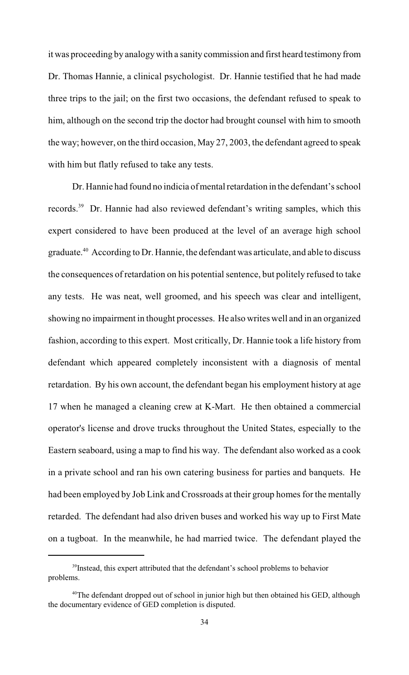it was proceeding by analogywith a sanity commission and first heard testimony from Dr. Thomas Hannie, a clinical psychologist. Dr. Hannie testified that he had made three trips to the jail; on the first two occasions, the defendant refused to speak to him, although on the second trip the doctor had brought counsel with him to smooth the way; however, on the third occasion, May 27, 2003, the defendant agreed to speak with him but flatly refused to take any tests.

Dr. Hannie had found no indicia of mental retardation in the defendant's school records.<sup>39</sup> Dr. Hannie had also reviewed defendant's writing samples, which this expert considered to have been produced at the level of an average high school graduate.<sup>40</sup> According to Dr. Hannie, the defendant was articulate, and able to discuss the consequences of retardation on his potential sentence, but politely refused to take any tests. He was neat, well groomed, and his speech was clear and intelligent, showing no impairment in thought processes. He also writes well and in an organized fashion, according to this expert. Most critically, Dr. Hannie took a life history from defendant which appeared completely inconsistent with a diagnosis of mental retardation. By his own account, the defendant began his employment history at age 17 when he managed a cleaning crew at K-Mart. He then obtained a commercial operator's license and drove trucks throughout the United States, especially to the Eastern seaboard, using a map to find his way. The defendant also worked as a cook in a private school and ran his own catering business for parties and banquets. He had been employed by Job Link and Crossroads at their group homes for the mentally retarded. The defendant had also driven buses and worked his way up to First Mate on a tugboat. In the meanwhile, he had married twice. The defendant played the

<sup>&</sup>lt;sup>39</sup> Instead, this expert attributed that the defendant's school problems to behavior problems.

 $40$ <sup>th</sup> The defendant dropped out of school in junior high but then obtained his GED, although the documentary evidence of GED completion is disputed.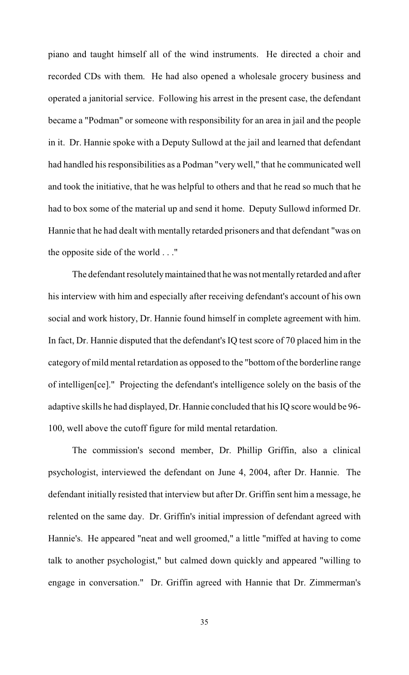piano and taught himself all of the wind instruments. He directed a choir and recorded CDs with them. He had also opened a wholesale grocery business and operated a janitorial service. Following his arrest in the present case, the defendant became a "Podman" or someone with responsibility for an area in jail and the people in it. Dr. Hannie spoke with a Deputy Sullowd at the jail and learned that defendant had handled his responsibilities as a Podman "very well," that he communicated well and took the initiative, that he was helpful to others and that he read so much that he had to box some of the material up and send it home. Deputy Sullowd informed Dr. Hannie that he had dealt with mentally retarded prisoners and that defendant "was on the opposite side of the world . . ."

The defendant resolutely maintained that he was not mentally retarded and after his interview with him and especially after receiving defendant's account of his own social and work history, Dr. Hannie found himself in complete agreement with him. In fact, Dr. Hannie disputed that the defendant's IQ test score of 70 placed him in the category of mild mental retardation as opposed to the "bottom of the borderline range of intelligen[ce]." Projecting the defendant's intelligence solely on the basis of the adaptive skills he had displayed, Dr. Hannie concluded that his IQ score would be 96- 100, well above the cutoff figure for mild mental retardation.

The commission's second member, Dr. Phillip Griffin, also a clinical psychologist, interviewed the defendant on June 4, 2004, after Dr. Hannie. The defendant initially resisted that interview but after Dr. Griffin sent him a message, he relented on the same day. Dr. Griffin's initial impression of defendant agreed with Hannie's. He appeared "neat and well groomed," a little "miffed at having to come talk to another psychologist," but calmed down quickly and appeared "willing to engage in conversation." Dr. Griffin agreed with Hannie that Dr. Zimmerman's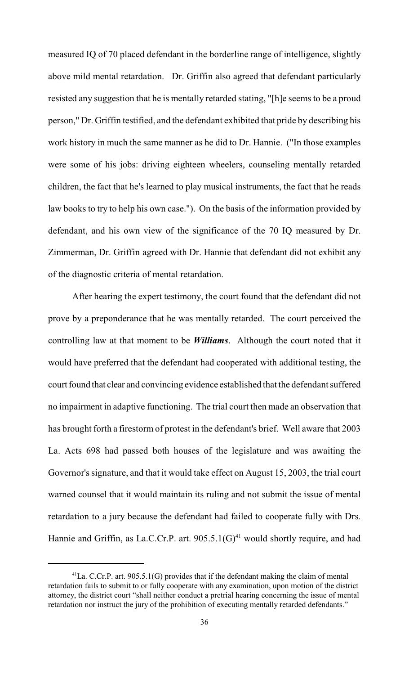measured IQ of 70 placed defendant in the borderline range of intelligence, slightly above mild mental retardation. Dr. Griffin also agreed that defendant particularly resisted any suggestion that he is mentally retarded stating, "[h]e seems to be a proud person," Dr. Griffin testified, and the defendant exhibited that pride by describing his work history in much the same manner as he did to Dr. Hannie. ("In those examples were some of his jobs: driving eighteen wheelers, counseling mentally retarded children, the fact that he's learned to play musical instruments, the fact that he reads law books to try to help his own case."). On the basis of the information provided by defendant, and his own view of the significance of the 70 IQ measured by Dr. Zimmerman, Dr. Griffin agreed with Dr. Hannie that defendant did not exhibit any of the diagnostic criteria of mental retardation.

After hearing the expert testimony, the court found that the defendant did not prove by a preponderance that he was mentally retarded. The court perceived the controlling law at that moment to be *Williams*. Although the court noted that it would have preferred that the defendant had cooperated with additional testing, the court found that clear and convincing evidence established that the defendant suffered no impairment in adaptive functioning. The trial court then made an observation that has brought forth a firestorm of protest in the defendant's brief. Well aware that 2003 La. Acts 698 had passed both houses of the legislature and was awaiting the Governor's signature, and that it would take effect on August 15, 2003, the trial court warned counsel that it would maintain its ruling and not submit the issue of mental retardation to a jury because the defendant had failed to cooperate fully with Drs. Hannie and Griffin, as La.C.Cr.P. art.  $905.5.1(G)^{41}$  would shortly require, and had

 $^{41}$ La. C.Cr.P. art. 905.5.1(G) provides that if the defendant making the claim of mental retardation fails to submit to or fully cooperate with any examination, upon motion of the district attorney, the district court "shall neither conduct a pretrial hearing concerning the issue of mental retardation nor instruct the jury of the prohibition of executing mentally retarded defendants."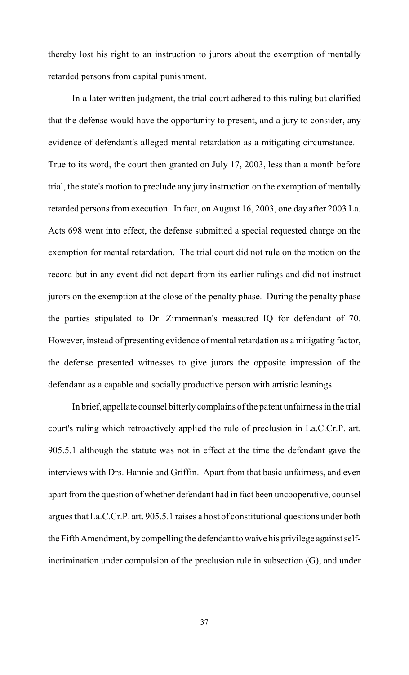thereby lost his right to an instruction to jurors about the exemption of mentally retarded persons from capital punishment.

In a later written judgment, the trial court adhered to this ruling but clarified that the defense would have the opportunity to present, and a jury to consider, any evidence of defendant's alleged mental retardation as a mitigating circumstance. True to its word, the court then granted on July 17, 2003, less than a month before trial, the state's motion to preclude any jury instruction on the exemption of mentally retarded persons from execution. In fact, on August 16, 2003, one day after 2003 La. Acts 698 went into effect, the defense submitted a special requested charge on the exemption for mental retardation. The trial court did not rule on the motion on the record but in any event did not depart from its earlier rulings and did not instruct jurors on the exemption at the close of the penalty phase. During the penalty phase the parties stipulated to Dr. Zimmerman's measured IQ for defendant of 70. However, instead of presenting evidence of mental retardation as a mitigating factor, the defense presented witnesses to give jurors the opposite impression of the defendant as a capable and socially productive person with artistic leanings.

In brief, appellate counsel bitterly complains of the patent unfairness in the trial court's ruling which retroactively applied the rule of preclusion in La.C.Cr.P. art. 905.5.1 although the statute was not in effect at the time the defendant gave the interviews with Drs. Hannie and Griffin. Apart from that basic unfairness, and even apart from the question of whether defendant had in fact been uncooperative, counsel argues that La.C.Cr.P. art. 905.5.1 raises a host of constitutional questions under both the Fifth Amendment, by compelling the defendant to waive his privilege against selfincrimination under compulsion of the preclusion rule in subsection (G), and under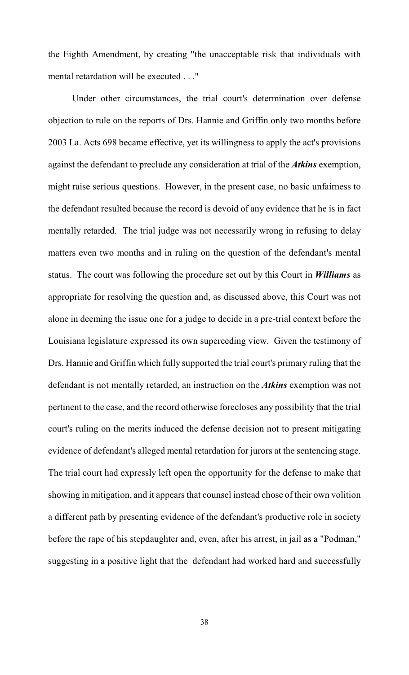the Eighth Amendment, by creating "the unacceptable risk that individuals with mental retardation will be executed . . ."

Under other circumstances, the trial court's determination over defense objection to rule on the reports of Drs. Hannie and Griffin only two months before 2003 La. Acts 698 became effective, yet its willingness to apply the act's provisions against the defendant to preclude any consideration at trial of the *Atkins* exemption, might raise serious questions. However, in the present case, no basic unfairness to the defendant resulted because the record is devoid of any evidence that he is in fact mentally retarded. The trial judge was not necessarily wrong in refusing to delay matters even two months and in ruling on the question of the defendant's mental status. The court was following the procedure set out by this Court in *Williams* as appropriate for resolving the question and, as discussed above, this Court was not alone in deeming the issue one for a judge to decide in a pre-trial context before the Louisiana legislature expressed its own superceding view. Given the testimony of Drs. Hannie and Griffin which fully supported the trial court's primary ruling that the defendant is not mentally retarded, an instruction on the *Atkins* exemption was not pertinent to the case, and the record otherwise forecloses any possibility that the trial court's ruling on the merits induced the defense decision not to present mitigating evidence of defendant's alleged mental retardation for jurors at the sentencing stage. The trial court had expressly left open the opportunity for the defense to make that showing in mitigation, and it appears that counsel instead chose of their own volition a different path by presenting evidence of the defendant's productive role in society before the rape of his stepdaughter and, even, after his arrest, in jail as a "Podman," suggesting in a positive light that the defendant had worked hard and successfully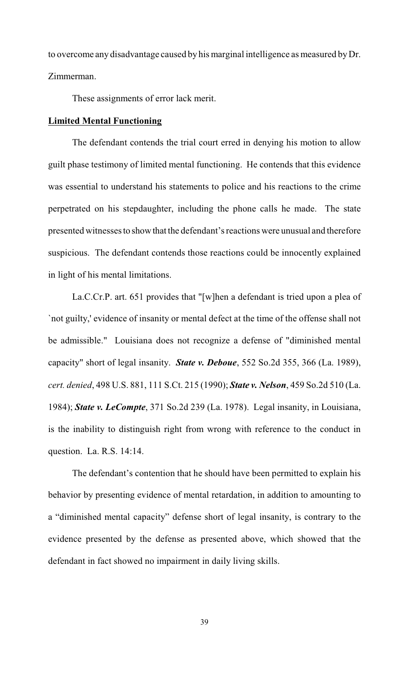to overcome any disadvantage caused by his marginal intelligence as measured by Dr. Zimmerman.

These assignments of error lack merit.

## **Limited Mental Functioning**

The defendant contends the trial court erred in denying his motion to allow guilt phase testimony of limited mental functioning. He contends that this evidence was essential to understand his statements to police and his reactions to the crime perpetrated on his stepdaughter, including the phone calls he made. The state presented witnesses to show that the defendant's reactions were unusual and therefore suspicious. The defendant contends those reactions could be innocently explained in light of his mental limitations.

La.C.Cr.P. art. 651 provides that "[w]hen a defendant is tried upon a plea of `not guilty,' evidence of insanity or mental defect at the time of the offense shall not be admissible." Louisiana does not recognize a defense of "diminished mental capacity" short of legal insanity. *State v. Deboue*, 552 So.2d 355, 366 (La. 1989), *cert. denied*, 498 U.S. 881, 111 S.Ct. 215 (1990); *State v. Nelson*, 459 So.2d 510 (La. 1984); *State v. LeCompte*, 371 So.2d 239 (La. 1978). Legal insanity, in Louisiana, is the inability to distinguish right from wrong with reference to the conduct in question. La. R.S. 14:14.

The defendant's contention that he should have been permitted to explain his behavior by presenting evidence of mental retardation, in addition to amounting to a "diminished mental capacity" defense short of legal insanity, is contrary to the evidence presented by the defense as presented above, which showed that the defendant in fact showed no impairment in daily living skills.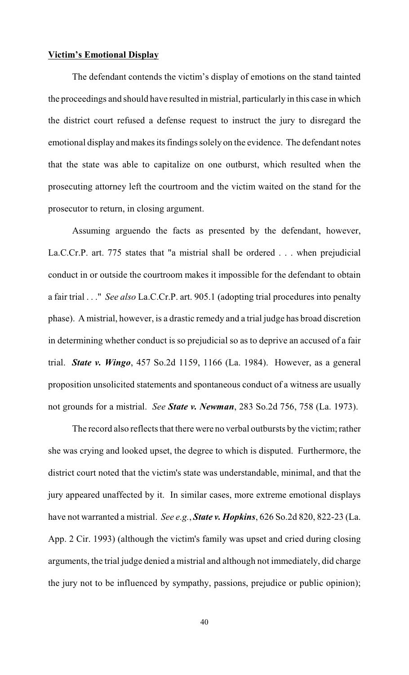#### **Victim's Emotional Display**

The defendant contends the victim's display of emotions on the stand tainted the proceedings and should have resulted in mistrial, particularly in this case in which the district court refused a defense request to instruct the jury to disregard the emotional display and makes its findings solely on the evidence. The defendant notes that the state was able to capitalize on one outburst, which resulted when the prosecuting attorney left the courtroom and the victim waited on the stand for the prosecutor to return, in closing argument.

Assuming arguendo the facts as presented by the defendant, however, La.C.Cr.P. art. 775 states that "a mistrial shall be ordered . . . when prejudicial conduct in or outside the courtroom makes it impossible for the defendant to obtain a fair trial . . ." *See also* La.C.Cr.P. art. 905.1 (adopting trial procedures into penalty phase). A mistrial, however, is a drastic remedy and a trial judge has broad discretion in determining whether conduct is so prejudicial so as to deprive an accused of a fair trial. *State v. Wingo*, 457 So.2d 1159, 1166 (La. 1984). However, as a general proposition unsolicited statements and spontaneous conduct of a witness are usually not grounds for a mistrial. *See State v. Newman*, 283 So.2d 756, 758 (La. 1973).

The record also reflects that there were no verbal outbursts by the victim; rather she was crying and looked upset, the degree to which is disputed. Furthermore, the district court noted that the victim's state was understandable, minimal, and that the jury appeared unaffected by it. In similar cases, more extreme emotional displays have not warranted a mistrial. *See e.g.*, *State v. Hopkins*, 626 So.2d 820, 822-23 (La. App. 2 Cir. 1993) (although the victim's family was upset and cried during closing arguments, the trial judge denied a mistrial and although not immediately, did charge the jury not to be influenced by sympathy, passions, prejudice or public opinion);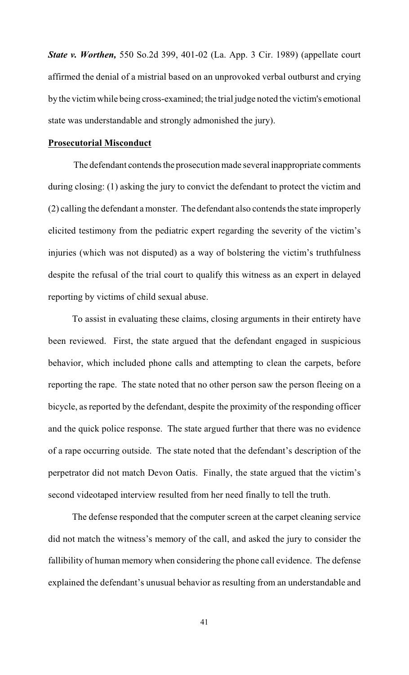*State v. Worthen,* 550 So.2d 399, 401-02 (La. App. 3 Cir. 1989) (appellate court affirmed the denial of a mistrial based on an unprovoked verbal outburst and crying by the victimwhile being cross-examined; the trial judge noted the victim's emotional state was understandable and strongly admonished the jury).

### **Prosecutorial Misconduct**

 The defendant contends the prosecution made several inappropriate comments during closing: (1) asking the jury to convict the defendant to protect the victim and (2) calling the defendant a monster. The defendant also contends the state improperly elicited testimony from the pediatric expert regarding the severity of the victim's injuries (which was not disputed) as a way of bolstering the victim's truthfulness despite the refusal of the trial court to qualify this witness as an expert in delayed reporting by victims of child sexual abuse.

To assist in evaluating these claims, closing arguments in their entirety have been reviewed. First, the state argued that the defendant engaged in suspicious behavior, which included phone calls and attempting to clean the carpets, before reporting the rape. The state noted that no other person saw the person fleeing on a bicycle, as reported by the defendant, despite the proximity of the responding officer and the quick police response. The state argued further that there was no evidence of a rape occurring outside. The state noted that the defendant's description of the perpetrator did not match Devon Oatis. Finally, the state argued that the victim's second videotaped interview resulted from her need finally to tell the truth.

The defense responded that the computer screen at the carpet cleaning service did not match the witness's memory of the call, and asked the jury to consider the fallibility of human memory when considering the phone call evidence. The defense explained the defendant's unusual behavior as resulting from an understandable and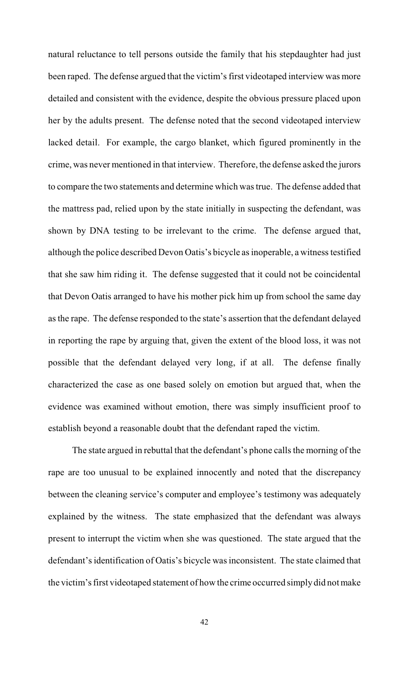natural reluctance to tell persons outside the family that his stepdaughter had just been raped. The defense argued that the victim's first videotaped interview was more detailed and consistent with the evidence, despite the obvious pressure placed upon her by the adults present. The defense noted that the second videotaped interview lacked detail. For example, the cargo blanket, which figured prominently in the crime, was never mentioned in that interview. Therefore, the defense asked the jurors to compare the two statements and determine which was true. The defense added that the mattress pad, relied upon by the state initially in suspecting the defendant, was shown by DNA testing to be irrelevant to the crime. The defense argued that, although the police described Devon Oatis's bicycle as inoperable, a witness testified that she saw him riding it. The defense suggested that it could not be coincidental that Devon Oatis arranged to have his mother pick him up from school the same day as the rape. The defense responded to the state's assertion that the defendant delayed in reporting the rape by arguing that, given the extent of the blood loss, it was not possible that the defendant delayed very long, if at all. The defense finally characterized the case as one based solely on emotion but argued that, when the evidence was examined without emotion, there was simply insufficient proof to establish beyond a reasonable doubt that the defendant raped the victim.

The state argued in rebuttal that the defendant's phone calls the morning of the rape are too unusual to be explained innocently and noted that the discrepancy between the cleaning service's computer and employee's testimony was adequately explained by the witness. The state emphasized that the defendant was always present to interrupt the victim when she was questioned. The state argued that the defendant's identification of Oatis's bicycle was inconsistent. The state claimed that the victim's first videotaped statement of how the crime occurred simply did not make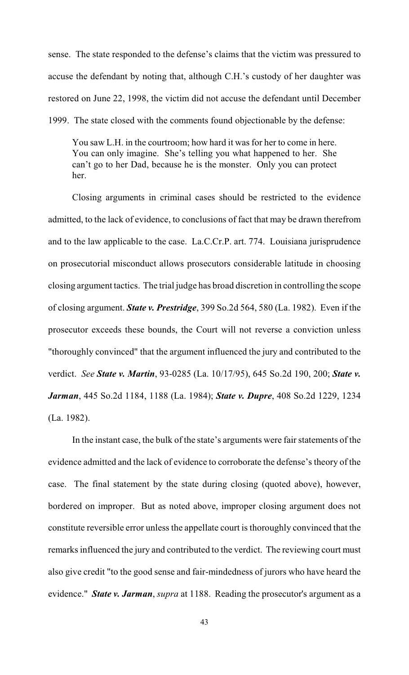sense. The state responded to the defense's claims that the victim was pressured to accuse the defendant by noting that, although C.H.'s custody of her daughter was restored on June 22, 1998, the victim did not accuse the defendant until December 1999. The state closed with the comments found objectionable by the defense:

You saw L.H. in the courtroom; how hard it was for her to come in here. You can only imagine. She's telling you what happened to her. She can't go to her Dad, because he is the monster. Only you can protect her.

Closing arguments in criminal cases should be restricted to the evidence admitted, to the lack of evidence, to conclusions of fact that may be drawn therefrom and to the law applicable to the case. La.C.Cr.P. art. 774. Louisiana jurisprudence on prosecutorial misconduct allows prosecutors considerable latitude in choosing closing argument tactics. The trial judge has broad discretion in controlling the scope of closing argument. *State v. Prestridge*, 399 So.2d 564, 580 (La. 1982). Even if the prosecutor exceeds these bounds, the Court will not reverse a conviction unless "thoroughly convinced" that the argument influenced the jury and contributed to the verdict. *See State v. Martin*, 93-0285 (La. 10/17/95), 645 So.2d 190, 200; *State v. Jarman*, 445 So.2d 1184, 1188 (La. 1984); *State v. Dupre*, 408 So.2d 1229, 1234 (La. 1982).

In the instant case, the bulk of the state's arguments were fair statements of the evidence admitted and the lack of evidence to corroborate the defense's theory of the case. The final statement by the state during closing (quoted above), however, bordered on improper. But as noted above, improper closing argument does not constitute reversible error unless the appellate court is thoroughly convinced that the remarks influenced the jury and contributed to the verdict. The reviewing court must also give credit "to the good sense and fair-mindedness of jurors who have heard the evidence." *State v. Jarman*, *supra* at 1188. Reading the prosecutor's argument as a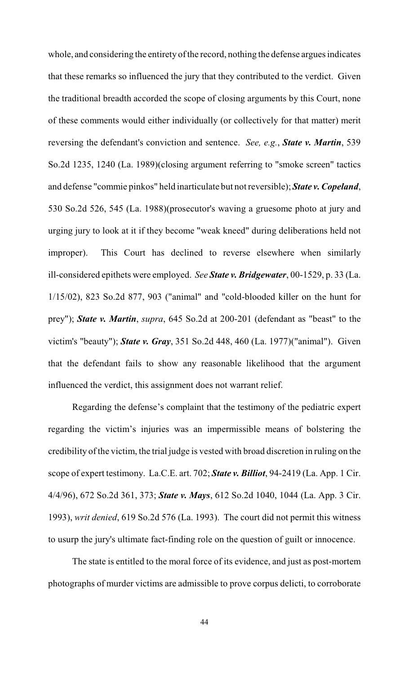whole, and considering the entirety of the record, nothing the defense argues indicates that these remarks so influenced the jury that they contributed to the verdict. Given the traditional breadth accorded the scope of closing arguments by this Court, none of these comments would either individually (or collectively for that matter) merit reversing the defendant's conviction and sentence. *See, e.g.*, *State v. Martin*, 539 So.2d 1235, 1240 (La. 1989)(closing argument referring to "smoke screen" tactics and defense "commie pinkos" held inarticulate but not reversible); *State v. Copeland*, 530 So.2d 526, 545 (La. 1988)(prosecutor's waving a gruesome photo at jury and urging jury to look at it if they become "weak kneed" during deliberations held not improper). This Court has declined to reverse elsewhere when similarly ill-considered epithets were employed. *See State v. Bridgewater*, 00-1529, p. 33 (La. 1/15/02), 823 So.2d 877, 903 ("animal" and "cold-blooded killer on the hunt for prey"); *State v. Martin*, *supra*, 645 So.2d at 200-201 (defendant as "beast" to the victim's "beauty"); *State v. Gray*, 351 So.2d 448, 460 (La. 1977)("animal"). Given that the defendant fails to show any reasonable likelihood that the argument influenced the verdict, this assignment does not warrant relief.

Regarding the defense's complaint that the testimony of the pediatric expert regarding the victim's injuries was an impermissible means of bolstering the credibility of the victim, the trial judge is vested with broad discretion in ruling on the scope of expert testimony. La.C.E. art. 702; *State v. Billiot*, 94-2419 (La. App. 1 Cir. 4/4/96), 672 So.2d 361, 373; *State v. Mays*, 612 So.2d 1040, 1044 (La. App. 3 Cir. 1993), *writ denied*, 619 So.2d 576 (La. 1993). The court did not permit this witness to usurp the jury's ultimate fact-finding role on the question of guilt or innocence.

The state is entitled to the moral force of its evidence, and just as post-mortem photographs of murder victims are admissible to prove corpus delicti, to corroborate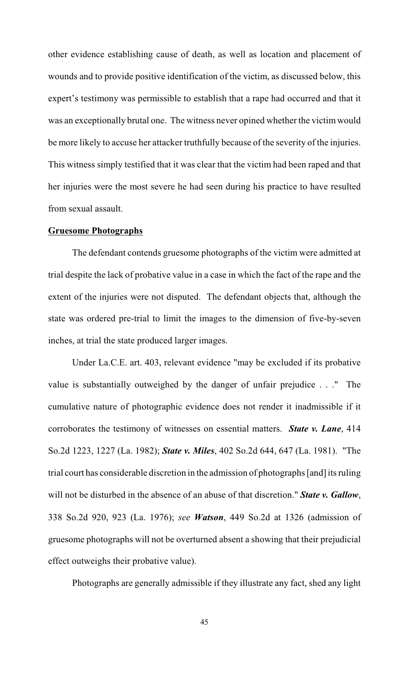other evidence establishing cause of death, as well as location and placement of wounds and to provide positive identification of the victim, as discussed below, this expert's testimony was permissible to establish that a rape had occurred and that it was an exceptionally brutal one. The witness never opined whether the victim would be more likely to accuse her attacker truthfully because of the severity of the injuries. This witness simply testified that it was clear that the victim had been raped and that her injuries were the most severe he had seen during his practice to have resulted from sexual assault.

#### **Gruesome Photographs**

The defendant contends gruesome photographs of the victim were admitted at trial despite the lack of probative value in a case in which the fact of the rape and the extent of the injuries were not disputed. The defendant objects that, although the state was ordered pre-trial to limit the images to the dimension of five-by-seven inches, at trial the state produced larger images.

Under La.C.E. art. 403, relevant evidence "may be excluded if its probative value is substantially outweighed by the danger of unfair prejudice . . ." The cumulative nature of photographic evidence does not render it inadmissible if it corroborates the testimony of witnesses on essential matters. *State v. Lane*, 414 So.2d 1223, 1227 (La. 1982); *State v. Miles*, 402 So.2d 644, 647 (La. 1981). "The trial court has considerable discretion in the admission of photographs [and] its ruling will not be disturbed in the absence of an abuse of that discretion." *State v. Gallow*, 338 So.2d 920, 923 (La. 1976); *see Watson*, 449 So.2d at 1326 (admission of gruesome photographs will not be overturned absent a showing that their prejudicial effect outweighs their probative value).

Photographs are generally admissible if they illustrate any fact, shed any light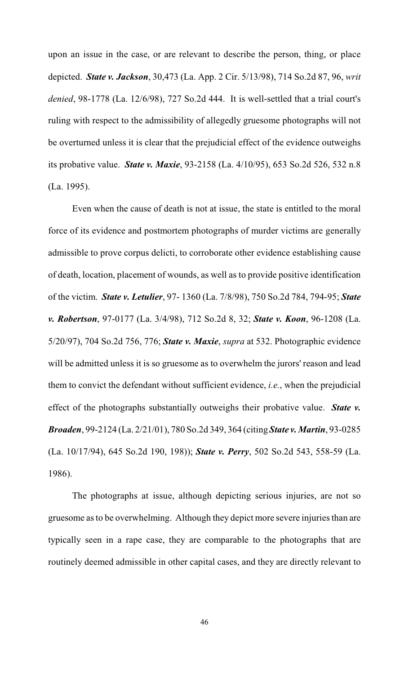upon an issue in the case, or are relevant to describe the person, thing, or place depicted. *State v. Jackson*, 30,473 (La. App. 2 Cir. 5/13/98), 714 So.2d 87, 96, *writ denied*, 98-1778 (La. 12/6/98), 727 So.2d 444. It is well-settled that a trial court's ruling with respect to the admissibility of allegedly gruesome photographs will not be overturned unless it is clear that the prejudicial effect of the evidence outweighs its probative value. *State v. Maxie*, 93-2158 (La. 4/10/95), 653 So.2d 526, 532 n.8 (La. 1995).

Even when the cause of death is not at issue, the state is entitled to the moral force of its evidence and postmortem photographs of murder victims are generally admissible to prove corpus delicti, to corroborate other evidence establishing cause of death, location, placement of wounds, as well as to provide positive identification of the victim. *State v. Letulier*, 97- 1360 (La. 7/8/98), 750 So.2d 784, 794-95; *State v. Robertson*, 97-0177 (La. 3/4/98), 712 So.2d 8, 32; *State v. Koon*, 96-1208 (La. 5/20/97), 704 So.2d 756, 776; *State v. Maxie*, *supra* at 532. Photographic evidence will be admitted unless it is so gruesome as to overwhelm the jurors' reason and lead them to convict the defendant without sufficient evidence, *i.e.*, when the prejudicial effect of the photographs substantially outweighs their probative value. *State v. Broaden*, 99-2124 (La. 2/21/01), 780 So.2d 349, 364 (citing *State v. Martin*, 93-0285 (La. 10/17/94), 645 So.2d 190, 198)); *State v. Perry*, 502 So.2d 543, 558-59 (La. 1986).

The photographs at issue, although depicting serious injuries, are not so gruesome as to be overwhelming. Although they depict more severe injuries than are typically seen in a rape case, they are comparable to the photographs that are routinely deemed admissible in other capital cases, and they are directly relevant to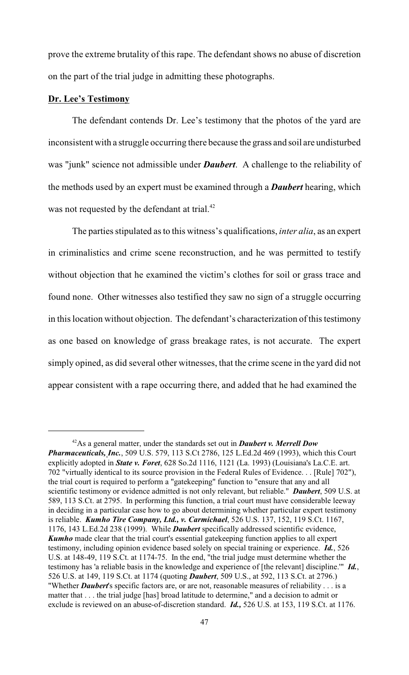prove the extreme brutality of this rape. The defendant shows no abuse of discretion on the part of the trial judge in admitting these photographs.

## **Dr. Lee's Testimony**

The defendant contends Dr. Lee's testimony that the photos of the yard are inconsistent with a struggle occurring there because the grass and soil are undisturbed was "junk" science not admissible under *Daubert*. A challenge to the reliability of the methods used by an expert must be examined through a *Daubert* hearing, which was not requested by the defendant at trial.<sup>42</sup>

The parties stipulated as to this witness's qualifications, *inter alia*, as an expert in criminalistics and crime scene reconstruction, and he was permitted to testify without objection that he examined the victim's clothes for soil or grass trace and found none. Other witnesses also testified they saw no sign of a struggle occurring in this location without objection. The defendant's characterization of this testimony as one based on knowledge of grass breakage rates, is not accurate. The expert simply opined, as did several other witnesses, that the crime scene in the yard did not appear consistent with a rape occurring there, and added that he had examined the

<sup>&</sup>lt;sup>42</sup>As a general matter, under the standards set out in **Daubert v. Merrell Dow** *Pharmaceuticals, Inc.*, 509 U.S. 579, 113 S.Ct 2786, 125 L.Ed.2d 469 (1993), which this Court explicitly adopted in *State v. Foret*, 628 So.2d 1116, 1121 (La. 1993) (Louisiana's La.C.E. art. 702 "virtually identical to its source provision in the Federal Rules of Evidence. . . [Rule] 702"), the trial court is required to perform a "gatekeeping" function to "ensure that any and all scientific testimony or evidence admitted is not only relevant, but reliable." *Daubert*, 509 U.S. at 589, 113 S.Ct. at 2795. In performing this function, a trial court must have considerable leeway in deciding in a particular case how to go about determining whether particular expert testimony is reliable. *Kumho Tire Company, Ltd., v. Carmichael*, 526 U.S. 137, 152, 119 S.Ct. 1167, 1176, 143 L.Ed.2d 238 (1999). While *Daubert* specifically addressed scientific evidence, *Kumho* made clear that the trial court's essential gatekeeping function applies to all expert testimony, including opinion evidence based solely on special training or experience. *Id.*, 526 U.S. at 148-49, 119 S.Ct. at 1174-75. In the end, "the trial judge must determine whether the testimony has 'a reliable basis in the knowledge and experience of [the relevant] discipline.'" *Id.*, 526 U.S. at 149, 119 S.Ct. at 1174 (quoting *Daubert*, 509 U.S., at 592, 113 S.Ct. at 2796.) "Whether *Daubert*'s specific factors are, or are not, reasonable measures of reliability . . . is a matter that . . . the trial judge [has] broad latitude to determine," and a decision to admit or exclude is reviewed on an abuse-of-discretion standard. *Id.,* 526 U.S. at 153, 119 S.Ct. at 1176.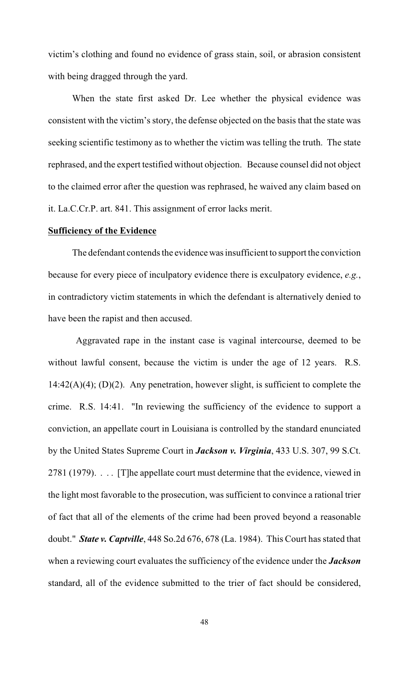victim's clothing and found no evidence of grass stain, soil, or abrasion consistent with being dragged through the yard.

When the state first asked Dr. Lee whether the physical evidence was consistent with the victim's story, the defense objected on the basis that the state was seeking scientific testimony as to whether the victim was telling the truth. The state rephrased, and the expert testified without objection. Because counsel did not object to the claimed error after the question was rephrased, he waived any claim based on it. La.C.Cr.P. art. 841. This assignment of error lacks merit.

### **Sufficiency of the Evidence**

The defendant contends the evidence was insufficient to support the conviction because for every piece of inculpatory evidence there is exculpatory evidence, *e.g.*, in contradictory victim statements in which the defendant is alternatively denied to have been the rapist and then accused.

 Aggravated rape in the instant case is vaginal intercourse, deemed to be without lawful consent, because the victim is under the age of 12 years. R.S.  $14:42(A)(4)$ ; (D)(2). Any penetration, however slight, is sufficient to complete the crime. R.S. 14:41. "In reviewing the sufficiency of the evidence to support a conviction, an appellate court in Louisiana is controlled by the standard enunciated by the United States Supreme Court in *Jackson v. Virginia*, 433 U.S. 307, 99 S.Ct. 2781 (1979). . . . [T]he appellate court must determine that the evidence, viewed in the light most favorable to the prosecution, was sufficient to convince a rational trier of fact that all of the elements of the crime had been proved beyond a reasonable doubt." *State v. Captville*, 448 So.2d 676, 678 (La. 1984). This Court has stated that when a reviewing court evaluates the sufficiency of the evidence under the *Jackson* standard, all of the evidence submitted to the trier of fact should be considered,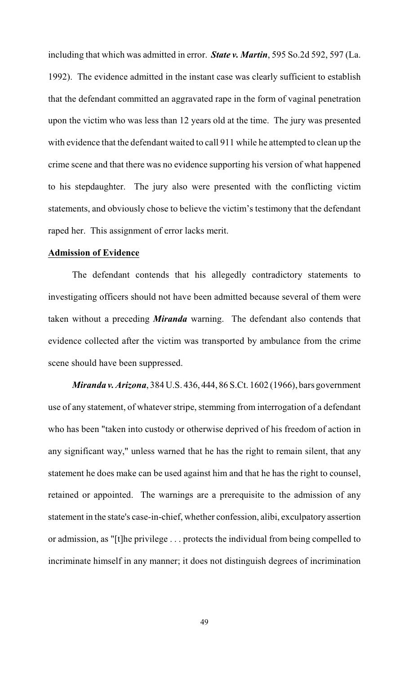including that which was admitted in error. *State v. Martin*, 595 So.2d 592, 597 (La. 1992). The evidence admitted in the instant case was clearly sufficient to establish that the defendant committed an aggravated rape in the form of vaginal penetration upon the victim who was less than 12 years old at the time. The jury was presented with evidence that the defendant waited to call 911 while he attempted to clean up the crime scene and that there was no evidence supporting his version of what happened to his stepdaughter. The jury also were presented with the conflicting victim statements, and obviously chose to believe the victim's testimony that the defendant raped her. This assignment of error lacks merit.

# **Admission of Evidence**

The defendant contends that his allegedly contradictory statements to investigating officers should not have been admitted because several of them were taken without a preceding *Miranda* warning. The defendant also contends that evidence collected after the victim was transported by ambulance from the crime scene should have been suppressed.

*Miranda v. Arizona*, 384 U.S. 436, 444, 86 S.Ct. 1602 (1966), bars government use of any statement, of whatever stripe, stemming from interrogation of a defendant who has been "taken into custody or otherwise deprived of his freedom of action in any significant way," unless warned that he has the right to remain silent, that any statement he does make can be used against him and that he has the right to counsel, retained or appointed. The warnings are a prerequisite to the admission of any statement in the state's case-in-chief, whether confession, alibi, exculpatory assertion or admission, as "[t]he privilege . . . protects the individual from being compelled to incriminate himself in any manner; it does not distinguish degrees of incrimination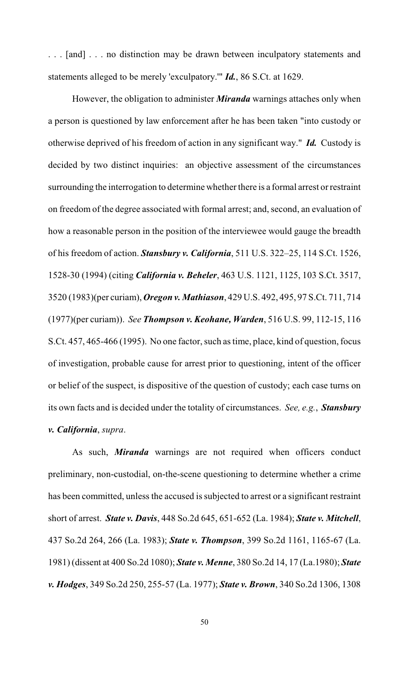. . . [and] . . . no distinction may be drawn between inculpatory statements and statements alleged to be merely 'exculpatory.'" *Id.*, 86 S.Ct. at 1629.

However, the obligation to administer *Miranda* warnings attaches only when a person is questioned by law enforcement after he has been taken "into custody or otherwise deprived of his freedom of action in any significant way." *Id.* Custody is decided by two distinct inquiries: an objective assessment of the circumstances surrounding the interrogation to determine whether there is a formal arrest or restraint on freedom of the degree associated with formal arrest; and, second, an evaluation of how a reasonable person in the position of the interviewee would gauge the breadth of his freedom of action. *Stansbury v. California*, 511 U.S. 322–25, 114 S.Ct. 1526, 1528-30 (1994) (citing *California v. Beheler*, 463 U.S. 1121, 1125, 103 S.Ct. 3517, 3520 (1983)(per curiam), *Oregon v. Mathiason*, 429 U.S. 492, 495, 97 S.Ct. 711, 714 (1977)(per curiam)). *See Thompson v. Keohane, Warden*, 516 U.S. 99, 112-15, 116 S.Ct. 457, 465-466 (1995). No one factor, such as time, place, kind of question, focus of investigation, probable cause for arrest prior to questioning, intent of the officer or belief of the suspect, is dispositive of the question of custody; each case turns on its own facts and is decided under the totality of circumstances. *See, e.g.*, *Stansbury v. California*, *supra*.

As such, *Miranda* warnings are not required when officers conduct preliminary, non-custodial, on-the-scene questioning to determine whether a crime has been committed, unless the accused is subjected to arrest or a significant restraint short of arrest. *State v. Davis*, 448 So.2d 645, 651-652 (La. 1984); *State v. Mitchell*, 437 So.2d 264, 266 (La. 1983); *State v. Thompson*, 399 So.2d 1161, 1165-67 (La. 1981) (dissent at 400 So.2d 1080); *State v. Menne*, 380 So.2d 14, 17 (La.1980); *State v. Hodges*, 349 So.2d 250, 255-57 (La. 1977); *State v. Brown*, 340 So.2d 1306, 1308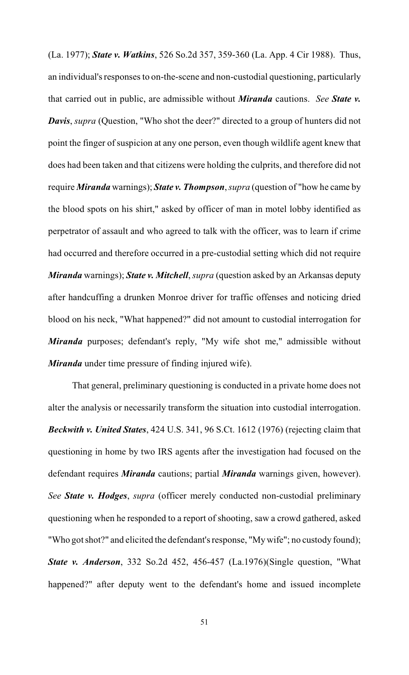(La. 1977); *State v. Watkins*, 526 So.2d 357, 359-360 (La. App. 4 Cir 1988). Thus, an individual's responses to on-the-scene and non-custodial questioning, particularly that carried out in public, are admissible without *Miranda* cautions. *See State v. Davis*, *supra* (Question, "Who shot the deer?" directed to a group of hunters did not point the finger of suspicion at any one person, even though wildlife agent knew that does had been taken and that citizens were holding the culprits, and therefore did not require *Miranda* warnings); *State v. Thompson*, *supra* (question of "how he came by the blood spots on his shirt," asked by officer of man in motel lobby identified as perpetrator of assault and who agreed to talk with the officer, was to learn if crime had occurred and therefore occurred in a pre-custodial setting which did not require *Miranda* warnings); *State v. Mitchell*, *supra* (question asked by an Arkansas deputy after handcuffing a drunken Monroe driver for traffic offenses and noticing dried blood on his neck, "What happened?" did not amount to custodial interrogation for *Miranda* purposes; defendant's reply, "My wife shot me," admissible without *Miranda* under time pressure of finding injured wife).

That general, preliminary questioning is conducted in a private home does not alter the analysis or necessarily transform the situation into custodial interrogation. *Beckwith v. United States*, 424 U.S. 341, 96 S.Ct. 1612 (1976) (rejecting claim that questioning in home by two IRS agents after the investigation had focused on the defendant requires *Miranda* cautions; partial *Miranda* warnings given, however). *See State v. Hodges*, *supra* (officer merely conducted non-custodial preliminary questioning when he responded to a report of shooting, saw a crowd gathered, asked "Who got shot?" and elicited the defendant's response, "My wife"; no custody found); *State v. Anderson*, 332 So.2d 452, 456-457 (La.1976)(Single question, "What happened?" after deputy went to the defendant's home and issued incomplete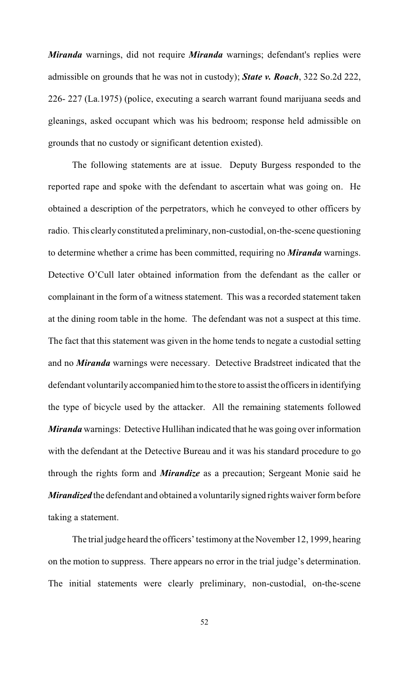*Miranda* warnings, did not require *Miranda* warnings; defendant's replies were admissible on grounds that he was not in custody); *State v. Roach*, 322 So.2d 222, 226- 227 (La.1975) (police, executing a search warrant found marijuana seeds and gleanings, asked occupant which was his bedroom; response held admissible on grounds that no custody or significant detention existed).

The following statements are at issue. Deputy Burgess responded to the reported rape and spoke with the defendant to ascertain what was going on. He obtained a description of the perpetrators, which he conveyed to other officers by radio. This clearly constituted a preliminary, non-custodial, on-the-scene questioning to determine whether a crime has been committed, requiring no *Miranda* warnings. Detective O'Cull later obtained information from the defendant as the caller or complainant in the form of a witness statement. This was a recorded statement taken at the dining room table in the home. The defendant was not a suspect at this time. The fact that this statement was given in the home tends to negate a custodial setting and no *Miranda* warnings were necessary. Detective Bradstreet indicated that the defendant voluntarily accompanied him to the store to assist the officers in identifying the type of bicycle used by the attacker. All the remaining statements followed *Miranda* warnings: Detective Hullihan indicated that he was going over information with the defendant at the Detective Bureau and it was his standard procedure to go through the rights form and *Mirandize* as a precaution; Sergeant Monie said he *Mirandized* the defendant and obtained a voluntarily signed rights waiver form before taking a statement.

The trial judge heard the officers' testimony at the November 12, 1999, hearing on the motion to suppress. There appears no error in the trial judge's determination. The initial statements were clearly preliminary, non-custodial, on-the-scene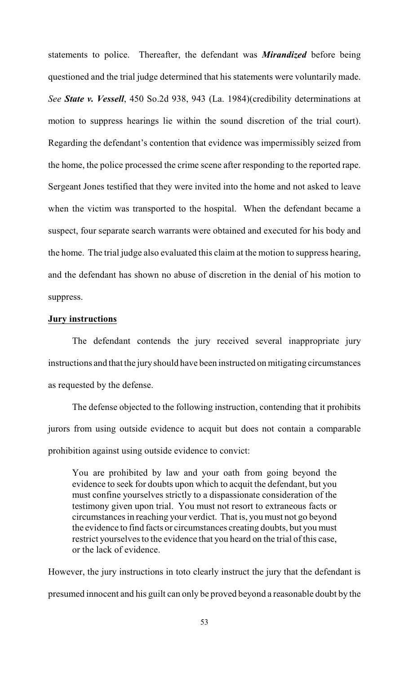statements to police. Thereafter, the defendant was *Mirandized* before being questioned and the trial judge determined that his statements were voluntarily made. *See State v. Vessell*, 450 So.2d 938, 943 (La. 1984)(credibility determinations at motion to suppress hearings lie within the sound discretion of the trial court). Regarding the defendant's contention that evidence was impermissibly seized from the home, the police processed the crime scene after responding to the reported rape. Sergeant Jones testified that they were invited into the home and not asked to leave when the victim was transported to the hospital. When the defendant became a suspect, four separate search warrants were obtained and executed for his body and the home. The trial judge also evaluated this claim at the motion to suppress hearing, and the defendant has shown no abuse of discretion in the denial of his motion to suppress.

#### **Jury instructions**

The defendant contends the jury received several inappropriate jury instructions and that the jury should have been instructed on mitigating circumstances as requested by the defense.

The defense objected to the following instruction, contending that it prohibits jurors from using outside evidence to acquit but does not contain a comparable prohibition against using outside evidence to convict:

You are prohibited by law and your oath from going beyond the evidence to seek for doubts upon which to acquit the defendant, but you must confine yourselves strictly to a dispassionate consideration of the testimony given upon trial. You must not resort to extraneous facts or circumstances in reaching your verdict. That is, you must not go beyond the evidence to find facts or circumstances creating doubts, but you must restrict yourselves to the evidence that you heard on the trial of this case, or the lack of evidence.

However, the jury instructions in toto clearly instruct the jury that the defendant is presumed innocent and his guilt can only be proved beyond a reasonable doubt by the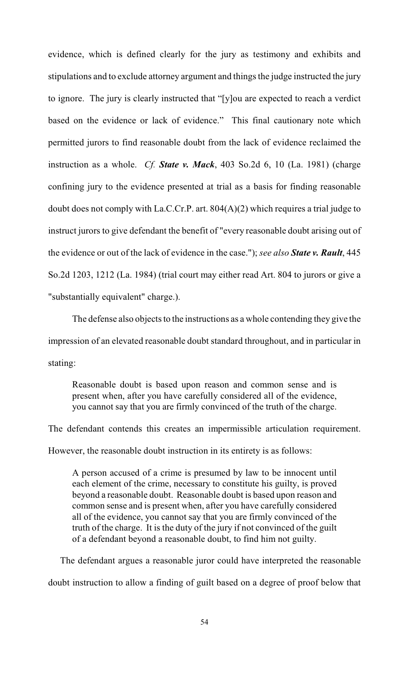evidence, which is defined clearly for the jury as testimony and exhibits and stipulations and to exclude attorney argument and things the judge instructed the jury to ignore. The jury is clearly instructed that "[y]ou are expected to reach a verdict based on the evidence or lack of evidence." This final cautionary note which permitted jurors to find reasonable doubt from the lack of evidence reclaimed the instruction as a whole. *Cf. State v. Mack*, 403 So.2d 6, 10 (La. 1981) (charge confining jury to the evidence presented at trial as a basis for finding reasonable doubt does not comply with La.C.Cr.P. art. 804(A)(2) which requires a trial judge to instruct jurors to give defendant the benefit of "every reasonable doubt arising out of the evidence or out of the lack of evidence in the case."); *see also State v. Rault*, 445 So.2d 1203, 1212 (La. 1984) (trial court may either read Art. 804 to jurors or give a "substantially equivalent" charge.).

The defense also objects to the instructions as a whole contending they give the impression of an elevated reasonable doubt standard throughout, and in particular in stating:

Reasonable doubt is based upon reason and common sense and is present when, after you have carefully considered all of the evidence, you cannot say that you are firmly convinced of the truth of the charge.

The defendant contends this creates an impermissible articulation requirement. However, the reasonable doubt instruction in its entirety is as follows:

A person accused of a crime is presumed by law to be innocent until each element of the crime, necessary to constitute his guilty, is proved beyond a reasonable doubt. Reasonable doubt is based upon reason and common sense and is present when, after you have carefully considered all of the evidence, you cannot say that you are firmly convinced of the truth of the charge. It is the duty of the jury if not convinced of the guilt of a defendant beyond a reasonable doubt, to find him not guilty.

 The defendant argues a reasonable juror could have interpreted the reasonable doubt instruction to allow a finding of guilt based on a degree of proof below that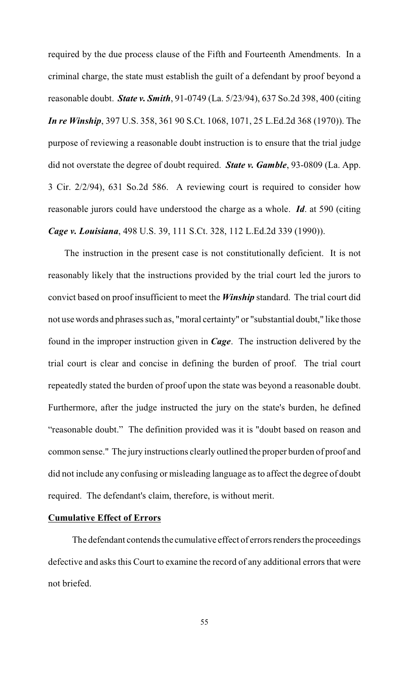required by the due process clause of the Fifth and Fourteenth Amendments. In a criminal charge, the state must establish the guilt of a defendant by proof beyond a reasonable doubt. *State v. Smith*, 91-0749 (La. 5/23/94), 637 So.2d 398, 400 (citing *In re Winship*, 397 U.S. 358, 361 90 S.Ct. 1068, 1071, 25 L.Ed.2d 368 (1970)). The purpose of reviewing a reasonable doubt instruction is to ensure that the trial judge did not overstate the degree of doubt required. *State v. Gamble*, 93-0809 (La. App. 3 Cir. 2/2/94), 631 So.2d 586. A reviewing court is required to consider how reasonable jurors could have understood the charge as a whole. *Id*. at 590 (citing *Cage v. Louisiana*, 498 U.S. 39, 111 S.Ct. 328, 112 L.Ed.2d 339 (1990)).

 The instruction in the present case is not constitutionally deficient. It is not reasonably likely that the instructions provided by the trial court led the jurors to convict based on proof insufficient to meet the *Winship* standard. The trial court did not use words and phrases such as, "moral certainty" or "substantial doubt," like those found in the improper instruction given in *Cage*. The instruction delivered by the trial court is clear and concise in defining the burden of proof. The trial court repeatedly stated the burden of proof upon the state was beyond a reasonable doubt. Furthermore, after the judge instructed the jury on the state's burden, he defined "reasonable doubt." The definition provided was it is "doubt based on reason and common sense." The jury instructions clearly outlined the proper burden of proof and did not include any confusing or misleading language as to affect the degree of doubt required. The defendant's claim, therefore, is without merit.

## **Cumulative Effect of Errors**

The defendant contends the cumulative effect of errors renders the proceedings defective and asks this Court to examine the record of any additional errors that were not briefed.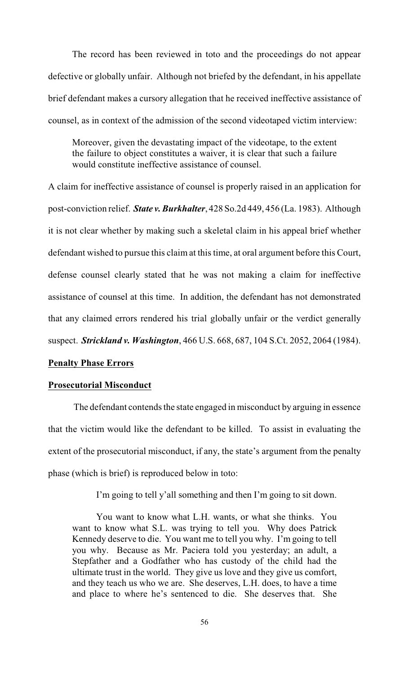The record has been reviewed in toto and the proceedings do not appear defective or globally unfair. Although not briefed by the defendant, in his appellate brief defendant makes a cursory allegation that he received ineffective assistance of counsel, as in context of the admission of the second videotaped victim interview:

Moreover, given the devastating impact of the videotape, to the extent the failure to object constitutes a waiver, it is clear that such a failure would constitute ineffective assistance of counsel.

A claim for ineffective assistance of counsel is properly raised in an application for post-conviction relief. *State v. Burkhalter*, 428 So.2d 449, 456 (La. 1983). Although it is not clear whether by making such a skeletal claim in his appeal brief whether defendant wished to pursue this claim at this time, at oral argument before this Court, defense counsel clearly stated that he was not making a claim for ineffective assistance of counsel at this time. In addition, the defendant has not demonstrated that any claimed errors rendered his trial globally unfair or the verdict generally suspect. *Strickland v. Washington*, 466 U.S. 668, 687, 104 S.Ct. 2052, 2064 (1984).

## **Penalty Phase Errors**

## **Prosecutorial Misconduct**

The defendant contends the state engaged in misconduct by arguing in essence that the victim would like the defendant to be killed. To assist in evaluating the extent of the prosecutorial misconduct, if any, the state's argument from the penalty phase (which is brief) is reproduced below in toto:

I'm going to tell y'all something and then I'm going to sit down.

You want to know what L.H. wants, or what she thinks. You want to know what S.L. was trying to tell you. Why does Patrick Kennedy deserve to die. You want me to tell you why. I'm going to tell you why. Because as Mr. Paciera told you yesterday; an adult, a Stepfather and a Godfather who has custody of the child had the ultimate trust in the world. They give us love and they give us comfort, and they teach us who we are. She deserves, L.H. does, to have a time and place to where he's sentenced to die. She deserves that. She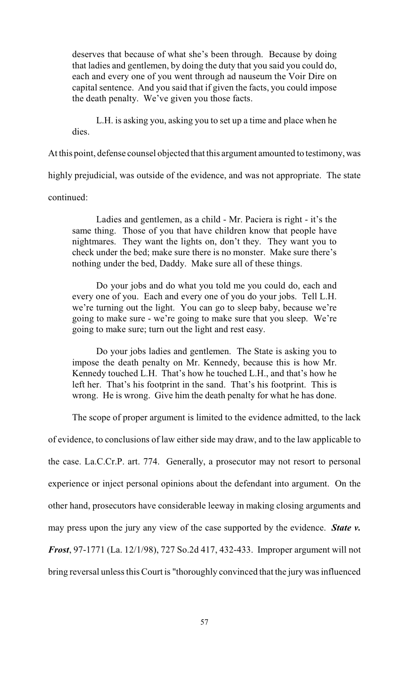deserves that because of what she's been through. Because by doing that ladies and gentlemen, by doing the duty that you said you could do, each and every one of you went through ad nauseum the Voir Dire on capital sentence. And you said that if given the facts, you could impose the death penalty. We've given you those facts.

L.H. is asking you, asking you to set up a time and place when he dies.

At this point, defense counsel objected that this argument amounted to testimony, was

highly prejudicial, was outside of the evidence, and was not appropriate. The state

### continued:

Ladies and gentlemen, as a child - Mr. Paciera is right - it's the same thing. Those of you that have children know that people have nightmares. They want the lights on, don't they. They want you to check under the bed; make sure there is no monster. Make sure there's nothing under the bed, Daddy. Make sure all of these things.

Do your jobs and do what you told me you could do, each and every one of you. Each and every one of you do your jobs. Tell L.H. we're turning out the light. You can go to sleep baby, because we're going to make sure - we're going to make sure that you sleep. We're going to make sure; turn out the light and rest easy.

Do your jobs ladies and gentlemen. The State is asking you to impose the death penalty on Mr. Kennedy, because this is how Mr. Kennedy touched L.H. That's how he touched L.H., and that's how he left her. That's his footprint in the sand. That's his footprint. This is wrong. He is wrong. Give him the death penalty for what he has done.

The scope of proper argument is limited to the evidence admitted, to the lack

of evidence, to conclusions of law either side may draw, and to the law applicable to the case. La.C.Cr.P. art. 774. Generally, a prosecutor may not resort to personal experience or inject personal opinions about the defendant into argument. On the other hand, prosecutors have considerable leeway in making closing arguments and may press upon the jury any view of the case supported by the evidence. *State v. Frost*, 97-1771 (La. 12/1/98), 727 So.2d 417, 432-433. Improper argument will not bring reversal unless this Court is "thoroughly convinced that the jury was influenced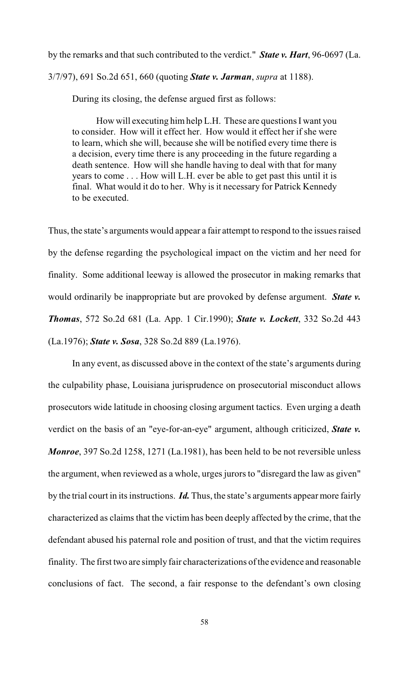by the remarks and that such contributed to the verdict." *State v. Hart*, 96-0697 (La. 3/7/97), 691 So.2d 651, 660 (quoting *State v. Jarman*, *supra* at 1188).

During its closing, the defense argued first as follows:

How will executing himhelp L.H. These are questions I want you to consider. How will it effect her. How would it effect her if she were to learn, which she will, because she will be notified every time there is a decision, every time there is any proceeding in the future regarding a death sentence. How will she handle having to deal with that for many years to come . . . How will L.H. ever be able to get past this until it is final. What would it do to her. Why is it necessary for Patrick Kennedy to be executed.

Thus, the state's arguments would appear a fair attempt to respond to the issues raised by the defense regarding the psychological impact on the victim and her need for finality. Some additional leeway is allowed the prosecutor in making remarks that would ordinarily be inappropriate but are provoked by defense argument. *State v. Thomas*, 572 So.2d 681 (La. App. 1 Cir.1990); *State v. Lockett*, 332 So.2d 443 (La.1976); *State v. Sosa*, 328 So.2d 889 (La.1976).

In any event, as discussed above in the context of the state's arguments during the culpability phase, Louisiana jurisprudence on prosecutorial misconduct allows prosecutors wide latitude in choosing closing argument tactics. Even urging a death verdict on the basis of an "eye-for-an-eye" argument, although criticized, *State v. Monroe*, 397 So.2d 1258, 1271 (La.1981), has been held to be not reversible unless the argument, when reviewed as a whole, urges jurors to "disregard the law as given" by the trial court in its instructions. *Id.* Thus, the state's arguments appear more fairly characterized as claims that the victim has been deeply affected by the crime, that the defendant abused his paternal role and position of trust, and that the victim requires finality. The first two are simply fair characterizations of the evidence and reasonable conclusions of fact. The second, a fair response to the defendant's own closing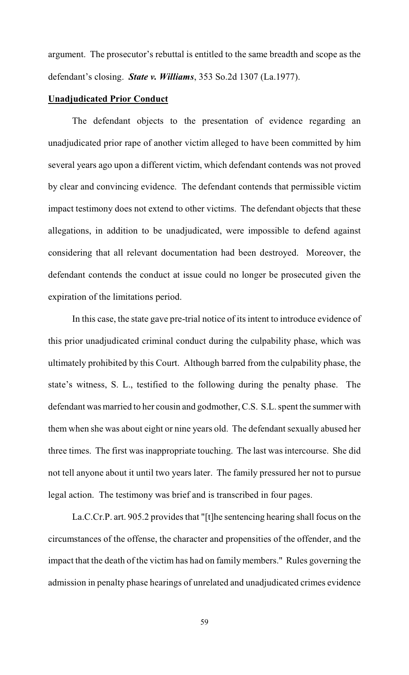argument. The prosecutor's rebuttal is entitled to the same breadth and scope as the defendant's closing. *State v. Williams*, 353 So.2d 1307 (La.1977).

### **Unadjudicated Prior Conduct**

The defendant objects to the presentation of evidence regarding an unadjudicated prior rape of another victim alleged to have been committed by him several years ago upon a different victim, which defendant contends was not proved by clear and convincing evidence. The defendant contends that permissible victim impact testimony does not extend to other victims. The defendant objects that these allegations, in addition to be unadjudicated, were impossible to defend against considering that all relevant documentation had been destroyed. Moreover, the defendant contends the conduct at issue could no longer be prosecuted given the expiration of the limitations period.

In this case, the state gave pre-trial notice of its intent to introduce evidence of this prior unadjudicated criminal conduct during the culpability phase, which was ultimately prohibited by this Court. Although barred from the culpability phase, the state's witness, S. L., testified to the following during the penalty phase. The defendant was married to her cousin and godmother, C.S. S.L. spent the summer with them when she was about eight or nine years old. The defendant sexually abused her three times. The first was inappropriate touching. The last was intercourse. She did not tell anyone about it until two years later. The family pressured her not to pursue legal action. The testimony was brief and is transcribed in four pages.

La.C.Cr.P. art. 905.2 provides that "[t]he sentencing hearing shall focus on the circumstances of the offense, the character and propensities of the offender, and the impact that the death of the victim has had on family members." Rules governing the admission in penalty phase hearings of unrelated and unadjudicated crimes evidence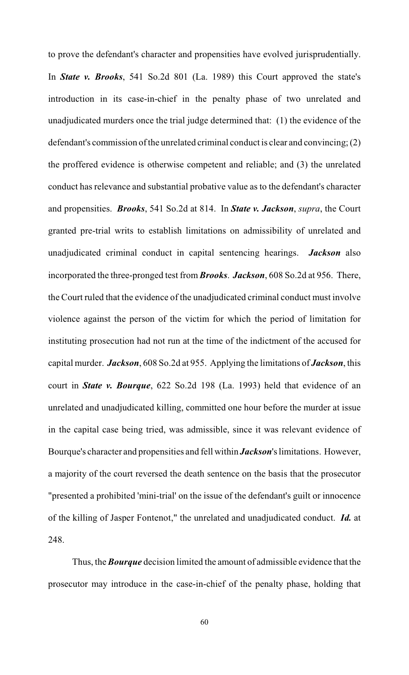to prove the defendant's character and propensities have evolved jurisprudentially. In *State v. Brooks*, 541 So.2d 801 (La. 1989) this Court approved the state's introduction in its case-in-chief in the penalty phase of two unrelated and unadjudicated murders once the trial judge determined that: (1) the evidence of the defendant's commission of the unrelated criminal conduct is clear and convincing; (2) the proffered evidence is otherwise competent and reliable; and (3) the unrelated conduct has relevance and substantial probative value as to the defendant's character and propensities. *Brooks*, 541 So.2d at 814. In *State v. Jackson*, *supra*, the Court granted pre-trial writs to establish limitations on admissibility of unrelated and unadjudicated criminal conduct in capital sentencing hearings. *Jackson* also incorporated the three-pronged test from *Brooks*. *Jackson*, 608 So.2d at 956. There, the Court ruled that the evidence of the unadjudicated criminal conduct must involve violence against the person of the victim for which the period of limitation for instituting prosecution had not run at the time of the indictment of the accused for capital murder. *Jackson*, 608 So.2d at 955. Applying the limitations of *Jackson*, this court in *State v. Bourque*, 622 So.2d 198 (La. 1993) held that evidence of an unrelated and unadjudicated killing, committed one hour before the murder at issue in the capital case being tried, was admissible, since it was relevant evidence of Bourque's character and propensities and fell within *Jackson*'s limitations. However, a majority of the court reversed the death sentence on the basis that the prosecutor "presented a prohibited 'mini-trial' on the issue of the defendant's guilt or innocence of the killing of Jasper Fontenot," the unrelated and unadjudicated conduct. *Id.* at 248.

Thus, the *Bourque* decision limited the amount of admissible evidence that the prosecutor may introduce in the case-in-chief of the penalty phase, holding that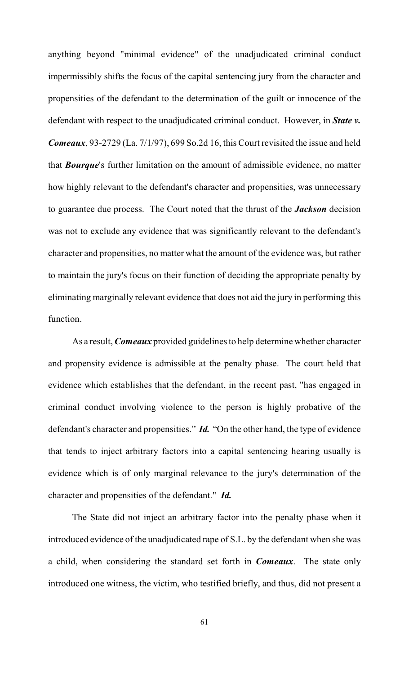anything beyond "minimal evidence" of the unadjudicated criminal conduct impermissibly shifts the focus of the capital sentencing jury from the character and propensities of the defendant to the determination of the guilt or innocence of the defendant with respect to the unadjudicated criminal conduct. However, in *State v. Comeaux*, 93-2729 (La. 7/1/97), 699 So.2d 16, this Court revisited the issue and held that *Bourque*'s further limitation on the amount of admissible evidence, no matter how highly relevant to the defendant's character and propensities, was unnecessary to guarantee due process. The Court noted that the thrust of the *Jackson* decision was not to exclude any evidence that was significantly relevant to the defendant's character and propensities, no matter what the amount of the evidence was, but rather to maintain the jury's focus on their function of deciding the appropriate penalty by eliminating marginally relevant evidence that does not aid the jury in performing this function.

As a result, *Comeaux* provided guidelines to help determine whether character and propensity evidence is admissible at the penalty phase. The court held that evidence which establishes that the defendant, in the recent past, "has engaged in criminal conduct involving violence to the person is highly probative of the defendant's character and propensities." *Id.* "On the other hand, the type of evidence that tends to inject arbitrary factors into a capital sentencing hearing usually is evidence which is of only marginal relevance to the jury's determination of the character and propensities of the defendant." *Id.* 

The State did not inject an arbitrary factor into the penalty phase when it introduced evidence of the unadjudicated rape of S.L. by the defendant when she was a child, when considering the standard set forth in *Comeaux*. The state only introduced one witness, the victim, who testified briefly, and thus, did not present a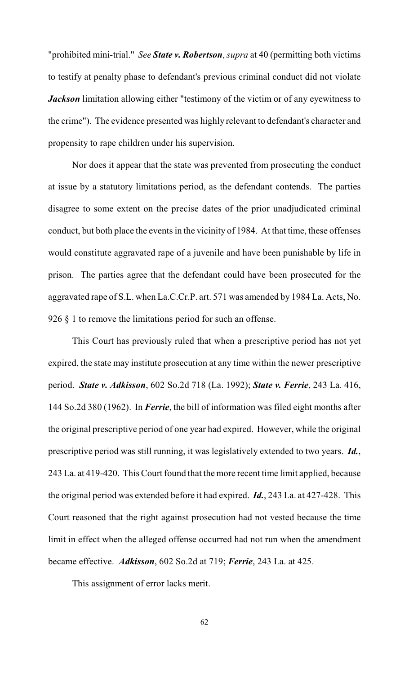"prohibited mini-trial." *See State v. Robertson*, *supra* at 40 (permitting both victims to testify at penalty phase to defendant's previous criminal conduct did not violate *Jackson* limitation allowing either "testimony of the victim or of any eyewitness to the crime"). The evidence presented was highly relevant to defendant's character and propensity to rape children under his supervision.

Nor does it appear that the state was prevented from prosecuting the conduct at issue by a statutory limitations period, as the defendant contends. The parties disagree to some extent on the precise dates of the prior unadjudicated criminal conduct, but both place the events in the vicinity of 1984. At that time, these offenses would constitute aggravated rape of a juvenile and have been punishable by life in prison. The parties agree that the defendant could have been prosecuted for the aggravated rape of S.L. when La.C.Cr.P. art. 571 was amended by 1984 La. Acts, No. 926 § 1 to remove the limitations period for such an offense.

This Court has previously ruled that when a prescriptive period has not yet expired, the state may institute prosecution at any time within the newer prescriptive period. *State v. Adkisson*, 602 So.2d 718 (La. 1992); *State v. Ferrie*, 243 La. 416, 144 So.2d 380 (1962). In *Ferrie*, the bill of information was filed eight months after the original prescriptive period of one year had expired. However, while the original prescriptive period was still running, it was legislatively extended to two years. *Id.*, 243 La. at 419-420. ThisCourt found that the more recent time limit applied, because the original period was extended before it had expired. *Id.*, 243 La. at 427-428. This Court reasoned that the right against prosecution had not vested because the time limit in effect when the alleged offense occurred had not run when the amendment became effective. *Adkisson*, 602 So.2d at 719; *Ferrie*, 243 La. at 425.

This assignment of error lacks merit.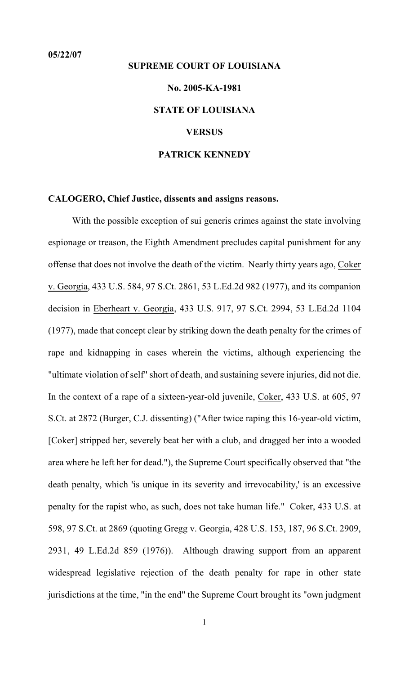# **SUPREME COURT OF LOUISIANA No. 2005-KA-1981 STATE OF LOUISIANA VERSUS PATRICK KENNEDY**

#### **CALOGERO, Chief Justice, dissents and assigns reasons.**

With the possible exception of sui generis crimes against the state involving espionage or treason, the Eighth Amendment precludes capital punishment for any offense that does not involve the death of the victim. Nearly thirty years ago, Coker v. Georgia, 433 U.S. 584, 97 S.Ct. 2861, 53 L.Ed.2d 982 (1977), and its companion decision in Eberheart v. Georgia, 433 U.S. 917, 97 S.Ct. 2994, 53 L.Ed.2d 1104 (1977), made that concept clear by striking down the death penalty for the crimes of rape and kidnapping in cases wherein the victims, although experiencing the "ultimate violation of self" short of death, and sustaining severe injuries, did not die. In the context of a rape of a sixteen-year-old juvenile, Coker, 433 U.S. at 605, 97 S.Ct. at 2872 (Burger, C.J. dissenting) ("After twice raping this 16-year-old victim, [Coker] stripped her, severely beat her with a club, and dragged her into a wooded area where he left her for dead."), the Supreme Court specifically observed that "the death penalty, which 'is unique in its severity and irrevocability,' is an excessive penalty for the rapist who, as such, does not take human life." Coker, 433 U.S. at 598, 97 S.Ct. at 2869 (quoting Gregg v. Georgia, 428 U.S. 153, 187, 96 S.Ct. 2909, 2931, 49 L.Ed.2d 859 (1976)). Although drawing support from an apparent widespread legislative rejection of the death penalty for rape in other state jurisdictions at the time, "in the end" the Supreme Court brought its "own judgment